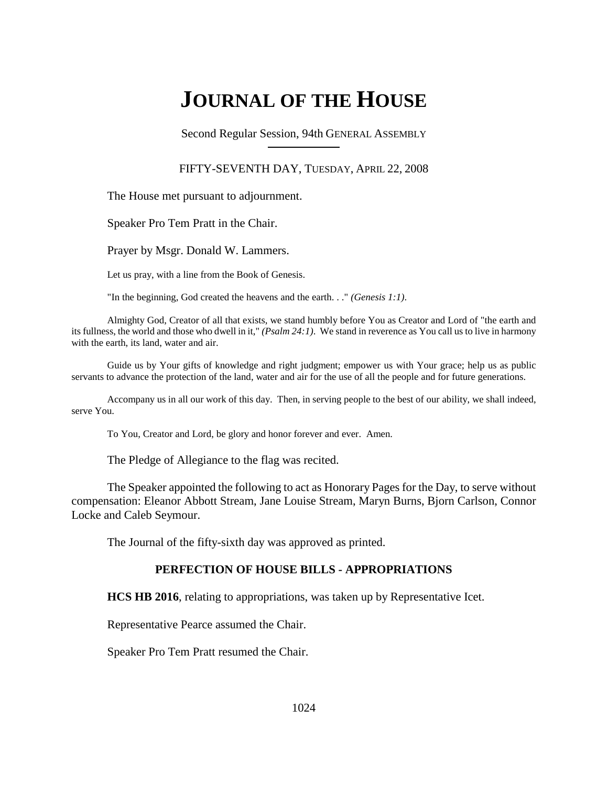# **JOURNAL OF THE HOUSE**

Second Regular Session, 94th GENERAL ASSEMBLY

### FIFTY-SEVENTH DAY, TUESDAY, APRIL 22, 2008

The House met pursuant to adjournment.

Speaker Pro Tem Pratt in the Chair.

Prayer by Msgr. Donald W. Lammers.

Let us pray, with a line from the Book of Genesis.

"In the beginning, God created the heavens and the earth. . ." *(Genesis 1:1)*.

Almighty God, Creator of all that exists, we stand humbly before You as Creator and Lord of "the earth and its fullness, the world and those who dwell in it," *(Psalm 24:1)*. We stand in reverence as You call us to live in harmony with the earth, its land, water and air.

Guide us by Your gifts of knowledge and right judgment; empower us with Your grace; help us as public servants to advance the protection of the land, water and air for the use of all the people and for future generations.

Accompany us in all our work of this day. Then, in serving people to the best of our ability, we shall indeed, serve You.

To You, Creator and Lord, be glory and honor forever and ever. Amen.

The Pledge of Allegiance to the flag was recited.

The Speaker appointed the following to act as Honorary Pages for the Day, to serve without compensation: Eleanor Abbott Stream, Jane Louise Stream, Maryn Burns, Bjorn Carlson, Connor Locke and Caleb Seymour.

The Journal of the fifty-sixth day was approved as printed.

### **PERFECTION OF HOUSE BILLS - APPROPRIATIONS**

**HCS HB 2016**, relating to appropriations, was taken up by Representative Icet.

Representative Pearce assumed the Chair.

Speaker Pro Tem Pratt resumed the Chair.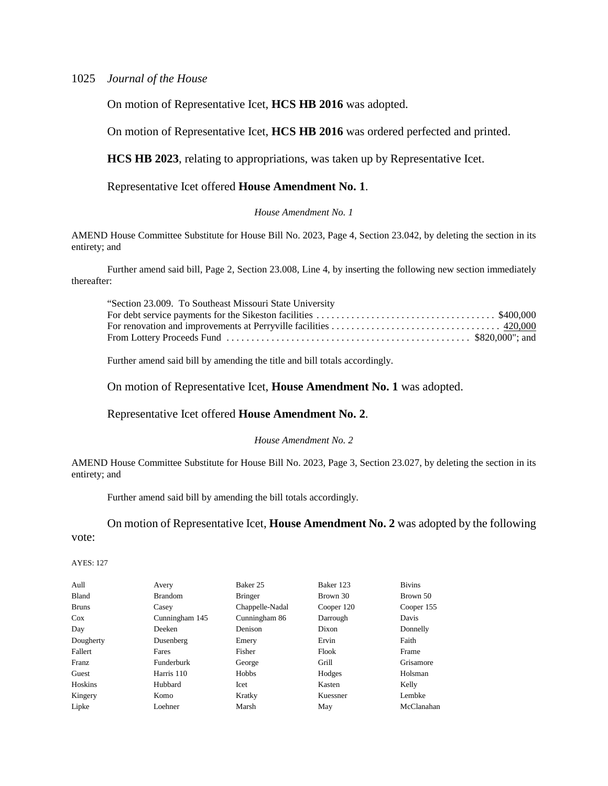On motion of Representative Icet, **HCS HB 2016** was adopted.

On motion of Representative Icet, **HCS HB 2016** was ordered perfected and printed.

**HCS HB 2023**, relating to appropriations, was taken up by Representative Icet.

### Representative Icet offered **House Amendment No. 1**.

#### *House Amendment No. 1*

AMEND House Committee Substitute for House Bill No. 2023, Page 4, Section 23.042, by deleting the section in its entirety; and

Further amend said bill, Page 2, Section 23.008, Line 4, by inserting the following new section immediately thereafter:

| "Section 23.009. To Southeast Missouri State University |  |
|---------------------------------------------------------|--|
|                                                         |  |
|                                                         |  |
|                                                         |  |

Further amend said bill by amending the title and bill totals accordingly.

On motion of Representative Icet, **House Amendment No. 1** was adopted.

### Representative Icet offered **House Amendment No. 2**.

#### *House Amendment No. 2*

AMEND House Committee Substitute for House Bill No. 2023, Page 3, Section 23.027, by deleting the section in its entirety; and

Further amend said bill by amending the bill totals accordingly.

On motion of Representative Icet, **House Amendment No. 2** was adopted by the following

vote:

| Aull         | Avery             | Baker 25        | Baker 123  | <b>Bivins</b> |
|--------------|-------------------|-----------------|------------|---------------|
| Bland        | <b>Brandom</b>    | <b>Bringer</b>  | Brown 30   | Brown 50      |
| <b>Bruns</b> | Casey             | Chappelle-Nadal | Cooper 120 | Cooper 155    |
| Cox          | Cunningham 145    | Cunningham 86   | Darrough   | Davis         |
| Day          | Deeken            | Denison         | Dixon      | Donnelly      |
| Dougherty    | Dusenberg         | Emery           | Ervin      | Faith         |
| Fallert      | Fares             | Fisher          | Flook      | Frame         |
| Franz        | <b>Funderburk</b> | George          | Grill      | Grisamore     |
| Guest        | Harris 110        | Hobbs           | Hodges     | Holsman       |
| Hoskins      | Hubbard           | Icet            | Kasten     | Kelly         |
| Kingery      | Komo              | Kratky          | Kuessner   | Lembke        |
| Lipke        | Loehner           | Marsh           | May        | McClanahan    |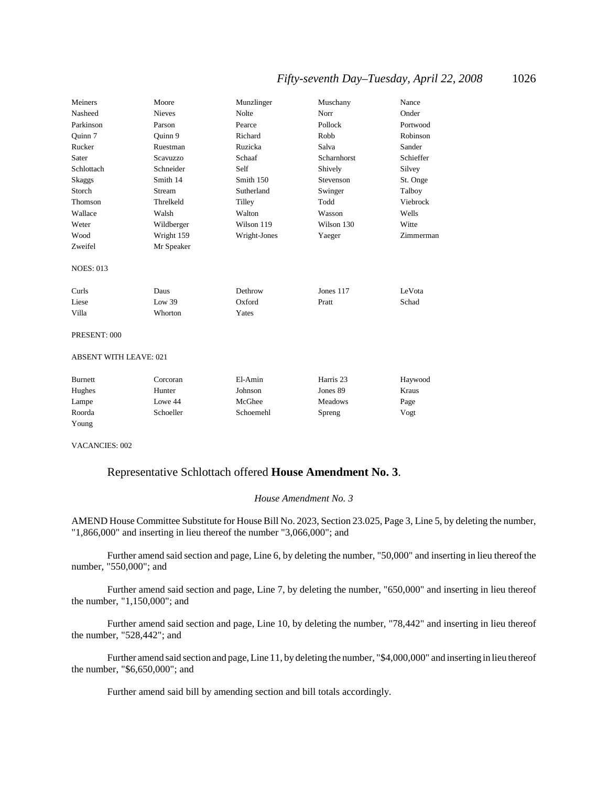| Meiners                       | Moore         | Munzlinger   | Muschany    | Nance     |
|-------------------------------|---------------|--------------|-------------|-----------|
| Nasheed                       | <b>Nieves</b> | Nolte        | Norr        | Onder     |
| Parkinson                     | Parson        | Pearce       | Pollock     | Portwood  |
| Ouinn 7                       | Ouinn 9       | Richard      | Robb        | Robinson  |
| Rucker                        | Ruestman      | Ruzicka      | Salva       | Sander    |
| Sater                         | Scavuzzo      | Schaaf       | Scharnhorst | Schieffer |
| Schlottach                    | Schneider     | Self         | Shively     | Silvey    |
| <b>Skaggs</b>                 | Smith 14      | Smith 150    | Stevenson   | St. Onge  |
| Storch                        | Stream        | Sutherland   | Swinger     | Talboy    |
| Thomson                       | Threlkeld     | Tilley       | Todd        | Viebrock  |
| Wallace                       | Walsh         | Walton       | Wasson      | Wells     |
| Weter                         | Wildberger    | Wilson 119   | Wilson 130  | Witte     |
| Wood                          | Wright 159    | Wright-Jones | Yaeger      | Zimmerman |
| Zweifel                       | Mr Speaker    |              |             |           |
| <b>NOES: 013</b>              |               |              |             |           |
| Curls                         | Daus          | Dethrow      | Jones 117   | LeVota    |
| Liese                         | Low 39        | Oxford       | Pratt       | Schad     |
| Villa                         | Whorton       | Yates        |             |           |
| PRESENT: 000                  |               |              |             |           |
| <b>ABSENT WITH LEAVE: 021</b> |               |              |             |           |
|                               |               |              |             |           |

| Burnett | Corcoran  | El-Amin   | Harris 23      | Haywood |
|---------|-----------|-----------|----------------|---------|
| Hughes  | Hunter    | Johnson   | Jones 89       | Kraus   |
| Lampe   | Lowe 44   | McGhee    | <b>Meadows</b> | Page    |
| Roorda  | Schoeller | Schoemehl | Spreng         | Vogt    |
| Young   |           |           |                |         |

VACANCIES: 002

### Representative Schlottach offered **House Amendment No. 3**.

#### *House Amendment No. 3*

AMEND House Committee Substitute for House Bill No. 2023, Section 23.025, Page 3, Line 5, by deleting the number, "1,866,000" and inserting in lieu thereof the number "3,066,000"; and

Further amend said section and page, Line 6, by deleting the number, "50,000" and inserting in lieu thereof the number, "550,000"; and

Further amend said section and page, Line 7, by deleting the number, "650,000" and inserting in lieu thereof the number, "1,150,000"; and

Further amend said section and page, Line 10, by deleting the number, "78,442" and inserting in lieu thereof the number, "528,442"; and

Further amend said section and page, Line 11, by deleting the number, "\$4,000,000" and inserting in lieu thereof the number, "\$6,650,000"; and

Further amend said bill by amending section and bill totals accordingly.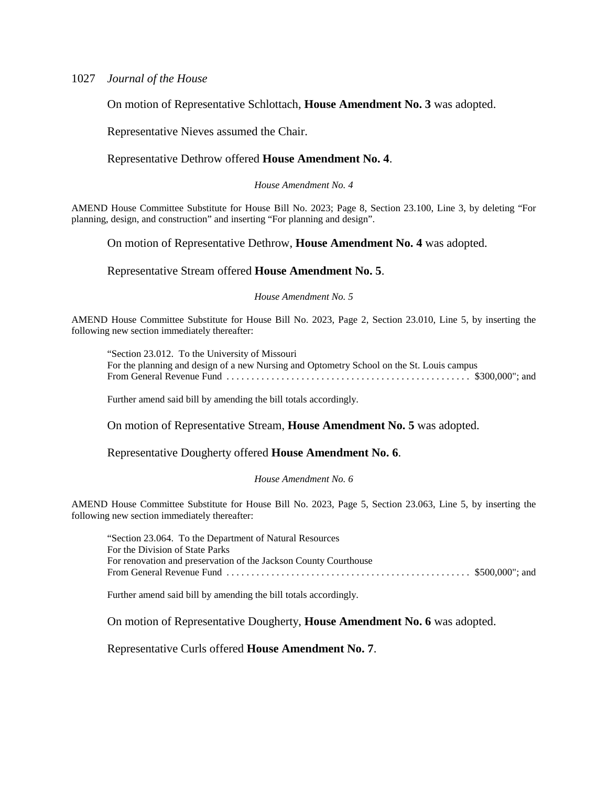On motion of Representative Schlottach, **House Amendment No. 3** was adopted.

Representative Nieves assumed the Chair.

#### Representative Dethrow offered **House Amendment No. 4**.

*House Amendment No. 4*

AMEND House Committee Substitute for House Bill No. 2023; Page 8, Section 23.100, Line 3, by deleting "For planning, design, and construction" and inserting "For planning and design".

On motion of Representative Dethrow, **House Amendment No. 4** was adopted.

#### Representative Stream offered **House Amendment No. 5**.

### *House Amendment No. 5*

AMEND House Committee Substitute for House Bill No. 2023, Page 2, Section 23.010, Line 5, by inserting the following new section immediately thereafter:

"Section 23.012. To the University of Missouri For the planning and design of a new Nursing and Optometry School on the St. Louis campus From General Revenue Fund . . . . . . . . . . . . . . . . . . . . . . . . . . . . . . . . . . . . . . . . . . . . . . . . . \$300,000"; and

Further amend said bill by amending the bill totals accordingly.

On motion of Representative Stream, **House Amendment No. 5** was adopted.

Representative Dougherty offered **House Amendment No. 6**.

#### *House Amendment No. 6*

AMEND House Committee Substitute for House Bill No. 2023, Page 5, Section 23.063, Line 5, by inserting the following new section immediately thereafter:

"Section 23.064. To the Department of Natural Resources For the Division of State Parks For renovation and preservation of the Jackson County Courthouse From General Revenue Fund . . . . . . . . . . . . . . . . . . . . . . . . . . . . . . . . . . . . . . . . . . . . . . . . . \$500,000"; and

Further amend said bill by amending the bill totals accordingly.

On motion of Representative Dougherty, **House Amendment No. 6** was adopted.

Representative Curls offered **House Amendment No. 7**.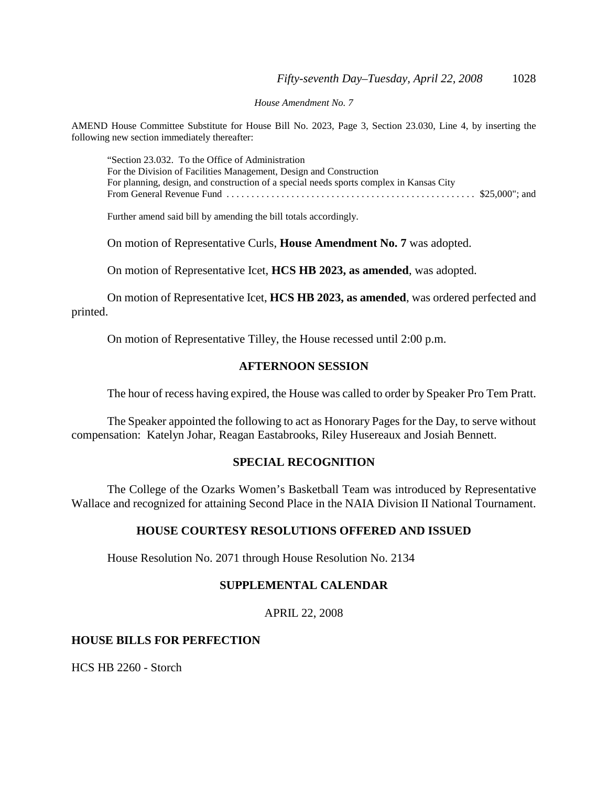*House Amendment No. 7*

AMEND House Committee Substitute for House Bill No. 2023, Page 3, Section 23.030, Line 4, by inserting the following new section immediately thereafter:

"Section 23.032. To the Office of Administration For the Division of Facilities Management, Design and Construction For planning, design, and construction of a special needs sports complex in Kansas City From General Revenue Fund . . . . . . . . . . . . . . . . . . . . . . . . . . . . . . . . . . . . . . . . . . . . . . . . . . \$25,000"; and

Further amend said bill by amending the bill totals accordingly.

On motion of Representative Curls, **House Amendment No. 7** was adopted.

On motion of Representative Icet, **HCS HB 2023, as amended**, was adopted.

On motion of Representative Icet, **HCS HB 2023, as amended**, was ordered perfected and printed.

On motion of Representative Tilley, the House recessed until 2:00 p.m.

### **AFTERNOON SESSION**

The hour of recess having expired, the House was called to order by Speaker Pro Tem Pratt.

The Speaker appointed the following to act as Honorary Pages for the Day, to serve without compensation: Katelyn Johar, Reagan Eastabrooks, Riley Husereaux and Josiah Bennett.

### **SPECIAL RECOGNITION**

The College of the Ozarks Women's Basketball Team was introduced by Representative Wallace and recognized for attaining Second Place in the NAIA Division II National Tournament.

### **HOUSE COURTESY RESOLUTIONS OFFERED AND ISSUED**

House Resolution No. 2071 through House Resolution No. 2134

### **SUPPLEMENTAL CALENDAR**

APRIL 22, 2008

### **HOUSE BILLS FOR PERFECTION**

HCS HB 2260 - Storch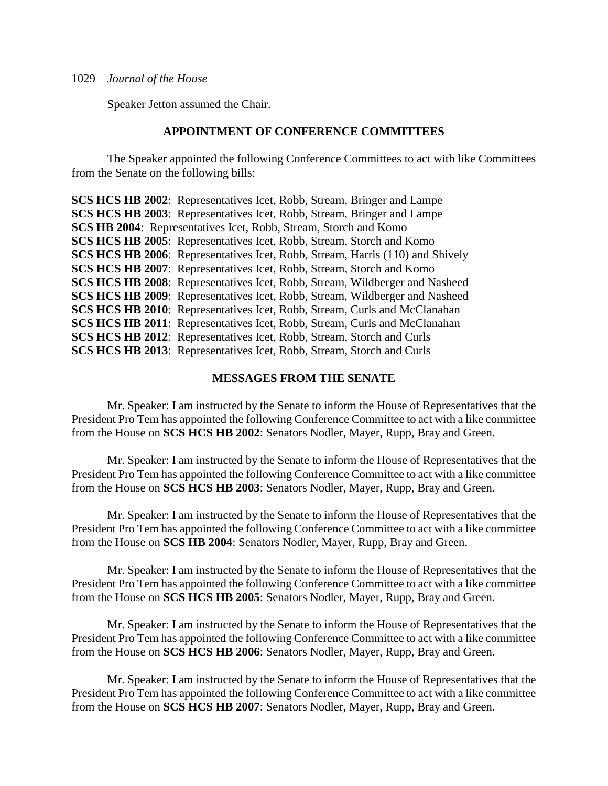Speaker Jetton assumed the Chair.

### **APPOINTMENT OF CONFERENCE COMMITTEES**

The Speaker appointed the following Conference Committees to act with like Committees from the Senate on the following bills:

**SCS HCS HB 2002**: Representatives Icet, Robb, Stream, Bringer and Lampe **SCS HCS HB 2003**: Representatives Icet, Robb, Stream, Bringer and Lampe **SCS HB 2004**: Representatives Icet, Robb, Stream, Storch and Komo **SCS HCS HB 2005**: Representatives Icet, Robb, Stream, Storch and Komo **SCS HCS HB 2006**: Representatives Icet, Robb, Stream, Harris (110) and Shively **SCS HCS HB 2007**: Representatives Icet, Robb, Stream, Storch and Komo **SCS HCS HB 2008**: Representatives Icet, Robb, Stream, Wildberger and Nasheed **SCS HCS HB 2009**: Representatives Icet, Robb, Stream, Wildberger and Nasheed **SCS HCS HB 2010**: Representatives Icet, Robb, Stream, Curls and McClanahan **SCS HCS HB 2011:** Representatives Icet, Robb, Stream, Curls and McClanahan **SCS HCS HB 2012**: Representatives Icet, Robb, Stream, Storch and Curls **SCS HCS HB 2013**: Representatives Icet, Robb, Stream, Storch and Curls

### **MESSAGES FROM THE SENATE**

Mr. Speaker: I am instructed by the Senate to inform the House of Representatives that the President Pro Tem has appointed the following Conference Committee to act with a like committee from the House on **SCS HCS HB 2002**: Senators Nodler, Mayer, Rupp, Bray and Green.

Mr. Speaker: I am instructed by the Senate to inform the House of Representatives that the President Pro Tem has appointed the following Conference Committee to act with a like committee from the House on **SCS HCS HB 2003**: Senators Nodler, Mayer, Rupp, Bray and Green.

Mr. Speaker: I am instructed by the Senate to inform the House of Representatives that the President Pro Tem has appointed the following Conference Committee to act with a like committee from the House on **SCS HB 2004**: Senators Nodler, Mayer, Rupp, Bray and Green.

Mr. Speaker: I am instructed by the Senate to inform the House of Representatives that the President Pro Tem has appointed the following Conference Committee to act with a like committee from the House on **SCS HCS HB 2005**: Senators Nodler, Mayer, Rupp, Bray and Green.

Mr. Speaker: I am instructed by the Senate to inform the House of Representatives that the President Pro Tem has appointed the following Conference Committee to act with a like committee from the House on **SCS HCS HB 2006**: Senators Nodler, Mayer, Rupp, Bray and Green.

Mr. Speaker: I am instructed by the Senate to inform the House of Representatives that the President Pro Tem has appointed the following Conference Committee to act with a like committee from the House on **SCS HCS HB 2007**: Senators Nodler, Mayer, Rupp, Bray and Green.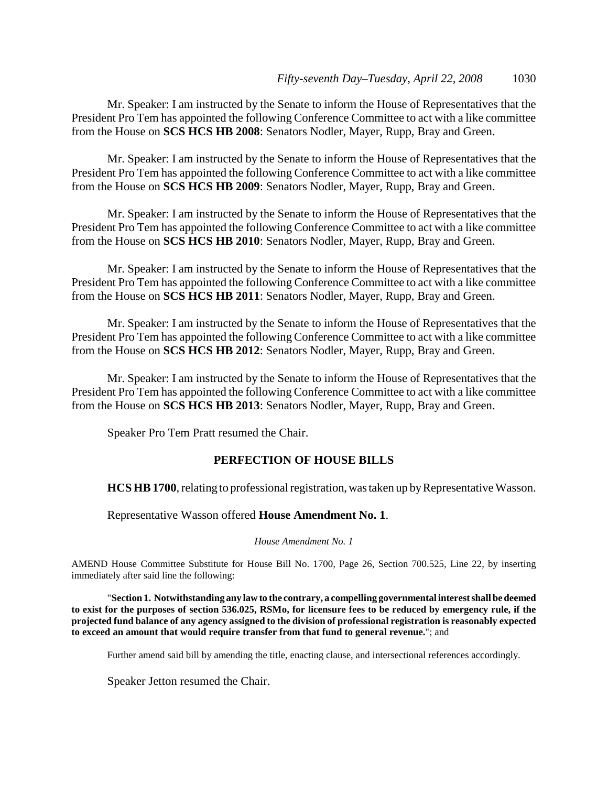Mr. Speaker: I am instructed by the Senate to inform the House of Representatives that the President Pro Tem has appointed the following Conference Committee to act with a like committee from the House on **SCS HCS HB 2008**: Senators Nodler, Mayer, Rupp, Bray and Green.

Mr. Speaker: I am instructed by the Senate to inform the House of Representatives that the President Pro Tem has appointed the following Conference Committee to act with a like committee from the House on **SCS HCS HB 2009**: Senators Nodler, Mayer, Rupp, Bray and Green.

Mr. Speaker: I am instructed by the Senate to inform the House of Representatives that the President Pro Tem has appointed the following Conference Committee to act with a like committee from the House on **SCS HCS HB 2010**: Senators Nodler, Mayer, Rupp, Bray and Green.

Mr. Speaker: I am instructed by the Senate to inform the House of Representatives that the President Pro Tem has appointed the following Conference Committee to act with a like committee from the House on **SCS HCS HB 2011**: Senators Nodler, Mayer, Rupp, Bray and Green.

Mr. Speaker: I am instructed by the Senate to inform the House of Representatives that the President Pro Tem has appointed the following Conference Committee to act with a like committee from the House on **SCS HCS HB 2012**: Senators Nodler, Mayer, Rupp, Bray and Green.

Mr. Speaker: I am instructed by the Senate to inform the House of Representatives that the President Pro Tem has appointed the following Conference Committee to act with a like committee from the House on **SCS HCS HB 2013**: Senators Nodler, Mayer, Rupp, Bray and Green.

Speaker Pro Tem Pratt resumed the Chair.

### **PERFECTION OF HOUSE BILLS**

**HCS HB 1700**, relating to professional registration, was taken up by Representative Wasson.

Representative Wasson offered **House Amendment No. 1**.

*House Amendment No. 1*

AMEND House Committee Substitute for House Bill No. 1700, Page 26, Section 700.525, Line 22, by inserting immediately after said line the following:

"**Section 1. Notwithstanding any law to the contrary, a compelling governmental interest shall be deemed to exist for the purposes of section 536.025, RSMo, for licensure fees to be reduced by emergency rule, if the projected fund balance of any agency assigned to the division of professional registration is reasonably expected to exceed an amount that would require transfer from that fund to general revenue.**"; and

Further amend said bill by amending the title, enacting clause, and intersectional references accordingly.

Speaker Jetton resumed the Chair.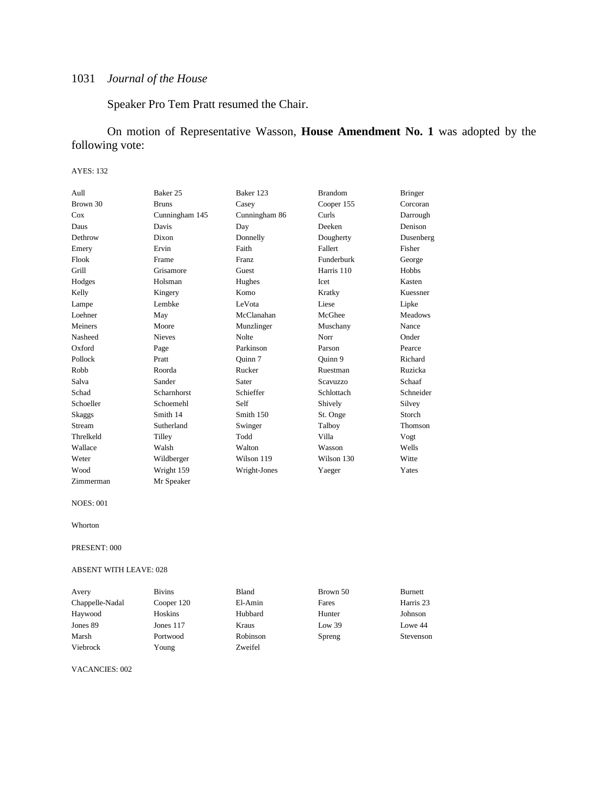Speaker Pro Tem Pratt resumed the Chair.

On motion of Representative Wasson, **House Amendment No. 1** was adopted by the following vote:

#### AYES: 132

| Aull          | Baker 25       | Baker 123     | <b>Brandom</b>  | <b>Bringer</b> |
|---------------|----------------|---------------|-----------------|----------------|
| Brown 30      | <b>Bruns</b>   | Casey         | Cooper 155      | Corcoran       |
| Cox           | Cunningham 145 | Cunningham 86 | <b>Curls</b>    | Darrough       |
| Daus          | Davis          | Day           | Deeken          | Denison        |
| Dethrow       | Dixon          | Donnelly      | Dougherty       | Dusenberg      |
| Emery         | Ervin          | Faith         | Fallert         | Fisher         |
| Flook         | Frame          | <b>Franz</b>  | Funderburk      | George         |
| Grill         | Grisamore      | Guest         | Harris 110      | Hobbs          |
| Hodges        | Holsman        | Hughes        | Icet            | Kasten         |
| Kelly         | Kingery        | Komo          | Kratky          | Kuessner       |
| Lampe         | Lembke         | LeVota        | Liese           | Lipke          |
| Loehner       | May            | McClanahan    | McGhee          | <b>Meadows</b> |
| Meiners       | Moore          | Munzlinger    | Muschany        | Nance          |
| Nasheed       | <b>Nieves</b>  | Nolte         | Norr            | Onder          |
| Oxford        | Page           | Parkinson     | Parson          | Pearce         |
| Pollock       | Pratt          | Ouinn 7       | Ouinn 9         | Richard        |
| Robb          | Roorda         | Rucker        | Ruestman        | Ruzicka        |
| Salva         | Sander         | Sater         | <b>Scavuzzo</b> | Schaaf         |
| Schad         | Scharnhorst    | Schieffer     | Schlottach      | Schneider      |
| Schoeller     | Schoemehl      | Self          | Shively         | Silvey         |
| Skaggs        | Smith 14       | Smith 150     | St. Onge        | Storch         |
| <b>Stream</b> | Sutherland     | Swinger       | Talboy          | Thomson        |
| Threlkeld     | Tilley         | Todd          | Villa           | Vogt           |
| Wallace       | Walsh          | Walton        | Wasson          | Wells          |
| Weter         | Wildberger     | Wilson 119    | Wilson 130      | Witte          |
| Wood          | Wright 159     | Wright-Jones  | Yaeger          | Yates          |
| Zimmerman     | Mr Speaker     |               |                 |                |

NOES: 001

Whorton

#### PRESENT: 000

#### ABSENT WITH LEAVE: 028

| Avery           | <b>Bivins</b> | Bland    | Brown 50 | Burnett   |
|-----------------|---------------|----------|----------|-----------|
| Chappelle-Nadal | Cooper 120    | El-Amin  | Fares    | Harris 23 |
| Haywood         | Hoskins       | Hubbard  | Hunter   | Johnson   |
| Jones 89        | Jones 117     | Kraus    | Low 39   | Lowe 44   |
| Marsh           | Portwood      | Robinson | Spreng   | Stevenson |
| Viebrock        | Young         | Zweifel  |          |           |

VACANCIES: 002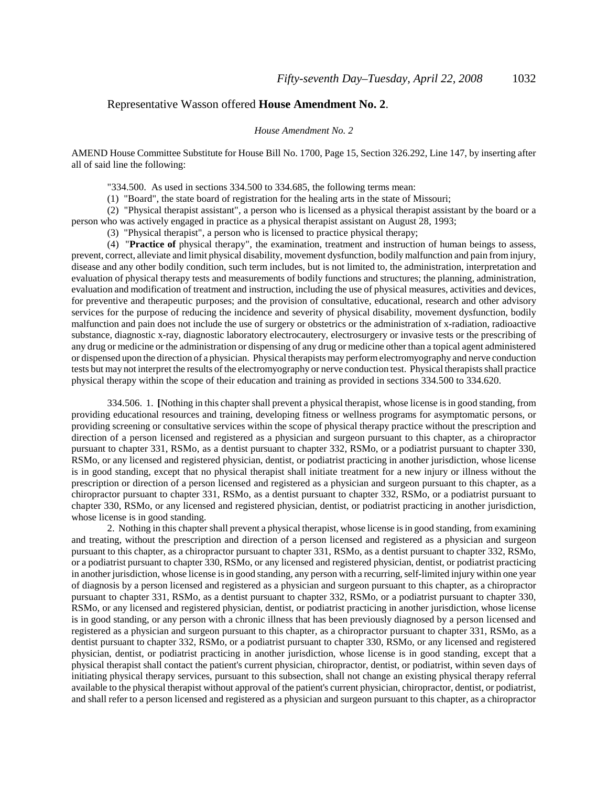### Representative Wasson offered **House Amendment No. 2**.

#### *House Amendment No. 2*

AMEND House Committee Substitute for House Bill No. 1700, Page 15, Section 326.292, Line 147, by inserting after all of said line the following:

"334.500. As used in sections 334.500 to 334.685, the following terms mean:

(1) "Board", the state board of registration for the healing arts in the state of Missouri;

(2) "Physical therapist assistant", a person who is licensed as a physical therapist assistant by the board or a person who was actively engaged in practice as a physical therapist assistant on August 28, 1993;

(3) "Physical therapist", a person who is licensed to practice physical therapy;

(4) "**Practice of** physical therapy", the examination, treatment and instruction of human beings to assess, prevent, correct, alleviate and limit physical disability, movement dysfunction, bodily malfunction and pain from injury, disease and any other bodily condition, such term includes, but is not limited to, the administration, interpretation and evaluation of physical therapy tests and measurements of bodily functions and structures; the planning, administration, evaluation and modification of treatment and instruction, including the use of physical measures, activities and devices, for preventive and therapeutic purposes; and the provision of consultative, educational, research and other advisory services for the purpose of reducing the incidence and severity of physical disability, movement dysfunction, bodily malfunction and pain does not include the use of surgery or obstetrics or the administration of x-radiation, radioactive substance, diagnostic x-ray, diagnostic laboratory electrocautery, electrosurgery or invasive tests or the prescribing of any drug or medicine or the administration or dispensing of any drug or medicine other than a topical agent administered or dispensed upon the direction of a physician. Physical therapists may perform electromyography and nerve conduction tests but may not interpret the results of the electromyography or nerve conduction test. Physical therapists shall practice physical therapy within the scope of their education and training as provided in sections 334.500 to 334.620.

334.506. 1. **[**Nothing in this chapter shall prevent a physical therapist, whose license is in good standing, from providing educational resources and training, developing fitness or wellness programs for asymptomatic persons, or providing screening or consultative services within the scope of physical therapy practice without the prescription and direction of a person licensed and registered as a physician and surgeon pursuant to this chapter, as a chiropractor pursuant to chapter 331, RSMo, as a dentist pursuant to chapter 332, RSMo, or a podiatrist pursuant to chapter 330, RSMo, or any licensed and registered physician, dentist, or podiatrist practicing in another jurisdiction, whose license is in good standing, except that no physical therapist shall initiate treatment for a new injury or illness without the prescription or direction of a person licensed and registered as a physician and surgeon pursuant to this chapter, as a chiropractor pursuant to chapter 331, RSMo, as a dentist pursuant to chapter 332, RSMo, or a podiatrist pursuant to chapter 330, RSMo, or any licensed and registered physician, dentist, or podiatrist practicing in another jurisdiction, whose license is in good standing.

2. Nothing in this chapter shall prevent a physical therapist, whose license is in good standing, from examining and treating, without the prescription and direction of a person licensed and registered as a physician and surgeon pursuant to this chapter, as a chiropractor pursuant to chapter 331, RSMo, as a dentist pursuant to chapter 332, RSMo, or a podiatrist pursuant to chapter 330, RSMo, or any licensed and registered physician, dentist, or podiatrist practicing in another jurisdiction, whose license is in good standing, any person with a recurring, self-limited injury within one year of diagnosis by a person licensed and registered as a physician and surgeon pursuant to this chapter, as a chiropractor pursuant to chapter 331, RSMo, as a dentist pursuant to chapter 332, RSMo, or a podiatrist pursuant to chapter 330, RSMo, or any licensed and registered physician, dentist, or podiatrist practicing in another jurisdiction, whose license is in good standing, or any person with a chronic illness that has been previously diagnosed by a person licensed and registered as a physician and surgeon pursuant to this chapter, as a chiropractor pursuant to chapter 331, RSMo, as a dentist pursuant to chapter 332, RSMo, or a podiatrist pursuant to chapter 330, RSMo, or any licensed and registered physician, dentist, or podiatrist practicing in another jurisdiction, whose license is in good standing, except that a physical therapist shall contact the patient's current physician, chiropractor, dentist, or podiatrist, within seven days of initiating physical therapy services, pursuant to this subsection, shall not change an existing physical therapy referral available to the physical therapist without approval of the patient's current physician, chiropractor, dentist, or podiatrist, and shall refer to a person licensed and registered as a physician and surgeon pursuant to this chapter, as a chiropractor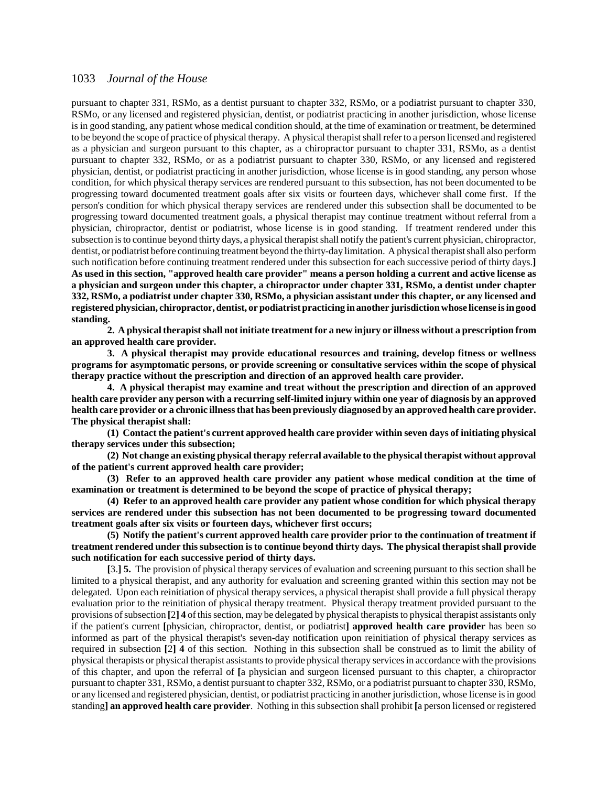pursuant to chapter 331, RSMo, as a dentist pursuant to chapter 332, RSMo, or a podiatrist pursuant to chapter 330, RSMo, or any licensed and registered physician, dentist, or podiatrist practicing in another jurisdiction, whose license is in good standing, any patient whose medical condition should, at the time of examination or treatment, be determined to be beyond the scope of practice of physical therapy. A physical therapist shall refer to a person licensed and registered as a physician and surgeon pursuant to this chapter, as a chiropractor pursuant to chapter 331, RSMo, as a dentist pursuant to chapter 332, RSMo, or as a podiatrist pursuant to chapter 330, RSMo, or any licensed and registered physician, dentist, or podiatrist practicing in another jurisdiction, whose license is in good standing, any person whose condition, for which physical therapy services are rendered pursuant to this subsection, has not been documented to be progressing toward documented treatment goals after six visits or fourteen days, whichever shall come first. If the person's condition for which physical therapy services are rendered under this subsection shall be documented to be progressing toward documented treatment goals, a physical therapist may continue treatment without referral from a physician, chiropractor, dentist or podiatrist, whose license is in good standing. If treatment rendered under this subsection is to continue beyond thirty days, a physical therapist shall notify the patient's current physician, chiropractor, dentist, or podiatrist before continuing treatment beyond the thirty-day limitation. A physical therapist shall also perform such notification before continuing treatment rendered under this subsection for each successive period of thirty days.**] As used in this section, "approved health care provider" means a person holding a current and active license as a physician and surgeon under this chapter, a chiropractor under chapter 331, RSMo, a dentist under chapter 332, RSMo, a podiatrist under chapter 330, RSMo, a physician assistant under this chapter, or any licensed and registered physician, chiropractor, dentist, or podiatrist practicing in another jurisdiction whose license is in good standing.**

**2. A physical therapist shall not initiate treatment for a new injury or illness without a prescription from an approved health care provider.**

**3. A physical therapist may provide educational resources and training, develop fitness or wellness programs for asymptomatic persons, or provide screening or consultative services within the scope of physical therapy practice without the prescription and direction of an approved health care provider.**

**4. A physical therapist may examine and treat without the prescription and direction of an approved health care provider any person with a recurring self-limited injury within one year of diagnosis by an approved health care provider or a chronic illness that has been previously diagnosed by an approved health care provider. The physical therapist shall:**

**(1) Contact the patient's current approved health care provider within seven days of initiating physical therapy services under this subsection;**

**(2) Not change an existing physical therapy referral available to the physical therapist without approval of the patient's current approved health care provider;**

**(3) Refer to an approved health care provider any patient whose medical condition at the time of examination or treatment is determined to be beyond the scope of practice of physical therapy;**

**(4) Refer to an approved health care provider any patient whose condition for which physical therapy services are rendered under this subsection has not been documented to be progressing toward documented treatment goals after six visits or fourteen days, whichever first occurs;**

**(5) Notify the patient's current approved health care provider prior to the continuation of treatment if treatment rendered under this subsection is to continue beyond thirty days. The physical therapist shall provide such notification for each successive period of thirty days.**

**[**3.**] 5.** The provision of physical therapy services of evaluation and screening pursuant to this section shall be limited to a physical therapist, and any authority for evaluation and screening granted within this section may not be delegated. Upon each reinitiation of physical therapy services, a physical therapist shall provide a full physical therapy evaluation prior to the reinitiation of physical therapy treatment. Physical therapy treatment provided pursuant to the provisions of subsection **[**2**] 4** of this section, may be delegated by physical therapists to physical therapist assistants only if the patient's current **[**physician, chiropractor, dentist, or podiatrist**] approved health care provider** has been so informed as part of the physical therapist's seven-day notification upon reinitiation of physical therapy services as required in subsection **[**2**] 4** of this section. Nothing in this subsection shall be construed as to limit the ability of physical therapists or physical therapist assistants to provide physical therapy services in accordance with the provisions of this chapter, and upon the referral of **[**a physician and surgeon licensed pursuant to this chapter, a chiropractor pursuant to chapter 331, RSMo, a dentist pursuant to chapter 332, RSMo, or a podiatrist pursuant to chapter 330, RSMo, or any licensed and registered physician, dentist, or podiatrist practicing in another jurisdiction, whose license is in good standing**] an approved health care provider**. Nothing in this subsection shall prohibit **[**a person licensed or registered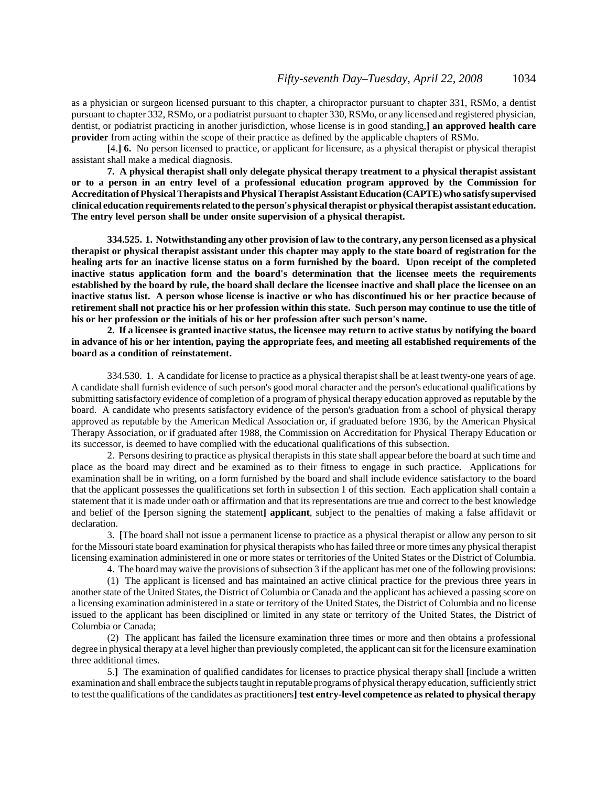as a physician or surgeon licensed pursuant to this chapter, a chiropractor pursuant to chapter 331, RSMo, a dentist pursuant to chapter 332, RSMo, or a podiatrist pursuant to chapter 330, RSMo, or any licensed and registered physician, dentist, or podiatrist practicing in another jurisdiction, whose license is in good standing,**] an approved health care provider** from acting within the scope of their practice as defined by the applicable chapters of RSMo.

**[**4.**] 6.** No person licensed to practice, or applicant for licensure, as a physical therapist or physical therapist assistant shall make a medical diagnosis.

**7. A physical therapist shall only delegate physical therapy treatment to a physical therapist assistant or to a person in an entry level of a professional education program approved by the Commission for Accreditation of Physical Therapists and Physical Therapist Assistant Education (CAPTE) who satisfy supervised clinical education requirements related to the person's physical therapist or physical therapist assistant education. The entry level person shall be under onsite supervision of a physical therapist.**

**334.525. 1. Notwithstanding any other provision of law to the contrary, any person licensed as a physical therapist or physical therapist assistant under this chapter may apply to the state board of registration for the healing arts for an inactive license status on a form furnished by the board. Upon receipt of the completed inactive status application form and the board's determination that the licensee meets the requirements established by the board by rule, the board shall declare the licensee inactive and shall place the licensee on an inactive status list. A person whose license is inactive or who has discontinued his or her practice because of retirement shall not practice his or her profession within this state. Such person may continue to use the title of his or her profession or the initials of his or her profession after such person's name.**

**2. If a licensee is granted inactive status, the licensee may return to active status by notifying the board in advance of his or her intention, paying the appropriate fees, and meeting all established requirements of the board as a condition of reinstatement.**

334.530. 1. A candidate for license to practice as a physical therapist shall be at least twenty-one years of age. A candidate shall furnish evidence of such person's good moral character and the person's educational qualifications by submitting satisfactory evidence of completion of a program of physical therapy education approved as reputable by the board. A candidate who presents satisfactory evidence of the person's graduation from a school of physical therapy approved as reputable by the American Medical Association or, if graduated before 1936, by the American Physical Therapy Association, or if graduated after 1988, the Commission on Accreditation for Physical Therapy Education or its successor, is deemed to have complied with the educational qualifications of this subsection.

2. Persons desiring to practice as physical therapists in this state shall appear before the board at such time and place as the board may direct and be examined as to their fitness to engage in such practice. Applications for examination shall be in writing, on a form furnished by the board and shall include evidence satisfactory to the board that the applicant possesses the qualifications set forth in subsection 1 of this section. Each application shall contain a statement that it is made under oath or affirmation and that its representations are true and correct to the best knowledge and belief of the **[**person signing the statement**] applicant**, subject to the penalties of making a false affidavit or declaration.

3. **[**The board shall not issue a permanent license to practice as a physical therapist or allow any person to sit for the Missouri state board examination for physical therapists who has failed three or more times any physical therapist licensing examination administered in one or more states or territories of the United States or the District of Columbia.

4. The board may waive the provisions of subsection 3 if the applicant has met one of the following provisions:

(1) The applicant is licensed and has maintained an active clinical practice for the previous three years in another state of the United States, the District of Columbia or Canada and the applicant has achieved a passing score on a licensing examination administered in a state or territory of the United States, the District of Columbia and no license issued to the applicant has been disciplined or limited in any state or territory of the United States, the District of Columbia or Canada;

(2) The applicant has failed the licensure examination three times or more and then obtains a professional degree in physical therapy at a level higher than previously completed, the applicant can sit for the licensure examination three additional times.

5.**]** The examination of qualified candidates for licenses to practice physical therapy shall **[**include a written examination and shall embrace the subjects taught in reputable programs of physical therapy education, sufficiently strict to test the qualifications of the candidates as practitioners**] test entry-level competence as related to physical therapy**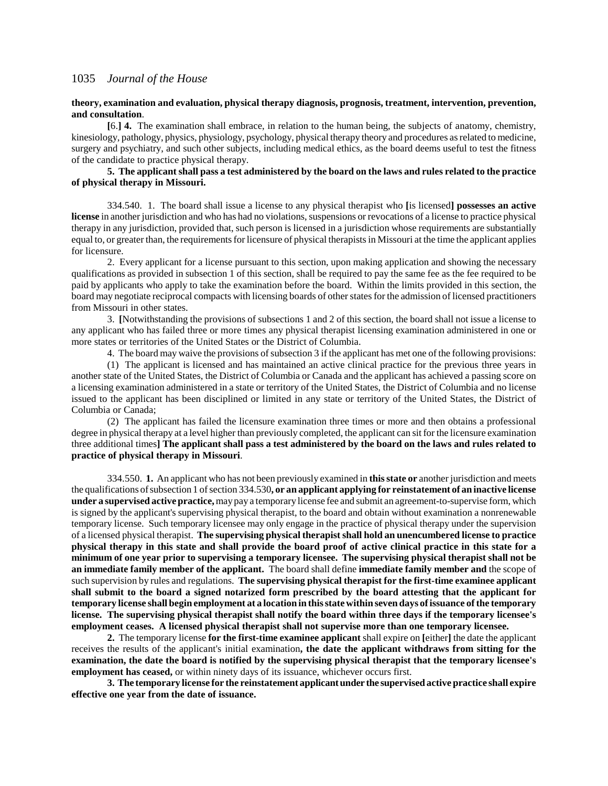#### **theory, examination and evaluation, physical therapy diagnosis, prognosis, treatment, intervention, prevention, and consultation**.

**[**6.**] 4.** The examination shall embrace, in relation to the human being, the subjects of anatomy, chemistry, kinesiology, pathology, physics, physiology, psychology, physical therapy theory and procedures as related to medicine, surgery and psychiatry, and such other subjects, including medical ethics, as the board deems useful to test the fitness of the candidate to practice physical therapy.

#### **5. The applicant shall pass a test administered by the board on the laws and rules related to the practice of physical therapy in Missouri.**

334.540. 1. The board shall issue a license to any physical therapist who **[**is licensed**] possesses an active license** in another jurisdiction and who has had no violations, suspensions or revocations of a license to practice physical therapy in any jurisdiction, provided that, such person is licensed in a jurisdiction whose requirements are substantially equal to, or greater than, the requirements for licensure of physical therapists in Missouri at the time the applicant applies for licensure.

2. Every applicant for a license pursuant to this section, upon making application and showing the necessary qualifications as provided in subsection 1 of this section, shall be required to pay the same fee as the fee required to be paid by applicants who apply to take the examination before the board. Within the limits provided in this section, the board may negotiate reciprocal compacts with licensing boards of other states for the admission of licensed practitioners from Missouri in other states.

3. **[**Notwithstanding the provisions of subsections 1 and 2 of this section, the board shall not issue a license to any applicant who has failed three or more times any physical therapist licensing examination administered in one or more states or territories of the United States or the District of Columbia.

4. The board may waive the provisions of subsection 3 if the applicant has met one of the following provisions:

(1) The applicant is licensed and has maintained an active clinical practice for the previous three years in another state of the United States, the District of Columbia or Canada and the applicant has achieved a passing score on a licensing examination administered in a state or territory of the United States, the District of Columbia and no license issued to the applicant has been disciplined or limited in any state or territory of the United States, the District of Columbia or Canada;

(2) The applicant has failed the licensure examination three times or more and then obtains a professional degree in physical therapy at a level higher than previously completed, the applicant can sit for the licensure examination three additional times**] The applicant shall pass a test administered by the board on the laws and rules related to practice of physical therapy in Missouri**.

334.550. **1.** An applicant who has not been previously examined in **this state or** another jurisdiction and meets the qualifications of subsection 1 of section 334.530**, or an applicant applying for reinstatement of an inactive license under a supervised active practice,** may pay a temporary license fee and submit an agreement-to-supervise form, which is signed by the applicant's supervising physical therapist, to the board and obtain without examination a nonrenewable temporary license. Such temporary licensee may only engage in the practice of physical therapy under the supervision of a licensed physical therapist. **The supervising physical therapist shall hold an unencumbered license to practice physical therapy in this state and shall provide the board proof of active clinical practice in this state for a minimum of one year prior to supervising a temporary licensee. The supervising physical therapist shall not be an immediate family member of the applicant.** The board shall define **immediate family member and** the scope of such supervision by rules and regulations. **The supervising physical therapist for the first-time examinee applicant shall submit to the board a signed notarized form prescribed by the board attesting that the applicant for temporary license shall begin employment at a location in this state within seven days of issuance of the temporary license. The supervising physical therapist shall notify the board within three days if the temporary licensee's employment ceases. A licensed physical therapist shall not supervise more than one temporary licensee.**

**2.** The temporary license **for the first-time examinee applicant** shall expire on **[**either**]** the date the applicant receives the results of the applicant's initial examination**, the date the applicant withdraws from sitting for the examination, the date the board is notified by the supervising physical therapist that the temporary licensee's employment has ceased,** or within ninety days of its issuance, whichever occurs first.

**3. The temporary license for the reinstatement applicant under the supervised active practice shall expire effective one year from the date of issuance.**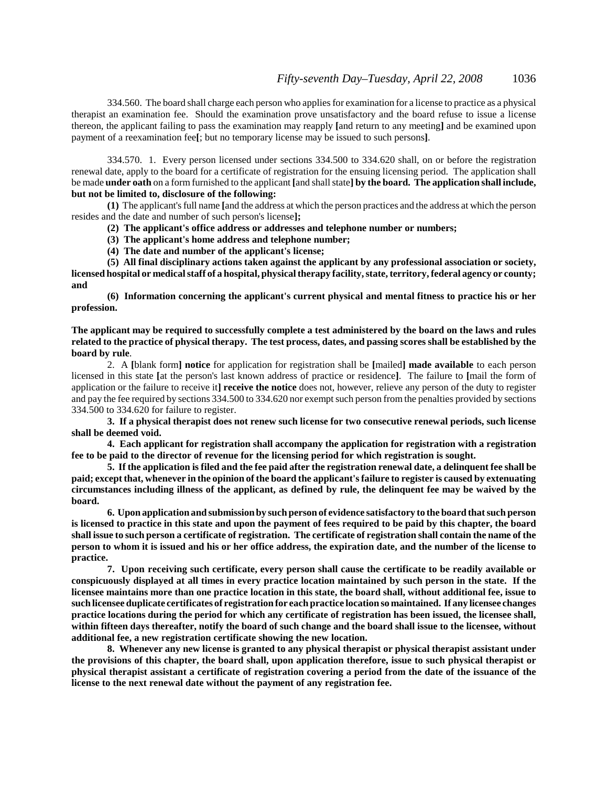334.560. The board shall charge each person who applies for examination for a license to practice as a physical therapist an examination fee. Should the examination prove unsatisfactory and the board refuse to issue a license thereon, the applicant failing to pass the examination may reapply **[**and return to any meeting**]** and be examined upon payment of a reexamination fee**[**; but no temporary license may be issued to such persons**]**.

334.570. 1. Every person licensed under sections 334.500 to 334.620 shall, on or before the registration renewal date, apply to the board for a certificate of registration for the ensuing licensing period. The application shall be made **under oath** on a form furnished to the applicant **[**and shall state**] by the board. The application shall include, but not be limited to, disclosure of the following:**

**(1)** The applicant's full name **[**and the address at which the person practices and the address at which the person resides and the date and number of such person's license**];**

**(2) The applicant's office address or addresses and telephone number or numbers;**

**(3) The applicant's home address and telephone number;**

**(4) The date and number of the applicant's license;**

**(5) All final disciplinary actions taken against the applicant by any professional association or society, licensed hospital or medical staff of a hospital, physical therapy facility, state, territory, federal agency or county; and**

**(6) Information concerning the applicant's current physical and mental fitness to practice his or her profession.**

#### **The applicant may be required to successfully complete a test administered by the board on the laws and rules related to the practice of physical therapy. The test process, dates, and passing scores shall be established by the board by rule**.

2. A **[**blank form**] notice** for application for registration shall be **[**mailed**] made available** to each person licensed in this state **[**at the person's last known address of practice or residence**]**. The failure to **[**mail the form of application or the failure to receive it**] receive the notice** does not, however, relieve any person of the duty to register and pay the fee required by sections 334.500 to 334.620 nor exempt such person from the penalties provided by sections 334.500 to 334.620 for failure to register.

**3. If a physical therapist does not renew such license for two consecutive renewal periods, such license shall be deemed void.**

**4. Each applicant for registration shall accompany the application for registration with a registration fee to be paid to the director of revenue for the licensing period for which registration is sought.**

**5. If the application is filed and the fee paid after the registration renewal date, a delinquent fee shall be paid; except that, whenever in the opinion of the board the applicant's failure to register is caused by extenuating circumstances including illness of the applicant, as defined by rule, the delinquent fee may be waived by the board.**

**6. Upon application and submission by such person of evidence satisfactory to the board that such person is licensed to practice in this state and upon the payment of fees required to be paid by this chapter, the board shall issue to such person a certificate of registration. The certificate of registration shall contain the name of the person to whom it is issued and his or her office address, the expiration date, and the number of the license to practice.**

**7. Upon receiving such certificate, every person shall cause the certificate to be readily available or conspicuously displayed at all times in every practice location maintained by such person in the state. If the licensee maintains more than one practice location in this state, the board shall, without additional fee, issue to such licensee duplicate certificates of registration for each practice location so maintained. If any licensee changes practice locations during the period for which any certificate of registration has been issued, the licensee shall, within fifteen days thereafter, notify the board of such change and the board shall issue to the licensee, without additional fee, a new registration certificate showing the new location.**

**8. Whenever any new license is granted to any physical therapist or physical therapist assistant under the provisions of this chapter, the board shall, upon application therefore, issue to such physical therapist or physical therapist assistant a certificate of registration covering a period from the date of the issuance of the license to the next renewal date without the payment of any registration fee.**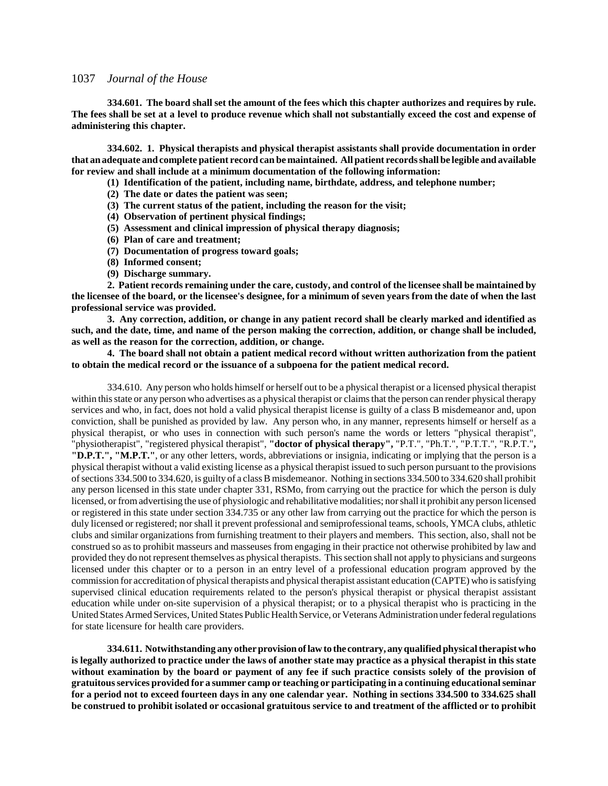**334.601. The board shall set the amount of the fees which this chapter authorizes and requires by rule. The fees shall be set at a level to produce revenue which shall not substantially exceed the cost and expense of administering this chapter.**

**334.602. 1. Physical therapists and physical therapist assistants shall provide documentation in order that an adequate and complete patient record can be maintained. All patient records shall be legible and available for review and shall include at a minimum documentation of the following information:**

**(1) Identification of the patient, including name, birthdate, address, and telephone number;**

- **(2) The date or dates the patient was seen;**
- **(3) The current status of the patient, including the reason for the visit;**
- **(4) Observation of pertinent physical findings;**
- **(5) Assessment and clinical impression of physical therapy diagnosis;**
- **(6) Plan of care and treatment;**
- **(7) Documentation of progress toward goals;**
- **(8) Informed consent;**
- **(9) Discharge summary.**

**2. Patient records remaining under the care, custody, and control of the licensee shall be maintained by the licensee of the board, or the licensee's designee, for a minimum of seven years from the date of when the last professional service was provided.**

**3. Any correction, addition, or change in any patient record shall be clearly marked and identified as such, and the date, time, and name of the person making the correction, addition, or change shall be included, as well as the reason for the correction, addition, or change.**

**4. The board shall not obtain a patient medical record without written authorization from the patient to obtain the medical record or the issuance of a subpoena for the patient medical record.**

334.610. Any person who holds himself or herself out to be a physical therapist or a licensed physical therapist within this state or any person who advertises as a physical therapist or claims that the person can render physical therapy services and who, in fact, does not hold a valid physical therapist license is guilty of a class B misdemeanor and, upon conviction, shall be punished as provided by law. Any person who, in any manner, represents himself or herself as a physical therapist, or who uses in connection with such person's name the words or letters "physical therapist", "physiotherapist", "registered physical therapist", **"doctor of physical therapy",** "P.T.", "Ph.T.", "P.T.T.", "R.P.T."**, "D.P.T.", "M.P.T."**, or any other letters, words, abbreviations or insignia, indicating or implying that the person is a physical therapist without a valid existing license as a physical therapist issued to such person pursuant to the provisions of sections 334.500 to 334.620, is guilty of a class B misdemeanor. Nothing in sections 334.500 to 334.620 shall prohibit any person licensed in this state under chapter 331, RSMo, from carrying out the practice for which the person is duly licensed, or from advertising the use of physiologic and rehabilitative modalities; nor shall it prohibit any person licensed or registered in this state under section 334.735 or any other law from carrying out the practice for which the person is duly licensed or registered; nor shall it prevent professional and semiprofessional teams, schools, YMCA clubs, athletic clubs and similar organizations from furnishing treatment to their players and members. This section, also, shall not be construed so as to prohibit masseurs and masseuses from engaging in their practice not otherwise prohibited by law and provided they do not represent themselves as physical therapists. This section shall not apply to physicians and surgeons licensed under this chapter or to a person in an entry level of a professional education program approved by the commission for accreditation of physical therapists and physical therapist assistant education (CAPTE) who is satisfying supervised clinical education requirements related to the person's physical therapist or physical therapist assistant education while under on-site supervision of a physical therapist; or to a physical therapist who is practicing in the United States Armed Services, United States Public Health Service, or Veterans Administration under federal regulations for state licensure for health care providers.

**334.611. Notwithstanding any other provision of law to the contrary, any qualified physical therapist who is legally authorized to practice under the laws of another state may practice as a physical therapist in this state without examination by the board or payment of any fee if such practice consists solely of the provision of gratuitous services provided for a summer camp or teaching or participating in a continuing educational seminar for a period not to exceed fourteen days in any one calendar year. Nothing in sections 334.500 to 334.625 shall be construed to prohibit isolated or occasional gratuitous service to and treatment of the afflicted or to prohibit**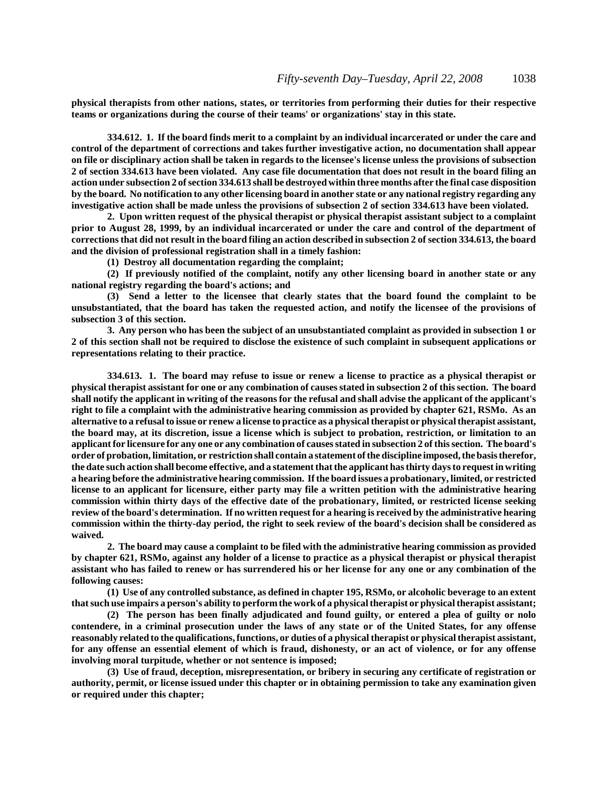**physical therapists from other nations, states, or territories from performing their duties for their respective teams or organizations during the course of their teams' or organizations' stay in this state.**

**334.612. 1. If the board finds merit to a complaint by an individual incarcerated or under the care and control of the department of corrections and takes further investigative action, no documentation shall appear on file or disciplinary action shall be taken in regards to the licensee's license unless the provisions of subsection 2 of section 334.613 have been violated. Any case file documentation that does not result in the board filing an action under subsection 2 of section 334.613 shall be destroyed within three months after the final case disposition by the board. No notification to any other licensing board in another state or any national registry regarding any investigative action shall be made unless the provisions of subsection 2 of section 334.613 have been violated.**

**2. Upon written request of the physical therapist or physical therapist assistant subject to a complaint prior to August 28, 1999, by an individual incarcerated or under the care and control of the department of corrections that did not result in the board filing an action described in subsection 2 of section 334.613, the board and the division of professional registration shall in a timely fashion:**

**(1) Destroy all documentation regarding the complaint;**

**(2) If previously notified of the complaint, notify any other licensing board in another state or any national registry regarding the board's actions; and**

**(3) Send a letter to the licensee that clearly states that the board found the complaint to be unsubstantiated, that the board has taken the requested action, and notify the licensee of the provisions of subsection 3 of this section.**

**3. Any person who has been the subject of an unsubstantiated complaint as provided in subsection 1 or 2 of this section shall not be required to disclose the existence of such complaint in subsequent applications or representations relating to their practice.**

**334.613. 1. The board may refuse to issue or renew a license to practice as a physical therapist or physical therapist assistant for one or any combination of causes stated in subsection 2 of this section. The board shall notify the applicant in writing of the reasons for the refusal and shall advise the applicant of the applicant's right to file a complaint with the administrative hearing commission as provided by chapter 621, RSMo. As an alternative to a refusal to issue or renew a license to practice as a physical therapist or physical therapist assistant, the board may, at its discretion, issue a license which is subject to probation, restriction, or limitation to an applicant for licensure for any one or any combination of causes stated in subsection 2 of this section. The board's order of probation, limitation, or restriction shall contain a statement of the discipline imposed, the basis therefor, the date such action shall become effective, and a statement that the applicant has thirty days to request in writing a hearing before the administrative hearing commission. If the board issues a probationary, limited, or restricted license to an applicant for licensure, either party may file a written petition with the administrative hearing commission within thirty days of the effective date of the probationary, limited, or restricted license seeking review of the board's determination. If no written request for a hearing is received by the administrative hearing commission within the thirty-day period, the right to seek review of the board's decision shall be considered as waived.**

**2. The board may cause a complaint to be filed with the administrative hearing commission as provided by chapter 621, RSMo, against any holder of a license to practice as a physical therapist or physical therapist assistant who has failed to renew or has surrendered his or her license for any one or any combination of the following causes:**

**(1) Use of any controlled substance, as defined in chapter 195, RSMo, or alcoholic beverage to an extent that such use impairs a person's ability to perform the work of a physical therapist or physical therapist assistant;**

**(2) The person has been finally adjudicated and found guilty, or entered a plea of guilty or nolo contendere, in a criminal prosecution under the laws of any state or of the United States, for any offense reasonably related to the qualifications, functions, or duties of a physical therapist or physical therapist assistant, for any offense an essential element of which is fraud, dishonesty, or an act of violence, or for any offense involving moral turpitude, whether or not sentence is imposed;**

**(3) Use of fraud, deception, misrepresentation, or bribery in securing any certificate of registration or authority, permit, or license issued under this chapter or in obtaining permission to take any examination given or required under this chapter;**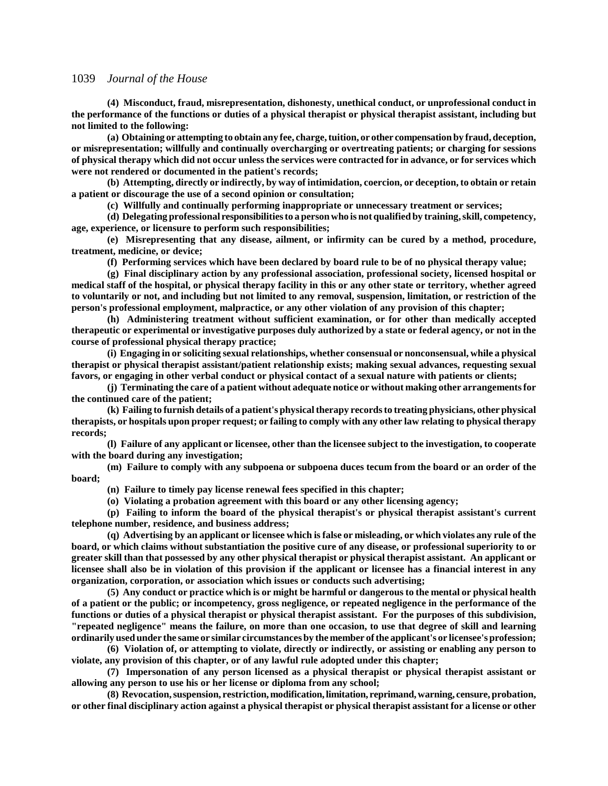**(4) Misconduct, fraud, misrepresentation, dishonesty, unethical conduct, or unprofessional conduct in the performance of the functions or duties of a physical therapist or physical therapist assistant, including but not limited to the following:**

**(a) Obtaining or attempting to obtain any fee, charge, tuition, or other compensation by fraud, deception, or misrepresentation; willfully and continually overcharging or overtreating patients; or charging for sessions of physical therapy which did not occur unless the services were contracted for in advance, or for services which were not rendered or documented in the patient's records;**

**(b) Attempting, directly or indirectly, by way of intimidation, coercion, or deception, to obtain or retain a patient or discourage the use of a second opinion or consultation;**

**(c) Willfully and continually performing inappropriate or unnecessary treatment or services;**

**(d) Delegating professional responsibilities to a person who is not qualified by training, skill, competency, age, experience, or licensure to perform such responsibilities;**

**(e) Misrepresenting that any disease, ailment, or infirmity can be cured by a method, procedure, treatment, medicine, or device;**

**(f) Performing services which have been declared by board rule to be of no physical therapy value;**

**(g) Final disciplinary action by any professional association, professional society, licensed hospital or medical staff of the hospital, or physical therapy facility in this or any other state or territory, whether agreed to voluntarily or not, and including but not limited to any removal, suspension, limitation, or restriction of the person's professional employment, malpractice, or any other violation of any provision of this chapter;**

**(h) Administering treatment without sufficient examination, or for other than medically accepted therapeutic or experimental or investigative purposes duly authorized by a state or federal agency, or not in the course of professional physical therapy practice;**

**(i) Engaging in or soliciting sexual relationships, whether consensual or nonconsensual, while a physical therapist or physical therapist assistant/patient relationship exists; making sexual advances, requesting sexual favors, or engaging in other verbal conduct or physical contact of a sexual nature with patients or clients;**

**(j) Terminating the care of a patient without adequate notice or without making other arrangements for the continued care of the patient;**

**(k) Failing to furnish details of a patient's physical therapy records to treating physicians, other physical therapists, or hospitals upon proper request; or failing to comply with any other law relating to physical therapy records;**

**(l) Failure of any applicant or licensee, other than the licensee subject to the investigation, to cooperate with the board during any investigation;**

**(m) Failure to comply with any subpoena or subpoena duces tecum from the board or an order of the board;**

**(n) Failure to timely pay license renewal fees specified in this chapter;**

**(o) Violating a probation agreement with this board or any other licensing agency;**

**(p) Failing to inform the board of the physical therapist's or physical therapist assistant's current telephone number, residence, and business address;**

**(q) Advertising by an applicant or licensee which is false or misleading, or which violates any rule of the board, or which claims without substantiation the positive cure of any disease, or professional superiority to or greater skill than that possessed by any other physical therapist or physical therapist assistant. An applicant or licensee shall also be in violation of this provision if the applicant or licensee has a financial interest in any organization, corporation, or association which issues or conducts such advertising;**

**(5) Any conduct or practice which is or might be harmful or dangerous to the mental or physical health of a patient or the public; or incompetency, gross negligence, or repeated negligence in the performance of the functions or duties of a physical therapist or physical therapist assistant. For the purposes of this subdivision, "repeated negligence" means the failure, on more than one occasion, to use that degree of skill and learning ordinarily used under the same or similar circumstances by the member of the applicant's or licensee's profession;**

**(6) Violation of, or attempting to violate, directly or indirectly, or assisting or enabling any person to violate, any provision of this chapter, or of any lawful rule adopted under this chapter;**

**(7) Impersonation of any person licensed as a physical therapist or physical therapist assistant or allowing any person to use his or her license or diploma from any school;**

**(8) Revocation, suspension, restriction, modification, limitation, reprimand, warning, censure, probation, or other final disciplinary action against a physical therapist or physical therapist assistant for a license or other**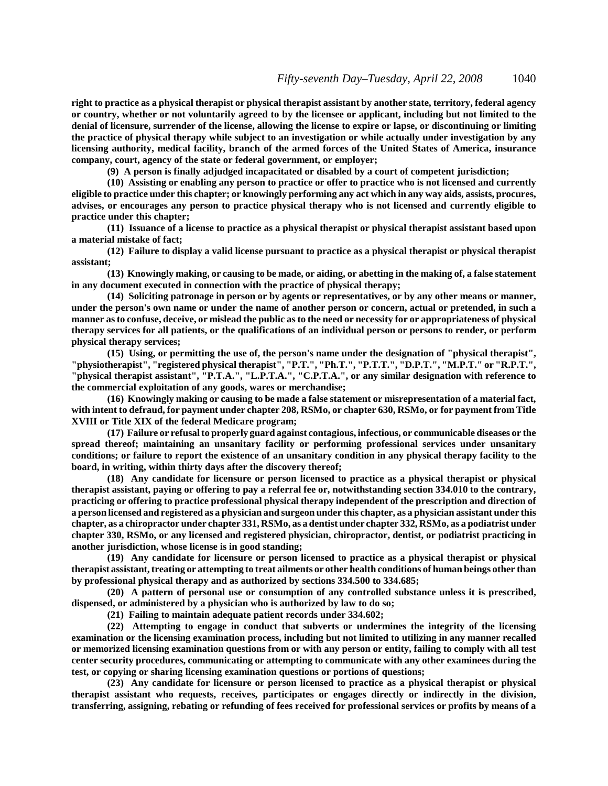**right to practice as a physical therapist or physical therapist assistant by another state, territory, federal agency or country, whether or not voluntarily agreed to by the licensee or applicant, including but not limited to the denial of licensure, surrender of the license, allowing the license to expire or lapse, or discontinuing or limiting the practice of physical therapy while subject to an investigation or while actually under investigation by any licensing authority, medical facility, branch of the armed forces of the United States of America, insurance company, court, agency of the state or federal government, or employer;**

**(9) A person is finally adjudged incapacitated or disabled by a court of competent jurisdiction;**

**(10) Assisting or enabling any person to practice or offer to practice who is not licensed and currently eligible to practice under this chapter; or knowingly performing any act which in any way aids, assists, procures, advises, or encourages any person to practice physical therapy who is not licensed and currently eligible to practice under this chapter;**

**(11) Issuance of a license to practice as a physical therapist or physical therapist assistant based upon a material mistake of fact;**

**(12) Failure to display a valid license pursuant to practice as a physical therapist or physical therapist assistant;**

**(13) Knowingly making, or causing to be made, or aiding, or abetting in the making of, a false statement in any document executed in connection with the practice of physical therapy;**

**(14) Soliciting patronage in person or by agents or representatives, or by any other means or manner, under the person's own name or under the name of another person or concern, actual or pretended, in such a manner as to confuse, deceive, or mislead the public as to the need or necessity for or appropriateness of physical therapy services for all patients, or the qualifications of an individual person or persons to render, or perform physical therapy services;**

**(15) Using, or permitting the use of, the person's name under the designation of "physical therapist", "physiotherapist", "registered physical therapist", "P.T.", "Ph.T.", "P.T.T.", "D.P.T.", "M.P.T." or "R.P.T.", "physical therapist assistant", "P.T.A.", "L.P.T.A.", "C.P.T.A.", or any similar designation with reference to the commercial exploitation of any goods, wares or merchandise;**

**(16) Knowingly making or causing to be made a false statement or misrepresentation of a material fact, with intent to defraud, for payment under chapter 208, RSMo, or chapter 630, RSMo, or for payment from Title XVIII or Title XIX of the federal Medicare program;**

**(17) Failure or refusal to properly guard against contagious, infectious, or communicable diseases or the spread thereof; maintaining an unsanitary facility or performing professional services under unsanitary conditions; or failure to report the existence of an unsanitary condition in any physical therapy facility to the board, in writing, within thirty days after the discovery thereof;**

**(18) Any candidate for licensure or person licensed to practice as a physical therapist or physical therapist assistant, paying or offering to pay a referral fee or, notwithstanding section 334.010 to the contrary, practicing or offering to practice professional physical therapy independent of the prescription and direction of a person licensed and registered as a physician and surgeon under this chapter, as a physician assistant under this chapter, as a chiropractor under chapter 331, RSMo, as a dentist under chapter 332, RSMo, as a podiatrist under chapter 330, RSMo, or any licensed and registered physician, chiropractor, dentist, or podiatrist practicing in another jurisdiction, whose license is in good standing;**

**(19) Any candidate for licensure or person licensed to practice as a physical therapist or physical therapist assistant, treating or attempting to treat ailments or other health conditions of human beings other than by professional physical therapy and as authorized by sections 334.500 to 334.685;**

**(20) A pattern of personal use or consumption of any controlled substance unless it is prescribed, dispensed, or administered by a physician who is authorized by law to do so;**

**(21) Failing to maintain adequate patient records under 334.602;**

**(22) Attempting to engage in conduct that subverts or undermines the integrity of the licensing examination or the licensing examination process, including but not limited to utilizing in any manner recalled or memorized licensing examination questions from or with any person or entity, failing to comply with all test center security procedures, communicating or attempting to communicate with any other examinees during the test, or copying or sharing licensing examination questions or portions of questions;**

**(23) Any candidate for licensure or person licensed to practice as a physical therapist or physical therapist assistant who requests, receives, participates or engages directly or indirectly in the division, transferring, assigning, rebating or refunding of fees received for professional services or profits by means of a**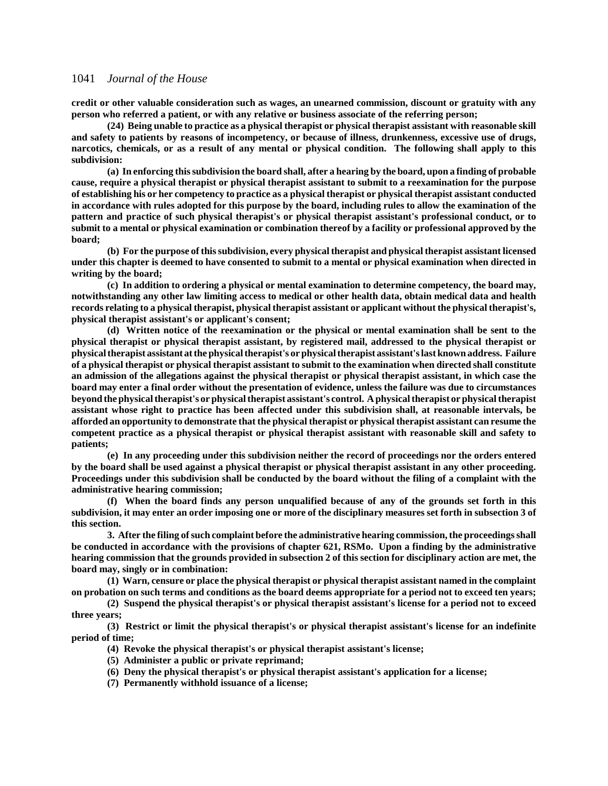**credit or other valuable consideration such as wages, an unearned commission, discount or gratuity with any person who referred a patient, or with any relative or business associate of the referring person;**

**(24) Being unable to practice as a physical therapist or physical therapist assistant with reasonable skill and safety to patients by reasons of incompetency, or because of illness, drunkenness, excessive use of drugs, narcotics, chemicals, or as a result of any mental or physical condition. The following shall apply to this subdivision:**

**(a) In enforcing this subdivision the board shall, after a hearing by the board, upon a finding of probable cause, require a physical therapist or physical therapist assistant to submit to a reexamination for the purpose of establishing his or her competency to practice as a physical therapist or physical therapist assistant conducted in accordance with rules adopted for this purpose by the board, including rules to allow the examination of the pattern and practice of such physical therapist's or physical therapist assistant's professional conduct, or to submit to a mental or physical examination or combination thereof by a facility or professional approved by the board;**

**(b) For the purpose of this subdivision, every physical therapist and physical therapist assistant licensed under this chapter is deemed to have consented to submit to a mental or physical examination when directed in writing by the board;**

**(c) In addition to ordering a physical or mental examination to determine competency, the board may, notwithstanding any other law limiting access to medical or other health data, obtain medical data and health records relating to a physical therapist, physical therapist assistant or applicant without the physical therapist's, physical therapist assistant's or applicant's consent;**

**(d) Written notice of the reexamination or the physical or mental examination shall be sent to the physical therapist or physical therapist assistant, by registered mail, addressed to the physical therapist or physical therapist assistant at the physical therapist's or physical therapist assistant's last known address. Failure of a physical therapist or physical therapist assistant to submit to the examination when directed shall constitute an admission of the allegations against the physical therapist or physical therapist assistant, in which case the board may enter a final order without the presentation of evidence, unless the failure was due to circumstances beyond the physical therapist's or physical therapist assistant's control. A physical therapist or physical therapist assistant whose right to practice has been affected under this subdivision shall, at reasonable intervals, be afforded an opportunity to demonstrate that the physical therapist or physical therapist assistant can resume the competent practice as a physical therapist or physical therapist assistant with reasonable skill and safety to patients;**

**(e) In any proceeding under this subdivision neither the record of proceedings nor the orders entered by the board shall be used against a physical therapist or physical therapist assistant in any other proceeding. Proceedings under this subdivision shall be conducted by the board without the filing of a complaint with the administrative hearing commission;**

**(f) When the board finds any person unqualified because of any of the grounds set forth in this subdivision, it may enter an order imposing one or more of the disciplinary measures set forth in subsection 3 of this section.**

**3. After the filing of such complaint before the administrative hearing commission, the proceedings shall be conducted in accordance with the provisions of chapter 621, RSMo. Upon a finding by the administrative hearing commission that the grounds provided in subsection 2 of this section for disciplinary action are met, the board may, singly or in combination:**

**(1) Warn, censure or place the physical therapist or physical therapist assistant named in the complaint on probation on such terms and conditions as the board deems appropriate for a period not to exceed ten years;**

**(2) Suspend the physical therapist's or physical therapist assistant's license for a period not to exceed three years;**

**(3) Restrict or limit the physical therapist's or physical therapist assistant's license for an indefinite period of time;**

- **(4) Revoke the physical therapist's or physical therapist assistant's license;**
- **(5) Administer a public or private reprimand;**
- **(6) Deny the physical therapist's or physical therapist assistant's application for a license;**
- **(7) Permanently withhold issuance of a license;**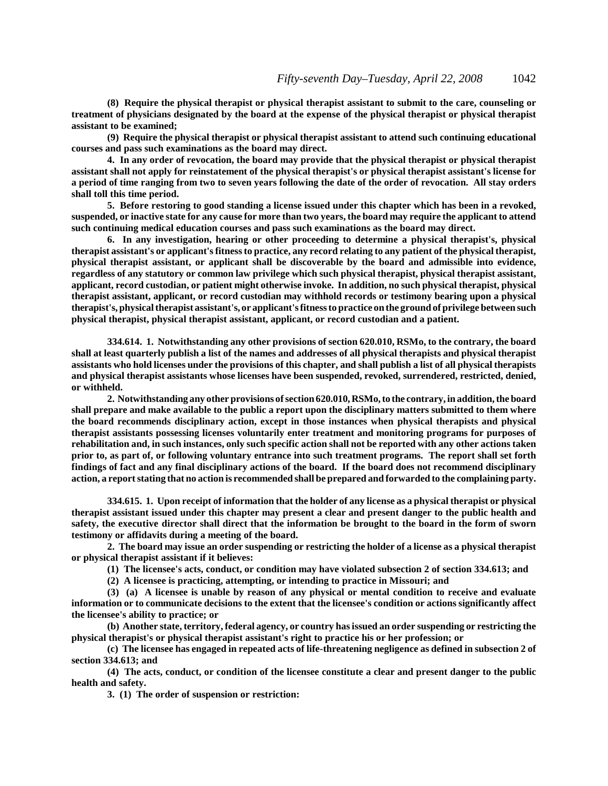**(8) Require the physical therapist or physical therapist assistant to submit to the care, counseling or treatment of physicians designated by the board at the expense of the physical therapist or physical therapist assistant to be examined;**

**(9) Require the physical therapist or physical therapist assistant to attend such continuing educational courses and pass such examinations as the board may direct.**

**4. In any order of revocation, the board may provide that the physical therapist or physical therapist assistant shall not apply for reinstatement of the physical therapist's or physical therapist assistant's license for a period of time ranging from two to seven years following the date of the order of revocation. All stay orders shall toll this time period.**

**5. Before restoring to good standing a license issued under this chapter which has been in a revoked, suspended, or inactive state for any cause for more than two years, the board may require the applicant to attend such continuing medical education courses and pass such examinations as the board may direct.**

**6. In any investigation, hearing or other proceeding to determine a physical therapist's, physical therapist assistant's or applicant's fitness to practice, any record relating to any patient of the physical therapist, physical therapist assistant, or applicant shall be discoverable by the board and admissible into evidence, regardless of any statutory or common law privilege which such physical therapist, physical therapist assistant, applicant, record custodian, or patient might otherwise invoke. In addition, no such physical therapist, physical therapist assistant, applicant, or record custodian may withhold records or testimony bearing upon a physical therapist's, physical therapist assistant's, or applicant's fitness to practice on the ground of privilege between such physical therapist, physical therapist assistant, applicant, or record custodian and a patient.**

**334.614. 1. Notwithstanding any other provisions of section 620.010, RSMo, to the contrary, the board shall at least quarterly publish a list of the names and addresses of all physical therapists and physical therapist assistants who hold licenses under the provisions of this chapter, and shall publish a list of all physical therapists and physical therapist assistants whose licenses have been suspended, revoked, surrendered, restricted, denied, or withheld.**

**2. Notwithstanding any other provisions of section 620.010, RSMo, to the contrary, in addition, the board shall prepare and make available to the public a report upon the disciplinary matters submitted to them where the board recommends disciplinary action, except in those instances when physical therapists and physical therapist assistants possessing licenses voluntarily enter treatment and monitoring programs for purposes of rehabilitation and, in such instances, only such specific action shall not be reported with any other actions taken prior to, as part of, or following voluntary entrance into such treatment programs. The report shall set forth findings of fact and any final disciplinary actions of the board. If the board does not recommend disciplinary action, a report stating that no action is recommended shall be prepared and forwarded to the complaining party.**

**334.615. 1. Upon receipt of information that the holder of any license as a physical therapist or physical therapist assistant issued under this chapter may present a clear and present danger to the public health and safety, the executive director shall direct that the information be brought to the board in the form of sworn testimony or affidavits during a meeting of the board.**

**2. The board may issue an order suspending or restricting the holder of a license as a physical therapist or physical therapist assistant if it believes:**

**(1) The licensee's acts, conduct, or condition may have violated subsection 2 of section 334.613; and**

**(2) A licensee is practicing, attempting, or intending to practice in Missouri; and**

**(3) (a) A licensee is unable by reason of any physical or mental condition to receive and evaluate information or to communicate decisions to the extent that the licensee's condition or actions significantly affect the licensee's ability to practice; or**

**(b) Another state, territory, federal agency, or country has issued an order suspending or restricting the physical therapist's or physical therapist assistant's right to practice his or her profession; or**

**(c) The licensee has engaged in repeated acts of life-threatening negligence as defined in subsection 2 of section 334.613; and**

**(4) The acts, conduct, or condition of the licensee constitute a clear and present danger to the public health and safety.**

**3. (1) The order of suspension or restriction:**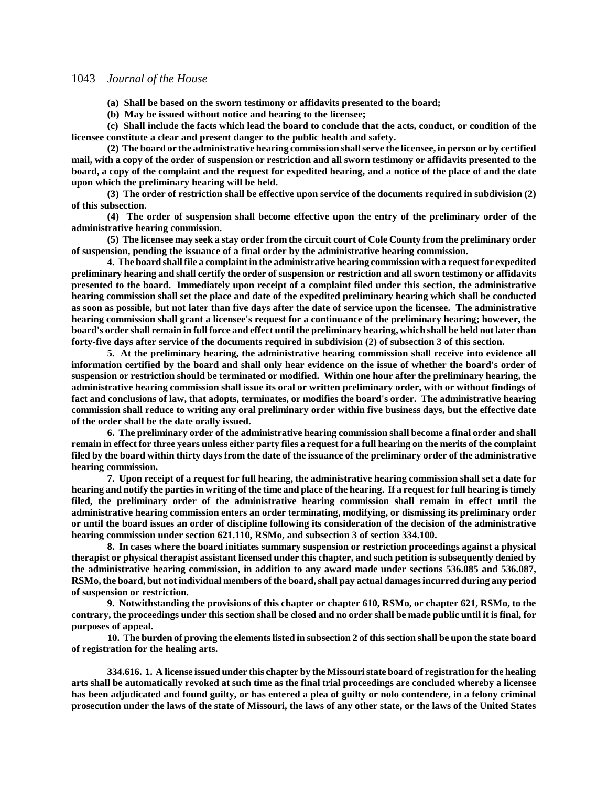**(a) Shall be based on the sworn testimony or affidavits presented to the board;**

**(b) May be issued without notice and hearing to the licensee;**

**(c) Shall include the facts which lead the board to conclude that the acts, conduct, or condition of the licensee constitute a clear and present danger to the public health and safety.**

**(2) The board or the administrative hearing commission shall serve the licensee, in person or by certified mail, with a copy of the order of suspension or restriction and all sworn testimony or affidavits presented to the board, a copy of the complaint and the request for expedited hearing, and a notice of the place of and the date upon which the preliminary hearing will be held.**

**(3) The order of restriction shall be effective upon service of the documents required in subdivision (2) of this subsection.**

**(4) The order of suspension shall become effective upon the entry of the preliminary order of the administrative hearing commission.**

**(5) The licensee may seek a stay order from the circuit court of Cole County from the preliminary order of suspension, pending the issuance of a final order by the administrative hearing commission.**

**4. The board shall file a complaint in the administrative hearing commission with a request for expedited preliminary hearing and shall certify the order of suspension or restriction and all sworn testimony or affidavits presented to the board. Immediately upon receipt of a complaint filed under this section, the administrative hearing commission shall set the place and date of the expedited preliminary hearing which shall be conducted as soon as possible, but not later than five days after the date of service upon the licensee. The administrative hearing commission shall grant a licensee's request for a continuance of the preliminary hearing; however, the board's order shall remain in full force and effect until the preliminary hearing, which shall be held not later than forty-five days after service of the documents required in subdivision (2) of subsection 3 of this section.**

**5. At the preliminary hearing, the administrative hearing commission shall receive into evidence all information certified by the board and shall only hear evidence on the issue of whether the board's order of suspension or restriction should be terminated or modified. Within one hour after the preliminary hearing, the administrative hearing commission shall issue its oral or written preliminary order, with or without findings of fact and conclusions of law, that adopts, terminates, or modifies the board's order. The administrative hearing commission shall reduce to writing any oral preliminary order within five business days, but the effective date of the order shall be the date orally issued.**

**6. The preliminary order of the administrative hearing commission shall become a final order and shall remain in effect for three years unless either party files a request for a full hearing on the merits of the complaint filed by the board within thirty days from the date of the issuance of the preliminary order of the administrative hearing commission.**

**7. Upon receipt of a request for full hearing, the administrative hearing commission shall set a date for hearing and notify the parties in writing of the time and place of the hearing. If a request for full hearing is timely filed, the preliminary order of the administrative hearing commission shall remain in effect until the administrative hearing commission enters an order terminating, modifying, or dismissing its preliminary order or until the board issues an order of discipline following its consideration of the decision of the administrative hearing commission under section 621.110, RSMo, and subsection 3 of section 334.100.**

**8. In cases where the board initiates summary suspension or restriction proceedings against a physical therapist or physical therapist assistant licensed under this chapter, and such petition is subsequently denied by the administrative hearing commission, in addition to any award made under sections 536.085 and 536.087, RSMo, the board, but not individual members of the board, shall pay actual damages incurred during any period of suspension or restriction.**

**9. Notwithstanding the provisions of this chapter or chapter 610, RSMo, or chapter 621, RSMo, to the contrary, the proceedings under this section shall be closed and no order shall be made public until it is final, for purposes of appeal.**

**10. The burden of proving the elements listed in subsection 2 of this section shall be upon the state board of registration for the healing arts.**

**334.616. 1. A license issued under this chapter by the Missouri state board of registration for the healing arts shall be automatically revoked at such time as the final trial proceedings are concluded whereby a licensee has been adjudicated and found guilty, or has entered a plea of guilty or nolo contendere, in a felony criminal prosecution under the laws of the state of Missouri, the laws of any other state, or the laws of the United States**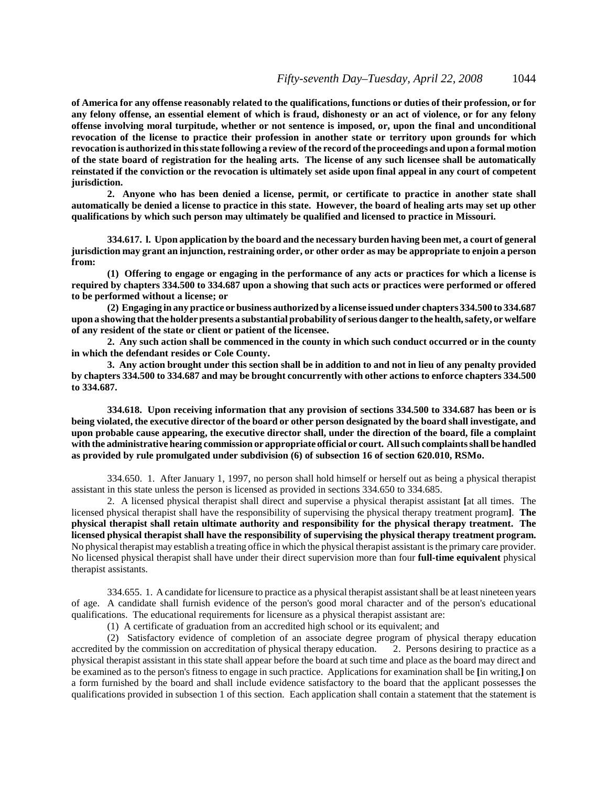**of America for any offense reasonably related to the qualifications, functions or duties of their profession, or for any felony offense, an essential element of which is fraud, dishonesty or an act of violence, or for any felony offense involving moral turpitude, whether or not sentence is imposed, or, upon the final and unconditional revocation of the license to practice their profession in another state or territory upon grounds for which revocation is authorized in this state following a review of the record of the proceedings and upon a formal motion of the state board of registration for the healing arts. The license of any such licensee shall be automatically reinstated if the conviction or the revocation is ultimately set aside upon final appeal in any court of competent jurisdiction.**

**2. Anyone who has been denied a license, permit, or certificate to practice in another state shall automatically be denied a license to practice in this state. However, the board of healing arts may set up other qualifications by which such person may ultimately be qualified and licensed to practice in Missouri.**

**334.617. l. Upon application by the board and the necessary burden having been met, a court of general jurisdiction may grant an injunction, restraining order, or other order as may be appropriate to enjoin a person from:**

**(1) Offering to engage or engaging in the performance of any acts or practices for which a license is required by chapters 334.500 to 334.687 upon a showing that such acts or practices were performed or offered to be performed without a license; or**

**(2) Engaging in any practice or business authorized by a license issued under chapters 334.500 to 334.687 upon a showing that the holder presents a substantial probability of serious danger to the health, safety, or welfare of any resident of the state or client or patient of the licensee.**

**2. Any such action shall be commenced in the county in which such conduct occurred or in the county in which the defendant resides or Cole County.**

**3. Any action brought under this section shall be in addition to and not in lieu of any penalty provided by chapters 334.500 to 334.687 and may be brought concurrently with other actions to enforce chapters 334.500 to 334.687.**

**334.618. Upon receiving information that any provision of sections 334.500 to 334.687 has been or is being violated, the executive director of the board or other person designated by the board shall investigate, and upon probable cause appearing, the executive director shall, under the direction of the board, file a complaint with the administrative hearing commission or appropriate official or court. All such complaints shall be handled as provided by rule promulgated under subdivision (6) of subsection 16 of section 620.010, RSMo.**

334.650. 1. After January 1, 1997, no person shall hold himself or herself out as being a physical therapist assistant in this state unless the person is licensed as provided in sections 334.650 to 334.685.

2. A licensed physical therapist shall direct and supervise a physical therapist assistant **[**at all times. The licensed physical therapist shall have the responsibility of supervising the physical therapy treatment program**]**. **The physical therapist shall retain ultimate authority and responsibility for the physical therapy treatment. The licensed physical therapist shall have the responsibility of supervising the physical therapy treatment program.** No physical therapist may establish a treating office in which the physical therapist assistant is the primary care provider. No licensed physical therapist shall have under their direct supervision more than four **full-time equivalent** physical therapist assistants.

334.655. 1. A candidate for licensure to practice as a physical therapist assistant shall be at least nineteen years of age. A candidate shall furnish evidence of the person's good moral character and of the person's educational qualifications. The educational requirements for licensure as a physical therapist assistant are:

(1) A certificate of graduation from an accredited high school or its equivalent; and

(2) Satisfactory evidence of completion of an associate degree program of physical therapy education accredited by the commission on accreditation of physical therapy education. physical therapist assistant in this state shall appear before the board at such time and place as the board may direct and be examined as to the person's fitness to engage in such practice. Applications for examination shall be **[**in writing,**]** on a form furnished by the board and shall include evidence satisfactory to the board that the applicant possesses the qualifications provided in subsection 1 of this section. Each application shall contain a statement that the statement is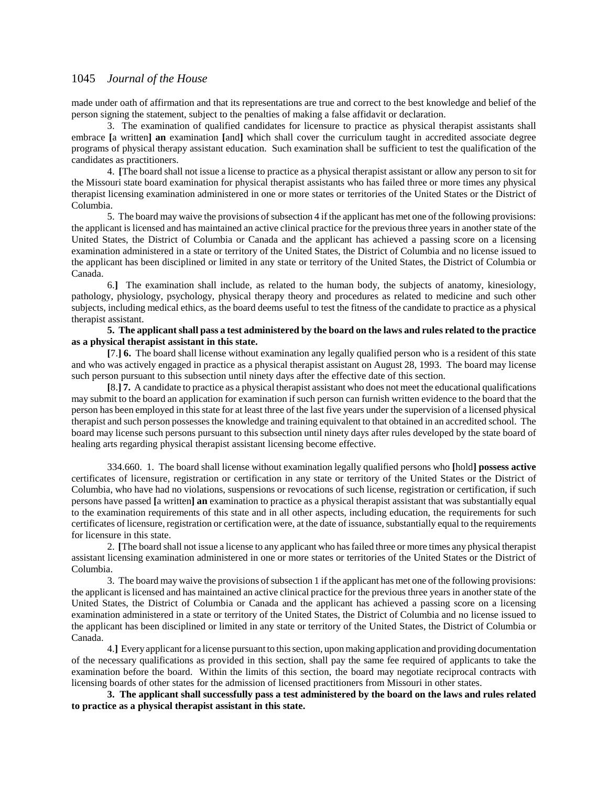made under oath of affirmation and that its representations are true and correct to the best knowledge and belief of the person signing the statement, subject to the penalties of making a false affidavit or declaration.

3. The examination of qualified candidates for licensure to practice as physical therapist assistants shall embrace **[**a written**] an** examination **[**and**]** which shall cover the curriculum taught in accredited associate degree programs of physical therapy assistant education. Such examination shall be sufficient to test the qualification of the candidates as practitioners.

4. **[**The board shall not issue a license to practice as a physical therapist assistant or allow any person to sit for the Missouri state board examination for physical therapist assistants who has failed three or more times any physical therapist licensing examination administered in one or more states or territories of the United States or the District of Columbia.

5. The board may waive the provisions of subsection 4 if the applicant has met one of the following provisions: the applicant is licensed and has maintained an active clinical practice for the previous three years in another state of the United States, the District of Columbia or Canada and the applicant has achieved a passing score on a licensing examination administered in a state or territory of the United States, the District of Columbia and no license issued to the applicant has been disciplined or limited in any state or territory of the United States, the District of Columbia or Canada.

6.**]** The examination shall include, as related to the human body, the subjects of anatomy, kinesiology, pathology, physiology, psychology, physical therapy theory and procedures as related to medicine and such other subjects, including medical ethics, as the board deems useful to test the fitness of the candidate to practice as a physical therapist assistant.

#### **5. The applicant shall pass a test administered by the board on the laws and rules related to the practice as a physical therapist assistant in this state.**

**[**7.**] 6.** The board shall license without examination any legally qualified person who is a resident of this state and who was actively engaged in practice as a physical therapist assistant on August 28, 1993. The board may license such person pursuant to this subsection until ninety days after the effective date of this section.

**[**8.**] 7.** A candidate to practice as a physical therapist assistant who does not meet the educational qualifications may submit to the board an application for examination if such person can furnish written evidence to the board that the person has been employed in this state for at least three of the last five years under the supervision of a licensed physical therapist and such person possesses the knowledge and training equivalent to that obtained in an accredited school. The board may license such persons pursuant to this subsection until ninety days after rules developed by the state board of healing arts regarding physical therapist assistant licensing become effective.

334.660. 1. The board shall license without examination legally qualified persons who **[**hold**] possess active** certificates of licensure, registration or certification in any state or territory of the United States or the District of Columbia, who have had no violations, suspensions or revocations of such license, registration or certification, if such persons have passed **[**a written**] an** examination to practice as a physical therapist assistant that was substantially equal to the examination requirements of this state and in all other aspects, including education, the requirements for such certificates of licensure, registration or certification were, at the date of issuance, substantially equal to the requirements for licensure in this state.

2. **[**The board shall not issue a license to any applicant who has failed three or more times any physical therapist assistant licensing examination administered in one or more states or territories of the United States or the District of Columbia.

3. The board may waive the provisions of subsection 1 if the applicant has met one of the following provisions: the applicant is licensed and has maintained an active clinical practice for the previous three years in another state of the United States, the District of Columbia or Canada and the applicant has achieved a passing score on a licensing examination administered in a state or territory of the United States, the District of Columbia and no license issued to the applicant has been disciplined or limited in any state or territory of the United States, the District of Columbia or Canada.

4.**]** Every applicant for a license pursuant to this section, upon making application and providing documentation of the necessary qualifications as provided in this section, shall pay the same fee required of applicants to take the examination before the board. Within the limits of this section, the board may negotiate reciprocal contracts with licensing boards of other states for the admission of licensed practitioners from Missouri in other states.

**3. The applicant shall successfully pass a test administered by the board on the laws and rules related to practice as a physical therapist assistant in this state.**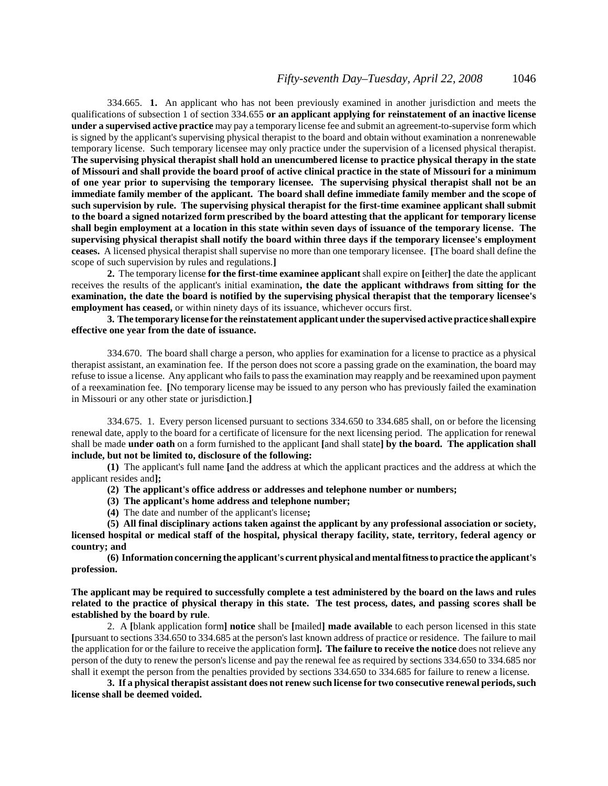334.665. **1.** An applicant who has not been previously examined in another jurisdiction and meets the qualifications of subsection 1 of section 334.655 **or an applicant applying for reinstatement of an inactive license under a supervised active practice** may pay a temporary license fee and submit an agreement-to-supervise form which is signed by the applicant's supervising physical therapist to the board and obtain without examination a nonrenewable temporary license. Such temporary licensee may only practice under the supervision of a licensed physical therapist. **The supervising physical therapist shall hold an unencumbered license to practice physical therapy in the state of Missouri and shall provide the board proof of active clinical practice in the state of Missouri for a minimum of one year prior to supervising the temporary licensee. The supervising physical therapist shall not be an immediate family member of the applicant. The board shall define immediate family member and the scope of such supervision by rule. The supervising physical therapist for the first-time examinee applicant shall submit to the board a signed notarized form prescribed by the board attesting that the applicant for temporary license shall begin employment at a location in this state within seven days of issuance of the temporary license. The supervising physical therapist shall notify the board within three days if the temporary licensee's employment ceases.** A licensed physical therapist shall supervise no more than one temporary licensee. **[**The board shall define the scope of such supervision by rules and regulations.**]**

**2.** The temporary license **for the first-time examinee applicant** shall expire on **[**either**]** the date the applicant receives the results of the applicant's initial examination**, the date the applicant withdraws from sitting for the examination, the date the board is notified by the supervising physical therapist that the temporary licensee's employment has ceased,** or within ninety days of its issuance, whichever occurs first.

**3. The temporary license for the reinstatement applicant under the supervised active practice shall expire effective one year from the date of issuance.**

334.670. The board shall charge a person, who applies for examination for a license to practice as a physical therapist assistant, an examination fee. If the person does not score a passing grade on the examination, the board may refuse to issue a license. Any applicant who fails to pass the examination may reapply and be reexamined upon payment of a reexamination fee. **[**No temporary license may be issued to any person who has previously failed the examination in Missouri or any other state or jurisdiction.**]**

334.675. 1. Every person licensed pursuant to sections 334.650 to 334.685 shall, on or before the licensing renewal date, apply to the board for a certificate of licensure for the next licensing period. The application for renewal shall be made **under oath** on a form furnished to the applicant **[**and shall state**] by the board. The application shall include, but not be limited to, disclosure of the following:**

**(1)** The applicant's full name **[**and the address at which the applicant practices and the address at which the applicant resides and**];**

**(2) The applicant's office address or addresses and telephone number or numbers;**

**(3) The applicant's home address and telephone number;**

**(4)** The date and number of the applicant's license**;**

**(5) All final disciplinary actions taken against the applicant by any professional association or society, licensed hospital or medical staff of the hospital, physical therapy facility, state, territory, federal agency or country; and**

**(6) Information concerning the applicant's current physical and mental fitness to practice the applicant's profession.**

**The applicant may be required to successfully complete a test administered by the board on the laws and rules related to the practice of physical therapy in this state. The test process, dates, and passing scores shall be established by the board by rule**.

2. A **[**blank application form**] notice** shall be **[**mailed**] made available** to each person licensed in this state **[**pursuant to sections 334.650 to 334.685 at the person's last known address of practice or residence. The failure to mail the application for or the failure to receive the application form**]. The failure to receive the notice** does not relieve any person of the duty to renew the person's license and pay the renewal fee as required by sections 334.650 to 334.685 nor shall it exempt the person from the penalties provided by sections 334.650 to 334.685 for failure to renew a license.

**3. If a physical therapist assistant does not renew such license for two consecutive renewal periods, such license shall be deemed voided.**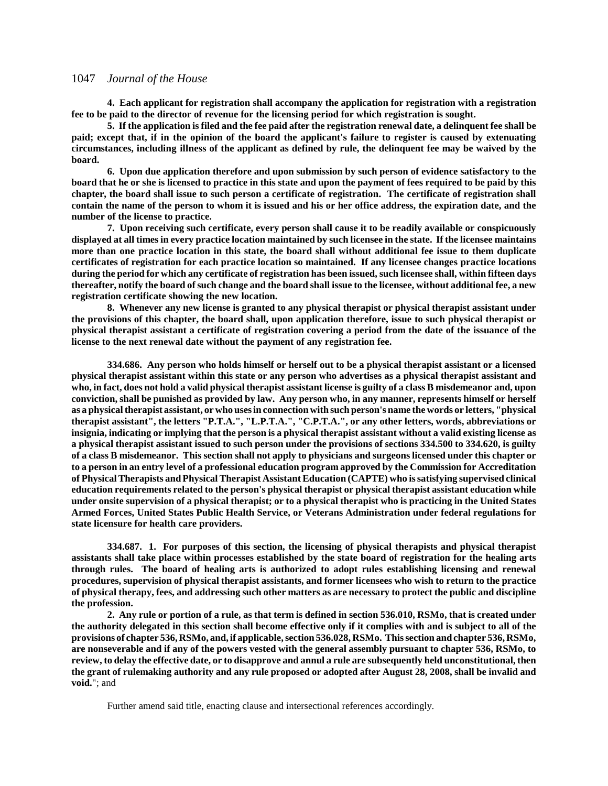**4. Each applicant for registration shall accompany the application for registration with a registration fee to be paid to the director of revenue for the licensing period for which registration is sought.**

**5. If the application is filed and the fee paid after the registration renewal date, a delinquent fee shall be paid; except that, if in the opinion of the board the applicant's failure to register is caused by extenuating circumstances, including illness of the applicant as defined by rule, the delinquent fee may be waived by the board.**

**6. Upon due application therefore and upon submission by such person of evidence satisfactory to the board that he or she is licensed to practice in this state and upon the payment of fees required to be paid by this chapter, the board shall issue to such person a certificate of registration. The certificate of registration shall contain the name of the person to whom it is issued and his or her office address, the expiration date, and the number of the license to practice.**

**7. Upon receiving such certificate, every person shall cause it to be readily available or conspicuously displayed at all times in every practice location maintained by such licensee in the state. If the licensee maintains more than one practice location in this state, the board shall without additional fee issue to them duplicate certificates of registration for each practice location so maintained. If any licensee changes practice locations during the period for which any certificate of registration has been issued, such licensee shall, within fifteen days thereafter, notify the board of such change and the board shall issue to the licensee, without additional fee, a new registration certificate showing the new location.**

**8. Whenever any new license is granted to any physical therapist or physical therapist assistant under the provisions of this chapter, the board shall, upon application therefore, issue to such physical therapist or physical therapist assistant a certificate of registration covering a period from the date of the issuance of the license to the next renewal date without the payment of any registration fee.**

**334.686. Any person who holds himself or herself out to be a physical therapist assistant or a licensed physical therapist assistant within this state or any person who advertises as a physical therapist assistant and who, in fact, does not hold a valid physical therapist assistant license is guilty of a class B misdemeanor and, upon conviction, shall be punished as provided by law. Any person who, in any manner, represents himself or herself as a physical therapist assistant, or who uses in connection with such person's name the words or letters, "physical therapist assistant", the letters "P.T.A.", "L.P.T.A.", "C.P.T.A.", or any other letters, words, abbreviations or insignia, indicating or implying that the person is a physical therapist assistant without a valid existing license as a physical therapist assistant issued to such person under the provisions of sections 334.500 to 334.620, is guilty of a class B misdemeanor. This section shall not apply to physicians and surgeons licensed under this chapter or to a person in an entry level of a professional education program approved by the Commission for Accreditation of Physical Therapists and Physical Therapist Assistant Education (CAPTE) who is satisfying supervised clinical education requirements related to the person's physical therapist or physical therapist assistant education while under onsite supervision of a physical therapist; or to a physical therapist who is practicing in the United States Armed Forces, United States Public Health Service, or Veterans Administration under federal regulations for state licensure for health care providers.**

**334.687. 1. For purposes of this section, the licensing of physical therapists and physical therapist assistants shall take place within processes established by the state board of registration for the healing arts through rules. The board of healing arts is authorized to adopt rules establishing licensing and renewal procedures, supervision of physical therapist assistants, and former licensees who wish to return to the practice of physical therapy, fees, and addressing such other matters as are necessary to protect the public and discipline the profession.**

**2. Any rule or portion of a rule, as that term is defined in section 536.010, RSMo, that is created under the authority delegated in this section shall become effective only if it complies with and is subject to all of the provisions of chapter 536, RSMo, and, if applicable, section 536.028, RSMo. This section and chapter 536, RSMo, are nonseverable and if any of the powers vested with the general assembly pursuant to chapter 536, RSMo, to review, to delay the effective date, or to disapprove and annul a rule are subsequently held unconstitutional, then the grant of rulemaking authority and any rule proposed or adopted after August 28, 2008, shall be invalid and void.**"; and

Further amend said title, enacting clause and intersectional references accordingly.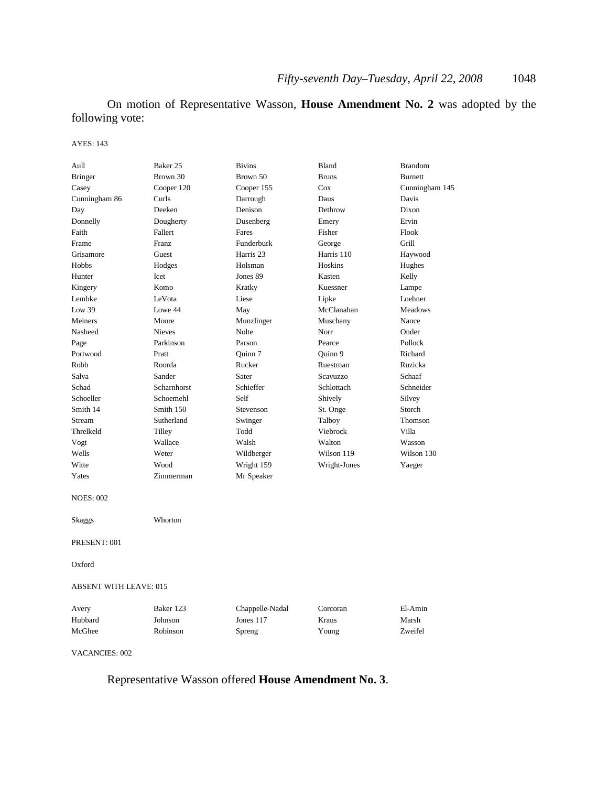On motion of Representative Wasson, **House Amendment No. 2** was adopted by the following vote:

#### AYES: 143

| Aull                          | Baker 25      | <b>Bivins</b>        | Bland        | <b>Brandom</b> |
|-------------------------------|---------------|----------------------|--------------|----------------|
| <b>Bringer</b>                | Brown 30      | Brown 50             | <b>Bruns</b> | <b>Burnett</b> |
| Casey                         | Cooper 120    | Cooper 155           | $\cos$       | Cunningham 145 |
| Cunningham 86                 | Curls         | Darrough             | Daus         | Davis          |
| Day                           | Deeken        | Denison              | Dethrow      | Dixon          |
| Donnelly                      | Dougherty     | Dusenberg            | Emery        | Ervin          |
| Faith                         | Fallert       | Fares                | Fisher       | Flook          |
| Frame                         | Franz         | Funderburk           | George       | Grill          |
| Grisamore                     | Guest         | Harris <sub>23</sub> | Harris 110   | Haywood        |
| Hobbs                         | Hodges        | Holsman              | Hoskins      | Hughes         |
| Hunter                        | Icet          | Jones 89             | Kasten       | Kelly          |
| Kingery                       | Komo          | Kratky               | Kuessner     | Lampe          |
| Lembke                        | LeVota        | Liese                | Lipke        | Loehner        |
| Low 39                        | Lowe 44       | May                  | McClanahan   | <b>Meadows</b> |
| Meiners                       | Moore         | Munzlinger           | Muschany     | Nance          |
| Nasheed                       | <b>Nieves</b> | Nolte                | Norr         | Onder          |
| Page                          | Parkinson     | Parson               | Pearce       | Pollock        |
| Portwood                      | Pratt         | Quinn 7              | Quinn 9      | Richard        |
| Robb                          | Roorda        | Rucker               | Ruestman     | Ruzicka        |
| Salva                         | Sander        | Sater                | Scavuzzo     | Schaaf         |
| Schad                         | Scharnhorst   | Schieffer            | Schlottach   | Schneider      |
| Schoeller                     | Schoemehl     | Self                 | Shively      | Silvey         |
| Smith 14                      | Smith 150     | Stevenson            | St. Onge     | Storch         |
| Stream                        | Sutherland    | Swinger              | Talboy       | Thomson        |
| Threlkeld                     | Tilley        | Todd                 | Viebrock     | Villa          |
| Vogt                          | Wallace       | Walsh                | Walton       | Wasson         |
| Wells                         | Weter         | Wildberger           | Wilson 119   | Wilson 130     |
| Witte                         | Wood          | Wright 159           | Wright-Jones | Yaeger         |
| Yates                         | Zimmerman     | Mr Speaker           |              |                |
| <b>NOES: 002</b>              |               |                      |              |                |
| Skaggs                        | Whorton       |                      |              |                |
| PRESENT: 001                  |               |                      |              |                |
| Oxford                        |               |                      |              |                |
| <b>ABSENT WITH LEAVE: 015</b> |               |                      |              |                |
| Avery                         | Baker 123     | Chappelle-Nadal      | Corcoran     | El-Amin        |
| Hubbard                       | Johnson       | Jones 117            | Kraus        | Marsh          |
| McGhee                        | Robinson      | Spreng               | Young        | Zweifel        |
| <b>VACANCIES: 002</b>         |               |                      |              |                |

Representative Wasson offered **House Amendment No. 3**.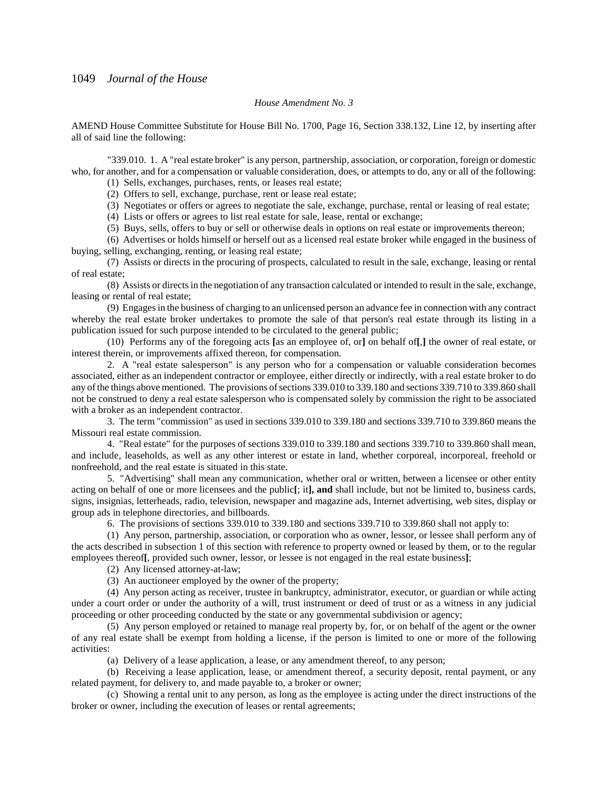#### *House Amendment No. 3*

AMEND House Committee Substitute for House Bill No. 1700, Page 16, Section 338.132, Line 12, by inserting after all of said line the following:

"339.010. 1. A "real estate broker" is any person, partnership, association, or corporation, foreign or domestic who, for another, and for a compensation or valuable consideration, does, or attempts to do, any or all of the following:

(1) Sells, exchanges, purchases, rents, or leases real estate;

(2) Offers to sell, exchange, purchase, rent or lease real estate;

(3) Negotiates or offers or agrees to negotiate the sale, exchange, purchase, rental or leasing of real estate;

(4) Lists or offers or agrees to list real estate for sale, lease, rental or exchange;

(5) Buys, sells, offers to buy or sell or otherwise deals in options on real estate or improvements thereon;

(6) Advertises or holds himself or herself out as a licensed real estate broker while engaged in the business of buying, selling, exchanging, renting, or leasing real estate;

(7) Assists or directs in the procuring of prospects, calculated to result in the sale, exchange, leasing or rental of real estate;

(8) Assists or directs in the negotiation of any transaction calculated or intended to result in the sale, exchange, leasing or rental of real estate;

(9) Engages in the business of charging to an unlicensed person an advance fee in connection with any contract whereby the real estate broker undertakes to promote the sale of that person's real estate through its listing in a publication issued for such purpose intended to be circulated to the general public;

(10) Performs any of the foregoing acts **[**as an employee of, or**]** on behalf of**[**,**]** the owner of real estate, or interest therein, or improvements affixed thereon, for compensation.

2. A "real estate salesperson" is any person who for a compensation or valuable consideration becomes associated, either as an independent contractor or employee, either directly or indirectly, with a real estate broker to do any of the things above mentioned. The provisions of sections 339.010 to 339.180 and sections 339.710 to 339.860 shall not be construed to deny a real estate salesperson who is compensated solely by commission the right to be associated with a broker as an independent contractor.

3. The term "commission" as used in sections 339.010 to 339.180 and sections 339.710 to 339.860 means the Missouri real estate commission.

4. "Real estate" for the purposes of sections 339.010 to 339.180 and sections 339.710 to 339.860 shall mean, and include, leaseholds, as well as any other interest or estate in land, whether corporeal, incorporeal, freehold or nonfreehold, and the real estate is situated in this state.

5. "Advertising" shall mean any communication, whether oral or written, between a licensee or other entity acting on behalf of one or more licensees and the public**[**; it**], and** shall include, but not be limited to, business cards, signs, insignias, letterheads, radio, television, newspaper and magazine ads, Internet advertising, web sites, display or group ads in telephone directories, and billboards.

6. The provisions of sections 339.010 to 339.180 and sections 339.710 to 339.860 shall not apply to:

(1) Any person, partnership, association, or corporation who as owner, lessor, or lessee shall perform any of the acts described in subsection 1 of this section with reference to property owned or leased by them, or to the regular employees thereof**[**, provided such owner, lessor, or lessee is not engaged in the real estate business**]**;

(2) Any licensed attorney-at-law;

(3) An auctioneer employed by the owner of the property;

(4) Any person acting as receiver, trustee in bankruptcy, administrator, executor, or guardian or while acting under a court order or under the authority of a will, trust instrument or deed of trust or as a witness in any judicial proceeding or other proceeding conducted by the state or any governmental subdivision or agency;

(5) Any person employed or retained to manage real property by, for, or on behalf of the agent or the owner of any real estate shall be exempt from holding a license, if the person is limited to one or more of the following activities:

(a) Delivery of a lease application, a lease, or any amendment thereof, to any person;

(b) Receiving a lease application, lease, or amendment thereof, a security deposit, rental payment, or any related payment, for delivery to, and made payable to, a broker or owner;

(c) Showing a rental unit to any person, as long as the employee is acting under the direct instructions of the broker or owner, including the execution of leases or rental agreements;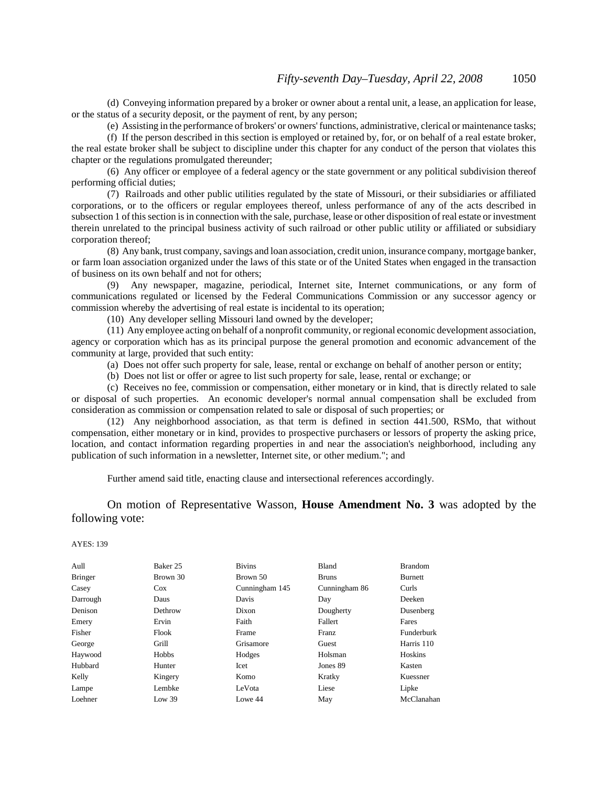(d) Conveying information prepared by a broker or owner about a rental unit, a lease, an application for lease, or the status of a security deposit, or the payment of rent, by any person;

(e) Assisting in the performance of brokers' or owners' functions, administrative, clerical or maintenance tasks;

(f) If the person described in this section is employed or retained by, for, or on behalf of a real estate broker, the real estate broker shall be subject to discipline under this chapter for any conduct of the person that violates this chapter or the regulations promulgated thereunder;

(6) Any officer or employee of a federal agency or the state government or any political subdivision thereof performing official duties;

(7) Railroads and other public utilities regulated by the state of Missouri, or their subsidiaries or affiliated corporations, or to the officers or regular employees thereof, unless performance of any of the acts described in subsection 1 of this section is in connection with the sale, purchase, lease or other disposition of real estate or investment therein unrelated to the principal business activity of such railroad or other public utility or affiliated or subsidiary corporation thereof;

(8) Any bank, trust company, savings and loan association, credit union, insurance company, mortgage banker, or farm loan association organized under the laws of this state or of the United States when engaged in the transaction of business on its own behalf and not for others;

(9) Any newspaper, magazine, periodical, Internet site, Internet communications, or any form of communications regulated or licensed by the Federal Communications Commission or any successor agency or commission whereby the advertising of real estate is incidental to its operation;

(10) Any developer selling Missouri land owned by the developer;

(11) Any employee acting on behalf of a nonprofit community, or regional economic development association, agency or corporation which has as its principal purpose the general promotion and economic advancement of the community at large, provided that such entity:

(a) Does not offer such property for sale, lease, rental or exchange on behalf of another person or entity;

(b) Does not list or offer or agree to list such property for sale, lease, rental or exchange; or

(c) Receives no fee, commission or compensation, either monetary or in kind, that is directly related to sale or disposal of such properties. An economic developer's normal annual compensation shall be excluded from consideration as commission or compensation related to sale or disposal of such properties; or

(12) Any neighborhood association, as that term is defined in section 441.500, RSMo, that without compensation, either monetary or in kind, provides to prospective purchasers or lessors of property the asking price, location, and contact information regarding properties in and near the association's neighborhood, including any publication of such information in a newsletter, Internet site, or other medium."; and

Further amend said title, enacting clause and intersectional references accordingly.

On motion of Representative Wasson, **House Amendment No. 3** was adopted by the following vote:

| Aull           | Baker 25 | <b>Bivins</b>  | Bland         | <b>Brandom</b> |
|----------------|----------|----------------|---------------|----------------|
| <b>Bringer</b> | Brown 30 | Brown 50       | <b>Bruns</b>  | <b>Burnett</b> |
| Casey          | Cox      | Cunningham 145 | Cunningham 86 | Curls          |
| Darrough       | Daus     | Davis          | Day           | Deeken         |
| Denison        | Dethrow  | Dixon          | Dougherty     | Dusenberg      |
| Emery          | Ervin    | Faith          | Fallert       | Fares          |
| Fisher         | Flook    | Frame          | Franz         | Funderburk     |
| George         | Grill    | Grisamore      | Guest         | Harris 110     |
| Haywood        | Hobbs    | Hodges         | Holsman       | Hoskins        |
| Hubbard        | Hunter   | Icet           | Jones 89      | Kasten         |
| Kelly          | Kingery  | Komo           | Kratky        | Kuessner       |
| Lampe          | Lembke   | LeVota         | Liese         | Lipke          |
| Loehner        | Low 39   | Lowe 44        | May           | McClanahan     |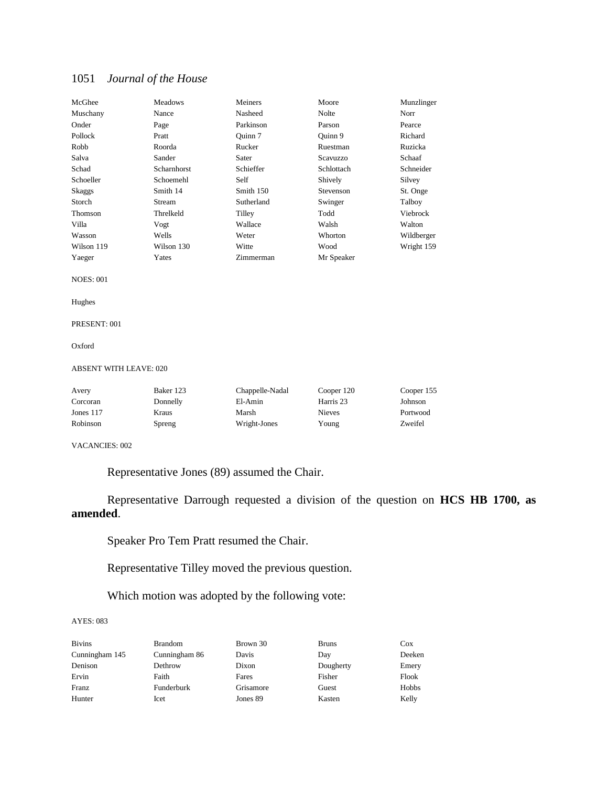| McGhee                        | <b>Meadows</b> | Meiners         | Moore                | Munzlinger |
|-------------------------------|----------------|-----------------|----------------------|------------|
| Muschany                      | Nance          | Nasheed         | <b>Nolte</b>         | Norr       |
| Onder                         | Page           | Parkinson       | Parson               | Pearce     |
| Pollock                       | Pratt          | Ouinn 7         | Ouinn 9              | Richard    |
| Robb                          | Roorda         | Rucker          | Ruestman             | Ruzicka    |
| Salva                         | Sander         | Sater           | Scavuzzo             | Schaaf     |
| Schad                         | Scharnhorst    | Schieffer       | Schlottach           | Schneider  |
| Schoeller                     | Schoemehl      | Self            | Shively              | Silvey     |
| Skaggs                        | Smith 14       | Smith 150       | Stevenson            | St. Onge   |
| Storch                        | Stream         | Sutherland      | Swinger              | Talboy     |
| Thomson                       | Threlkeld      | Tilley          | Todd                 | Viebrock   |
| Villa                         | Vogt           | Wallace         | Walsh                | Walton     |
| Wasson                        | Wells          | Weter           | Whorton              | Wildberger |
| Wilson 119                    | Wilson 130     | Witte           | Wood                 | Wright 159 |
| Yaeger                        | Yates          | Zimmerman       | Mr Speaker           |            |
| <b>NOES: 001</b>              |                |                 |                      |            |
| Hughes                        |                |                 |                      |            |
| PRESENT: 001                  |                |                 |                      |            |
| Oxford                        |                |                 |                      |            |
| <b>ABSENT WITH LEAVE: 020</b> |                |                 |                      |            |
| Avery                         | Baker 123      | Chappelle-Nadal | Cooper 120           | Cooper 155 |
| Corcoran                      | Donnelly       | El-Amin         | Harris <sub>23</sub> | Johnson    |
| Jones 117                     | Kraus          | Marsh           | <b>Nieves</b>        | Portwood   |

Robinson Spreng Wright-Jones Young Zweifel

VACANCIES: 002

Representative Jones (89) assumed the Chair.

Representative Darrough requested a division of the question on **HCS HB 1700, as amended**.

Speaker Pro Tem Pratt resumed the Chair.

Representative Tilley moved the previous question.

Which motion was adopted by the following vote:

| <b>Bivins</b>  | <b>Brandom</b> | Brown 30  | <b>Bruns</b> | $\cos$ |
|----------------|----------------|-----------|--------------|--------|
| Cunningham 145 | Cunningham 86  | Davis     | Day          | Deeken |
| Denison        | Dethrow        | Dixon     | Dougherty    | Emery  |
| Ervin          | Faith          | Fares     | Fisher       | Flook  |
| Franz          | Funderburk     | Grisamore | Guest        | Hobbs  |
| Hunter         | Icet           | Jones 89  | Kasten       | Kelly  |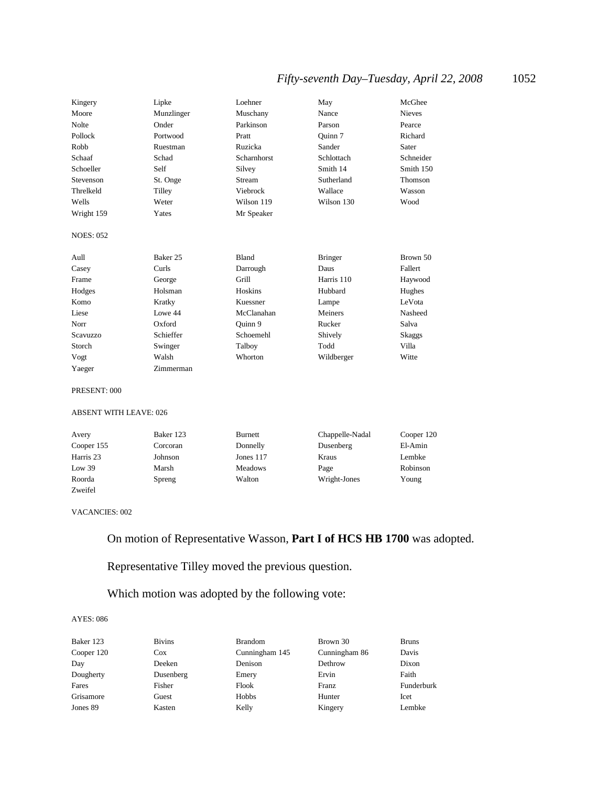## *Fifty-seventh Day–Tuesday, April 22, 2008* 1052

| Kingery          | Lipke      | Loehner       | May            | McGhee        |
|------------------|------------|---------------|----------------|---------------|
| Moore            | Munzlinger | Muschany      | Nance          | <b>Nieves</b> |
| Nolte            | Onder      | Parkinson     | Parson         | Pearce        |
| Pollock          | Portwood   | Pratt         | Ouinn 7        | Richard       |
| Robb             | Ruestman   | Ruzicka       | Sander         | Sater         |
| Schaaf           | Schad      | Scharnhorst   | Schlottach     | Schneider     |
| Schoeller        | Self       | Silvey        | Smith 14       | Smith 150     |
| Stevenson        | St. Onge   | <b>Stream</b> | Sutherland     | Thomson       |
| Threlkeld        | Tilley     | Viebrock      | Wallace        | Wasson        |
| Wells            | Weter      | Wilson 119    | Wilson 130     | Wood          |
| Wright 159       | Yates      | Mr Speaker    |                |               |
| <b>NOES: 052</b> |            |               |                |               |
| Aull             | Baker 25   | Bland         | <b>Bringer</b> | Brown 50      |
| Casey            | Curls      | Darrough      | Daus           | Fallert       |
| Frame            | George     | Grill         | Harris 110     | Haywood       |
| Hodges           | Holsman    | Hoskins       | Hubbard        | Hughes        |
| Komo             | Kratky     | Kuessner      | Lampe          | LeVota        |
| Liese            | Lowe 44    | McClanahan    | Meiners        | Nasheed       |
| Norr             | Oxford     | Ouinn 9       | Rucker         | Salva         |
| <b>Scavuzzo</b>  | Schieffer  | Schoemehl     | Shively        | Skaggs        |
| Storch           | Swinger    | Talboy        | Todd           | Villa         |
| Vogt             | Walsh      | Whorton       | Wildberger     | Witte         |
| Yaeger           | Zimmerman  |               |                |               |

#### PRESENT: 000

#### ABSENT WITH LEAVE: 026

| Avery      | Baker 123 | <b>Burnett</b> | Chappelle-Nadal | Cooper 120 |
|------------|-----------|----------------|-----------------|------------|
| Cooper 155 | Corcoran  | Donnelly       | Dusenberg       | El-Amin    |
| Harris 23  | Johnson   | Jones 117      | Kraus           | Lembke     |
| Low $39$   | Marsh     | <b>Meadows</b> | Page            | Robinson   |
| Roorda     | Spreng    | Walton         | Wright-Jones    | Young      |
| Zweifel    |           |                |                 |            |

#### VACANCIES: 002

## On motion of Representative Wasson, **Part I of HCS HB 1700** was adopted.

Representative Tilley moved the previous question.

### Which motion was adopted by the following vote:

| Baker 123  | <b>Bivins</b> | <b>Brandom</b> | Brown 30      | <b>Bruns</b> |
|------------|---------------|----------------|---------------|--------------|
| Cooper 120 | $\cos$        | Cunningham 145 | Cunningham 86 | Davis        |
| Day        | Deeken        | Denison        | Dethrow       | Dixon        |
| Dougherty  | Dusenberg     | Emery          | Ervin         | Faith        |
| Fares      | Fisher        | Flook          | Franz         | Funderburk   |
| Grisamore  | Guest         | Hobbs          | Hunter        | Icet         |
| Jones 89   | Kasten        | Kelly          | Kingery       | Lembke       |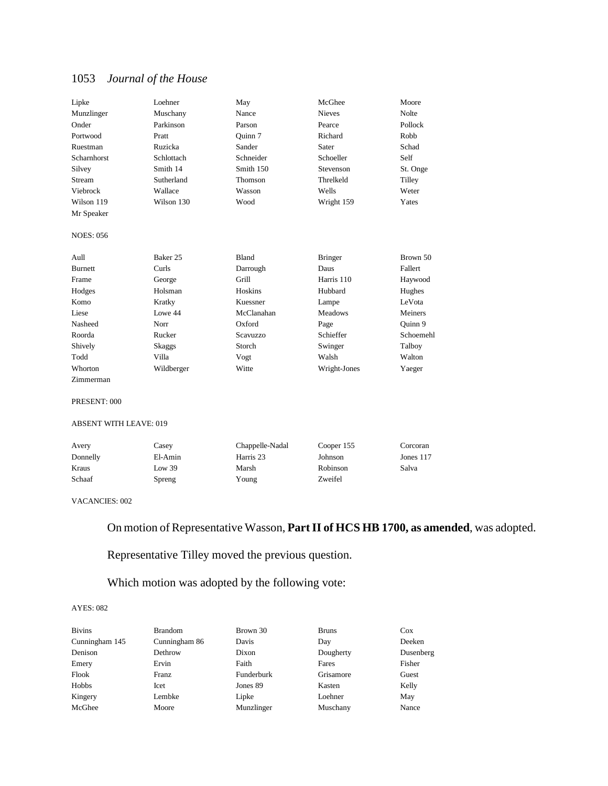| Lipke              | Loehner    | May        | McGhee         | Moore        |
|--------------------|------------|------------|----------------|--------------|
| Munzlinger         | Muschany   | Nance      | <b>Nieves</b>  | <b>Nolte</b> |
| Onder              | Parkinson  | Parson     | Pearce         | Pollock      |
| Portwood           | Pratt      | Ouinn 7    | Richard        | Robb         |
| Ruestman           | Ruzicka    | Sander     | Sater          | Schad        |
| <b>Scharnhorst</b> | Schlottach | Schneider  | Schoeller      | Self         |
| Silvey             | Smith 14   | Smith 150  | Stevenson      | St. Onge     |
| Stream             | Sutherland | Thomson    | Threlkeld      | Tilley       |
| Viebrock           | Wallace    | Wasson     | Wells          | Weter        |
| Wilson 119         | Wilson 130 | Wood       | Wright 159     | Yates        |
| Mr Speaker         |            |            |                |              |
| <b>NOES: 056</b>   |            |            |                |              |
| Aull               | Baker 25   | Bland      | <b>Bringer</b> | Brown 50     |
| <b>Burnett</b>     | Curls      | Darrough   | Daus           | Fallert      |
| Frame              | George     | Grill      | Harris 110     | Haywood      |
| Hodges             | Holsman    | Hoskins    | Hubbard        | Hughes       |
| Komo               | Kratky     | Kuessner   | Lampe          | LeVota       |
| Liese              | Lowe 44    | McClanahan | <b>Meadows</b> | Meiners      |
| Nasheed            | Norr       | Oxford     | Page           | Quinn 9      |
| Roorda             | Rucker     | Scavuzzo   | Schieffer      | Schoemehl    |
| Shively            | Skaggs     | Storch     | Swinger        | Talboy       |
| Todd               | Villa      | Vogt       | Walsh          | Walton       |
| Whorton            | Wildberger | Witte      | Wright-Jones   | Yaeger       |
| Zimmerman          |            |            |                |              |

#### PRESENT: 000

#### ABSENT WITH LEAVE: 019

| Avery    | Casey    | Chappelle-Nadal | Cooper 155 | Corcoran  |
|----------|----------|-----------------|------------|-----------|
| Donnelly | El-Amin  | Harris 23       | Johnson    | Jones 117 |
| Kraus    | Low $39$ | Marsh           | Robinson   | Salva     |
| Schaaf   | Spreng   | Young           | Zweifel    |           |

#### VACANCIES: 002

On motion of Representative Wasson, **Part II of HCS HB 1700, as amended**, was adopted.

## Representative Tilley moved the previous question.

## Which motion was adopted by the following vote:

| <b>Bivins</b>  | <b>Brandom</b> | Brown 30   | <b>Bruns</b> | $\cos$    |
|----------------|----------------|------------|--------------|-----------|
| Cunningham 145 | Cunningham 86  | Davis      | Day          | Deeken    |
| Denison        | Dethrow        | Dixon      | Dougherty    | Dusenberg |
| Emery          | Ervin          | Faith      | Fares        | Fisher    |
| Flook          | Franz          | Funderburk | Grisamore    | Guest     |
| Hobbs          | Icet           | Jones 89   | Kasten       | Kelly     |
| Kingery        | Lembke         | Lipke      | Loehner      | May       |
| McGhee         | Moore          | Munzlinger | Muschany     | Nance     |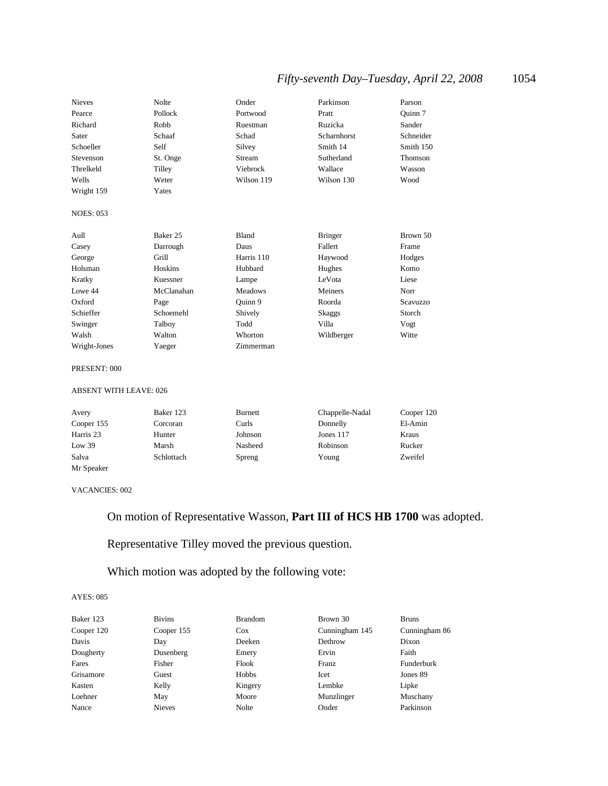## *Fifty-seventh Day–Tuesday, April 22, 2008* 1054

| <b>Nieves</b>    | Nolte      | Onder          | Parkinson          | Parson    |
|------------------|------------|----------------|--------------------|-----------|
| Pearce           | Pollock    | Portwood       | Pratt              | Ouinn 7   |
| Richard          | Robb       | Ruestman       | Ruzicka            | Sander    |
| Sater            | Schaaf     | Schad          | <b>Scharnhorst</b> | Schneider |
| Schoeller        | Self       | Silvey         | Smith 14           | Smith 150 |
| Stevenson        | St. Onge   | Stream         | Sutherland         | Thomson   |
| Threlkeld        | Tilley     | Viebrock       | Wallace            | Wasson    |
| Wells            | Weter      | Wilson 119     | Wilson 130         | Wood      |
| Wright 159       | Yates      |                |                    |           |
|                  |            |                |                    |           |
| <b>NOES: 053</b> |            |                |                    |           |
|                  |            |                |                    |           |
| Aull             | Baker 25   | <b>Bland</b>   | <b>Bringer</b>     | Brown 50  |
| Casey            | Darrough   | Daus           | Fallert            | Frame     |
| George           | Grill      | Harris 110     | Haywood            | Hodges    |
| Holsman          | Hoskins    | Hubbard        | Hughes             | Komo      |
| Kratky           | Kuessner   | Lampe          | LeVota             | Liese     |
| Lowe 44          | McClanahan | <b>Meadows</b> | Meiners            | Norr      |
| Oxford           | Page       | Quinn 9        | Roorda             | Scavuzzo  |
| Schieffer        | Schoemehl  | Shively        | Skaggs             | Storch    |
| Swinger          | Talboy     | Todd           | Villa              | Vogt      |
| Walsh            | Walton     | Whorton        | Wildberger         | Witte     |
| Wright-Jones     | Yaeger     | Zimmerman      |                    |           |
|                  |            |                |                    |           |
| PRESENT: 000     |            |                |                    |           |

#### ABSENT WITH LEAVE: 026

| Avery      | Baker 123  | <b>Burnett</b> | Chappelle-Nadal | Cooper 120 |
|------------|------------|----------------|-----------------|------------|
| Cooper 155 | Corcoran   | Curls          | Donnelly        | El-Amin    |
| Harris 23  | Hunter     | Johnson        | Jones 117       | Kraus      |
| Low 39     | Marsh      | Nasheed        | Robinson        | Rucker     |
| Salva      | Schlottach | Spreng         | Young           | Zweifel    |
| Mr Speaker |            |                |                 |            |

#### VACANCIES: 002

## On motion of Representative Wasson, **Part III of HCS HB 1700** was adopted.

## Representative Tilley moved the previous question.

## Which motion was adopted by the following vote:

| Baker 123  | <b>Bivins</b> | <b>Brandom</b> | Brown 30       | <b>Bruns</b>  |
|------------|---------------|----------------|----------------|---------------|
| Cooper 120 | Cooper 155    | $\cos$         | Cunningham 145 | Cunningham 86 |
| Davis      | Day           | Deeken         | Dethrow        | Dixon         |
| Dougherty  | Dusenberg     | Emery          | Ervin          | Faith         |
| Fares      | Fisher        | Flook          | Franz          | Funderburk    |
| Grisamore  | Guest         | Hobbs          | Icet           | Jones 89      |
| Kasten     | Kelly         | Kingery        | Lembke         | Lipke         |
| Loehner    | May           | Moore          | Munzlinger     | Muschany      |
| Nance      | <b>Nieves</b> | Nolte          | Onder          | Parkinson     |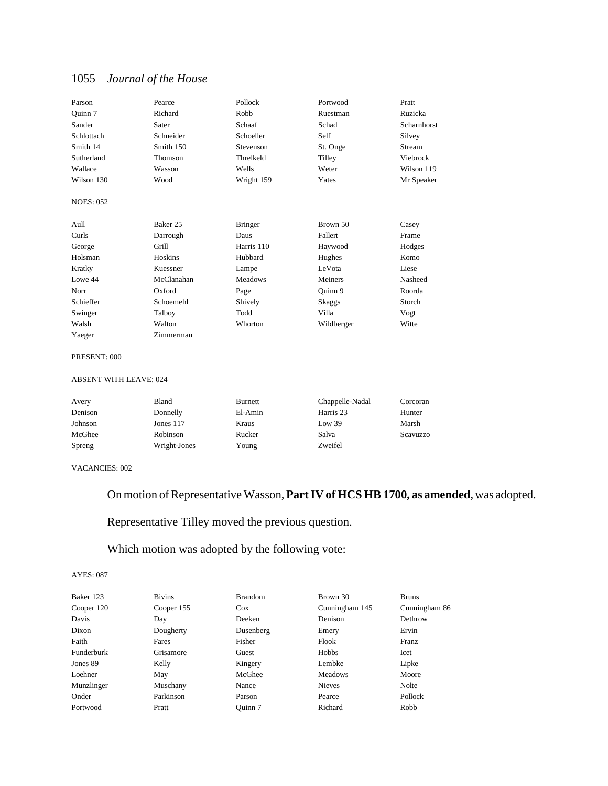| Parson           | Pearce     | Pollock        | Portwood   | Pratt       |
|------------------|------------|----------------|------------|-------------|
| Quinn 7          | Richard    | Robb           | Ruestman   | Ruzicka     |
| Sander           | Sater      | Schaaf         | Schad      | Scharnhorst |
| Schlottach       | Schneider  | Schoeller      | Self       | Silvey      |
| Smith 14         | Smith 150  | Stevenson      | St. Onge   | Stream      |
| Sutherland       | Thomson    | Threlkeld      | Tilley     | Viebrock    |
| Wallace          | Wasson     | Wells          | Weter      | Wilson 119  |
| Wilson 130       | Wood       | Wright 159     | Yates      | Mr Speaker  |
| <b>NOES: 052</b> |            |                |            |             |
| Aull             | Baker 25   | <b>Bringer</b> | Brown 50   | Casey       |
| Curls            | Darrough   | Daus           | Fallert    | Frame       |
| George           | Grill      | Harris 110     | Haywood    | Hodges      |
| Holsman          | Hoskins    | Hubbard        | Hughes     | Komo        |
| Kratky           | Kuessner   | Lampe          | LeVota     | Liese       |
| Lowe 44          | McClanahan | <b>Meadows</b> | Meiners    | Nasheed     |
| Norr             | Oxford     | Page           | Quinn 9    | Roorda      |
| Schieffer        | Schoemehl  | Shively        | Skaggs     | Storch      |
| Swinger          | Talboy     | Todd           | Villa      | Vogt        |
| Walsh            | Walton     | Whorton        | Wildberger | Witte       |
| Yaeger           | Zimmerman  |                |            |             |

#### PRESENT: 000

### ABSENT WITH LEAVE: 024

| Avery   | Bland        | Burnett | Chappelle-Nadal | Corcoran |
|---------|--------------|---------|-----------------|----------|
| Denison | Donnelly     | El-Amin | Harris 23       | Hunter   |
| Johnson | Jones $117$  | Kraus   | Low 39          | Marsh    |
| McGhee  | Robinson     | Rucker  | Salva           | Scavuzzo |
| Spreng  | Wright-Jones | Young   | Zweifel         |          |

#### VACANCIES: 002

## On motion of Representative Wasson, **Part IV of HCS HB 1700, as amended**, was adopted.

Representative Tilley moved the previous question.

## Which motion was adopted by the following vote:

| Baker 123  | <b>Bivins</b> | <b>Brandom</b> | Brown 30       | <b>Bruns</b>  |
|------------|---------------|----------------|----------------|---------------|
| Cooper 120 | Cooper 155    | <b>Cox</b>     | Cunningham 145 | Cunningham 86 |
| Davis      | Day           | Deeken         | Denison        | Dethrow       |
| Dixon      | Dougherty     | Dusenberg      | Emery          | Ervin         |
| Faith      | Fares         | Fisher         | Flook          | Franz         |
| Funderburk | Grisamore     | Guest          | Hobbs          | Icet          |
| Jones 89   | Kelly         | Kingery        | Lembke         | Lipke         |
| Loehner    | May           | McGhee         | <b>Meadows</b> | Moore         |
| Munzlinger | Muschany      | Nance          | <b>Nieves</b>  | Nolte         |
| Onder      | Parkinson     | Parson         | Pearce         | Pollock       |
| Portwood   | Pratt         | Ouinn 7        | Richard        | Robb          |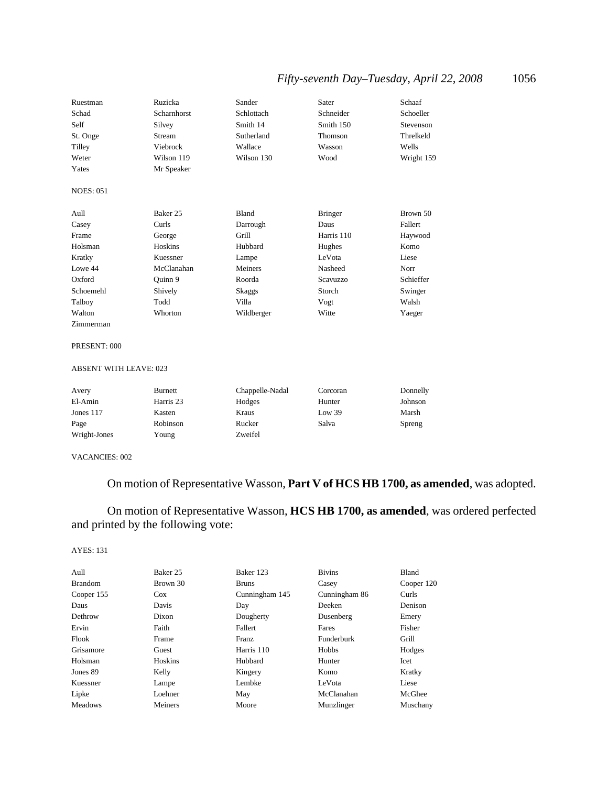## *Fifty-seventh Day–Tuesday, April 22, 2008* 1056

| Ruestman         | Ruzicka     | Sander     | Sater          | Schaaf     |
|------------------|-------------|------------|----------------|------------|
| Schad            | Scharnhorst | Schlottach | Schneider      | Schoeller  |
| Self             | Silvey      | Smith 14   | Smith 150      | Stevenson  |
| St. Onge         | Stream      | Sutherland | Thomson        | Threlkeld  |
| Tilley           | Viebrock    | Wallace    | Wasson         | Wells      |
| Weter            | Wilson 119  | Wilson 130 | Wood           | Wright 159 |
| Yates            | Mr Speaker  |            |                |            |
| <b>NOES: 051</b> |             |            |                |            |
| Aull             | Baker 25    | Bland      | <b>Bringer</b> | Brown 50   |
| Casey            | Curls       | Darrough   | Daus           | Fallert    |
| Frame            | George      | Grill      | Harris 110     | Haywood    |
| Holsman          | Hoskins     | Hubbard    | Hughes         | Komo       |
| Kratky           | Kuessner    | Lampe      | LeVota         | Liese      |
| Lowe 44          | McClanahan  | Meiners    | Nasheed        | Norr       |
| Oxford           | Quinn 9     | Roorda     | Scavuzzo       | Schieffer  |
| Schoemehl        | Shively     | Skaggs     | Storch         | Swinger    |
| Talboy           | Todd        | Villa      | Vogt           | Walsh      |
| Walton           | Whorton     | Wildberger | Witte          | Yaeger     |
| Zimmerman        |             |            |                |            |

#### PRESENT: 000

#### ABSENT WITH LEAVE: 023

| Avery        | Burnett   | Chappelle-Nadal | Corcoran | Donnelly |
|--------------|-----------|-----------------|----------|----------|
| El-Amin      | Harris 23 | Hodges          | Hunter   | Johnson  |
| Jones $117$  | Kasten    | Kraus           | Low 39   | Marsh    |
| Page         | Robinson  | Rucker          | Salva    | Spreng   |
| Wright-Jones | Young     | Zweifel         |          |          |

#### VACANCIES: 002

## On motion of Representative Wasson, **Part V of HCS HB 1700, as amended**, was adopted.

## On motion of Representative Wasson, **HCS HB 1700, as amended**, was ordered perfected and printed by the following vote:

| Aull           | Baker 25 | Baker 123      | <b>Bivins</b> | Bland      |
|----------------|----------|----------------|---------------|------------|
| <b>Brandom</b> | Brown 30 | <b>Bruns</b>   | Casey         | Cooper 120 |
| Cooper 155     | $\cos$   | Cunningham 145 | Cunningham 86 | Curls      |
| Daus           | Davis    | Day            | Deeken        | Denison    |
| Dethrow        | Dixon    | Dougherty      | Dusenberg     | Emery      |
| Ervin          | Faith    | Fallert        | Fares         | Fisher     |
| Flook          | Frame    | Franz          | Funderburk    | Grill      |
| Grisamore      | Guest    | Harris 110     | Hobbs         | Hodges     |
| Holsman        | Hoskins  | Hubbard        | Hunter        | Icet       |
| Jones 89       | Kelly    | Kingery        | Komo          | Kratky     |
| Kuessner       | Lampe    | Lembke         | LeVota        | Liese      |
| Lipke          | Loehner  | May            | McClanahan    | McGhee     |
| <b>Meadows</b> | Meiners  | Moore          | Munzlinger    | Muschany   |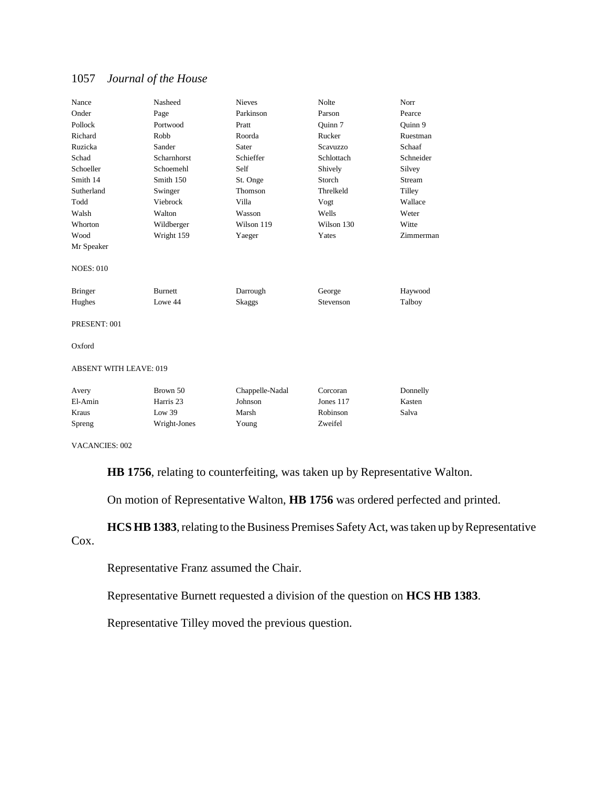| Nance                         | Nasheed        | <b>Nieves</b>   | <b>Nolte</b> | Norr      |
|-------------------------------|----------------|-----------------|--------------|-----------|
| Onder                         | Page           | Parkinson       | Parson       | Pearce    |
| Pollock                       | Portwood       | Pratt           | Ouinn 7      | Quinn 9   |
| Richard                       | Robb           | Roorda          | Rucker       | Ruestman  |
| Ruzicka                       | Sander         | Sater           | Scavuzzo     | Schaaf    |
| Schad                         | Scharnhorst    | Schieffer       | Schlottach   | Schneider |
| Schoeller                     | Schoemehl      | Self            | Shively      | Silvey    |
| Smith 14                      | Smith 150      | St. Onge        | Storch       | Stream    |
| Sutherland                    | Swinger        | Thomson         | Threlkeld    | Tilley    |
| Todd                          | Viebrock       | Villa           | Vogt         | Wallace   |
| Walsh                         | Walton         | Wasson          | Wells        | Weter     |
| Whorton                       | Wildberger     | Wilson 119      | Wilson 130   | Witte     |
| Wood                          | Wright 159     | Yaeger          | Yates        | Zimmerman |
| Mr Speaker                    |                |                 |              |           |
| <b>NOES: 010</b>              |                |                 |              |           |
| <b>Bringer</b>                | <b>Burnett</b> | Darrough        | George       | Haywood   |
| Hughes                        | Lowe 44        | Skaggs          | Stevenson    | Talboy    |
| PRESENT: 001                  |                |                 |              |           |
| Oxford                        |                |                 |              |           |
| <b>ABSENT WITH LEAVE: 019</b> |                |                 |              |           |
| Avery                         | Brown 50       | Chappelle-Nadal | Corcoran     | Donnelly  |
| El-Amin                       | Harris 23      | Johnson         | Jones 117    | Kasten    |
| Kraus                         | Low $39$       | Marsh           | Robinson     | Salva     |
| Spreng                        | Wright-Jones   | Young           | Zweifel      |           |
|                               |                |                 |              |           |

VACANCIES: 002

**HB 1756**, relating to counterfeiting, was taken up by Representative Walton.

On motion of Representative Walton, **HB 1756** was ordered perfected and printed.

**HCS HB 1383**, relating to the Business Premises Safety Act, was taken up by Representative Cox.

Representative Franz assumed the Chair.

Representative Burnett requested a division of the question on **HCS HB 1383**.

Representative Tilley moved the previous question.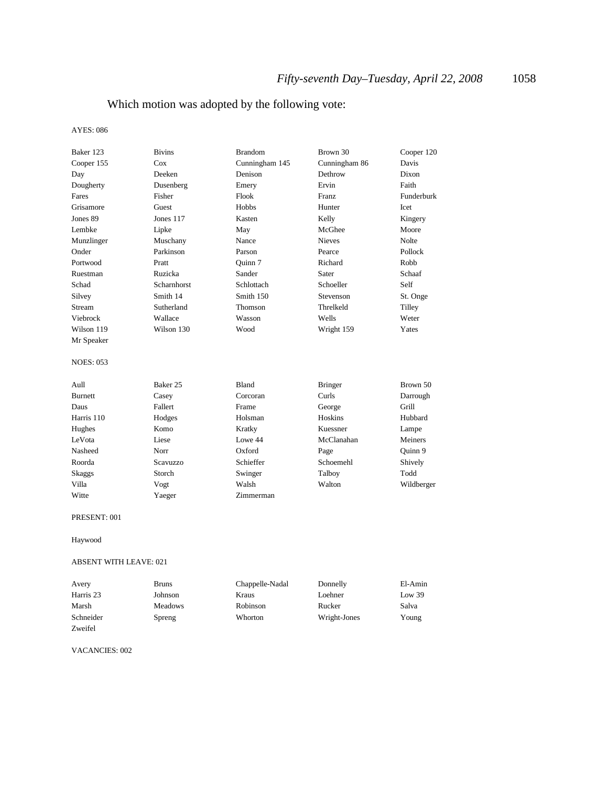## Which motion was adopted by the following vote:

#### AYES: 086

| Baker 123        | <b>Bivins</b>      | <b>Brandom</b> | Brown 30       | Cooper 120 |
|------------------|--------------------|----------------|----------------|------------|
| Cooper 155       | Cox                | Cunningham 145 | Cunningham 86  | Davis      |
| Day              | Deeken             | Denison        | Dethrow        | Dixon      |
| Dougherty        | Dusenberg          | Emery          | Ervin          | Faith      |
| Fares            | Fisher             | Flook          | <b>Franz</b>   | Funderburk |
| Grisamore        | Guest              | Hobbs          | Hunter         | Icet       |
| Jones 89         | Jones 117          | Kasten         | Kelly          | Kingery    |
| Lembke           | Lipke              | May            | McGhee         | Moore      |
| Munzlinger       | Muschany           | Nance          | <b>Nieves</b>  | Nolte      |
| Onder            | Parkinson          | Parson         | Pearce         | Pollock    |
| Portwood         | Pratt              | Ouinn 7        | Richard        | Robb       |
| Ruestman         | Ruzicka            | Sander         | Sater          | Schaaf     |
| Schad            | <b>Scharnhorst</b> | Schlottach     | Schoeller      | Self       |
| Silvey           | Smith 14           | Smith 150      | Stevenson      | St. Onge   |
| Stream           | Sutherland         | Thomson        | Threlkeld      | Tilley     |
| Viebrock         | Wallace            | Wasson         | Wells          | Weter      |
| Wilson 119       | Wilson 130         | Wood           | Wright 159     | Yates      |
| Mr Speaker       |                    |                |                |            |
| <b>NOES: 053</b> |                    |                |                |            |
| Aull             | Baker 25           | Bland          | <b>Bringer</b> | Brown 50   |
| Burnett          | Casey              | Corcoran       | Curls          | Darrough   |
| Daus             | Fallert            | Frame          | George         | Grill      |
| Harris 110       | Hodges             | Holsman        | Hoskins        | Hubbard    |
| Hughes           | Komo               | Kratky         | Kuessner       | Lampe      |
| LeVota           | Liese              | Lowe 44        | McClanahan     | Meiners    |
| Nasheed          | Norr               | Oxford         | Page           | Quinn 9    |
| Roorda           | <b>Scavuzzo</b>    | Schieffer      | Schoemehl      | Shively    |
| Skaggs           | Storch             | Swinger        | Talboy         | Todd       |
| Villa            | Vogt               | Walsh          | Walton         | Wildberger |
| Witte            | Yaeger             | Zimmerman      |                |            |
| PRESENT: 001     |                    |                |                |            |

Haywood

#### ABSENT WITH LEAVE: 021

| Avery     | <b>Bruns</b>   | Chappelle-Nadal | Donnelly     | El-Amin |
|-----------|----------------|-----------------|--------------|---------|
| Harris 23 | Johnson        | Kraus           | Loehner      | Low 39  |
| Marsh     | <b>Meadows</b> | Robinson        | Rucker       | Salva   |
| Schneider | Spreng         | Whorton         | Wright-Jones | Young   |
| Zweifel   |                |                 |              |         |

VACANCIES: 002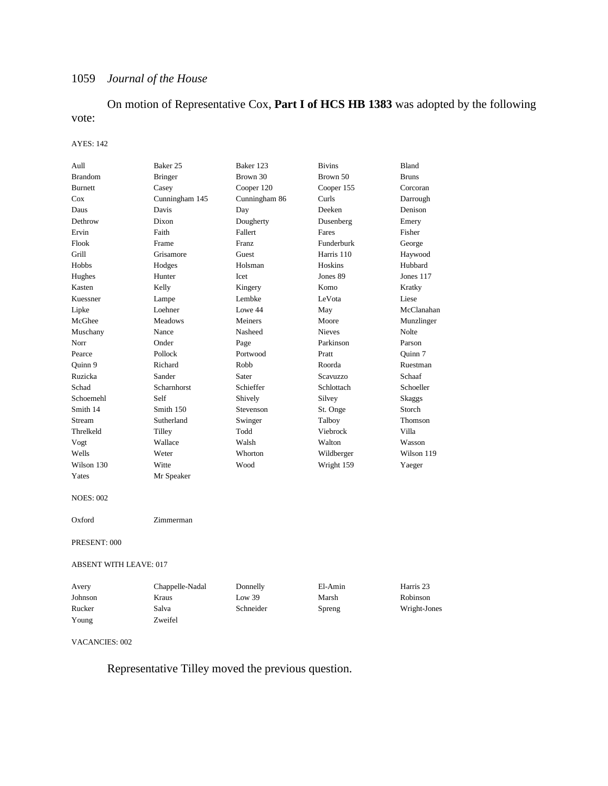On motion of Representative Cox, **Part I of HCS HB 1383** was adopted by the following vote:

#### AYES: 142

| Aull                   | Baker 25        | Baker 123     | <b>Bivins</b> | Bland        |
|------------------------|-----------------|---------------|---------------|--------------|
| <b>Brandom</b>         | <b>Bringer</b>  | Brown 30      | Brown 50      | <b>Bruns</b> |
| Burnett                | Casey           | Cooper 120    | Cooper 155    | Corcoran     |
| Cox                    | Cunningham 145  | Cunningham 86 | Curls         | Darrough     |
| Daus                   | Davis           | Day           | Deeken        | Denison      |
| Dethrow                | Dixon           | Dougherty     | Dusenberg     | Emery        |
| Ervin                  | Faith           | Fallert       | Fares         | Fisher       |
| Flook                  | Frame           | Franz         | Funderburk    | George       |
| Grill                  | Grisamore       | Guest         | Harris 110    | Haywood      |
| Hobbs                  | Hodges          | Holsman       | Hoskins       | Hubbard      |
| Hughes                 | Hunter          | Icet          | Jones 89      | Jones 117    |
| Kasten                 | Kelly           | Kingery       | Komo          | Kratky       |
| Kuessner               | Lampe           | Lembke        | LeVota        | Liese        |
| Lipke                  | Loehner         | Lowe 44       | May           | McClanahan   |
| McGhee                 | <b>Meadows</b>  | Meiners       | Moore         | Munzlinger   |
| Muschany               | Nance           | Nasheed       | <b>Nieves</b> | Nolte        |
| Norr                   | Onder           | Page          | Parkinson     | Parson       |
| Pearce                 | Pollock         | Portwood      | Pratt         | Ouinn 7      |
| Quinn 9                | Richard         | Robb          | Roorda        | Ruestman     |
| Ruzicka                | Sander          | Sater         | Scavuzzo      | Schaaf       |
| Schad                  | Scharnhorst     | Schieffer     | Schlottach    | Schoeller    |
| Schoemehl              | Self            | Shively       | Silvey        | Skaggs       |
| Smith 14               | Smith 150       | Stevenson     | St. Onge      | Storch       |
| Stream                 | Sutherland      | Swinger       | Talboy        | Thomson      |
| Threlkeld              | Tilley          | Todd          | Viebrock      | Villa        |
| Vogt                   | Wallace         | Walsh         | Walton        | Wasson       |
| Wells                  | Weter           | Whorton       | Wildberger    | Wilson 119   |
| Wilson 130             | Witte           | Wood          | Wright 159    | Yaeger       |
| Yates                  | Mr Speaker      |               |               |              |
| <b>NOES: 002</b>       |                 |               |               |              |
| Oxford                 | Zimmerman       |               |               |              |
| PRESENT: 000           |                 |               |               |              |
| ABSENT WITH LEAVE: 017 |                 |               |               |              |
| Avery                  | Chappelle-Nadal | Donnelly      | El-Amin       | Harris 23    |
| Johnson                | Kraus           | Low 39        | Marsh         | Robinson     |
| Rucker                 | Salva           | Schneider     | Spreng        | Wright-Jones |
| Young                  | Zweifel         |               |               |              |
| <b>VACANCIES: 002</b>  |                 |               |               |              |

Representative Tilley moved the previous question.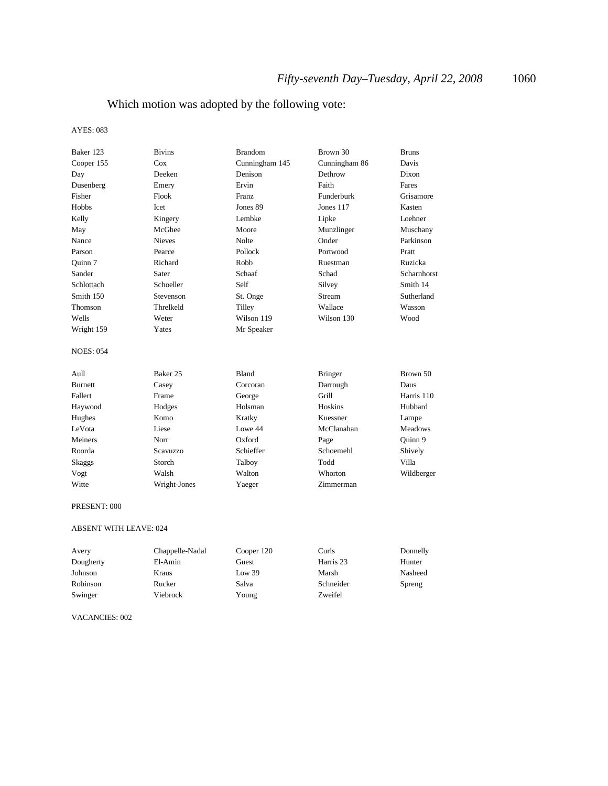## Which motion was adopted by the following vote:

#### AYES: 083

| Baker 123        | <b>Bivins</b>       | <b>Brandom</b> | Brown 30       | <b>Bruns</b>   |
|------------------|---------------------|----------------|----------------|----------------|
| Cooper 155       | Cox                 | Cunningham 145 | Cunningham 86  | Davis          |
| Day              | Deeken              | Denison        | Dethrow        | Dixon          |
| Dusenberg        | Emery               | Ervin          | Faith          | Fares          |
| Fisher           | Flook               | <b>Franz</b>   | Funderburk     | Grisamore      |
| Hobbs            | <b>Icet</b>         | Jones 89       | Jones 117      | Kasten         |
| Kelly            | Kingery             | Lembke         | Lipke          | Loehner        |
| May              | McGhee              | Moore          | Munzlinger     | Muschany       |
| Nance            | <b>Nieves</b>       | Nolte          | Onder          | Parkinson      |
| Parson           | Pearce              | Pollock        | Portwood       | Pratt          |
| Quinn 7          | Richard             | Robb           | Ruestman       | Ruzicka        |
| Sander           | Sater               | Schaaf         | Schad          | Scharnhorst    |
| Schlottach       | Schoeller           | Self           | Silvey         | Smith 14       |
| Smith 150        | Stevenson           | St. Onge       | Stream         | Sutherland     |
| Thomson          | Threlkeld           | Tilley         | Wallace        | Wasson         |
| Wells            | Weter               | Wilson 119     | Wilson 130     | Wood           |
| Wright 159       | Yates               | Mr Speaker     |                |                |
| <b>NOES: 054</b> |                     |                |                |                |
| Aull             | Baker <sub>25</sub> | <b>Bland</b>   | <b>Bringer</b> | Brown 50       |
| <b>Burnett</b>   | Casey               | Corcoran       | Darrough       | Daus           |
| Fallert          | Frame               | George         | Grill          | Harris 110     |
| Haywood          | Hodges              | Holsman        | Hoskins        | Hubbard        |
| Hughes           | Komo                | Kratky         | Kuessner       | Lampe          |
| LeVota           | Liese               | Lowe 44        | McClanahan     | <b>Meadows</b> |
| Meiners          | Norr                | Oxford         | Page           | Quinn 9        |
| Roorda           | Scavuzzo            | Schieffer      | Schoemehl      | Shively        |
| Skaggs           | Storch              | Talboy         | Todd           | Villa          |
| Vogt             | Walsh               | Walton         | Whorton        | Wildberger     |
| Witte            | Wright-Jones        | Yaeger         | Zimmerman      |                |

#### PRESENT: 000

#### ABSENT WITH LEAVE: 024

| Avery     | Chappelle-Nadal | Cooper 120 | Curls     | Donnelly |
|-----------|-----------------|------------|-----------|----------|
| Dougherty | El-Amin         | Guest      | Harris 23 | Hunter   |
| Johnson   | Kraus           | Low 39     | Marsh     | Nasheed  |
| Robinson  | Rucker          | Salva      | Schneider | Spreng   |
| Swinger   | Viebrock        | Young      | Zweifel   |          |

### VACANCIES: 002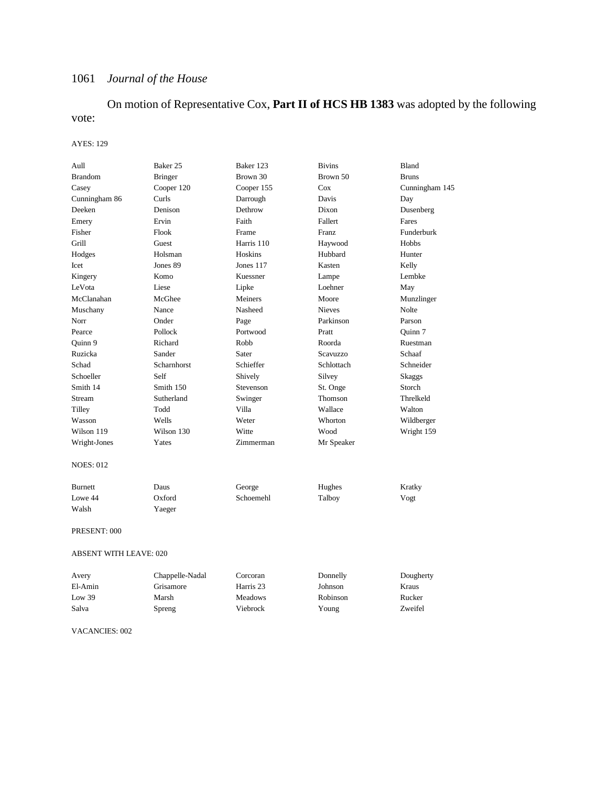## On motion of Representative Cox, **Part II of HCS HB 1383** was adopted by the following vote:

#### AYES: 129

| Aull                          | Baker 25        | Baker 123      | <b>Bivins</b>   | Bland          |
|-------------------------------|-----------------|----------------|-----------------|----------------|
| <b>Brandom</b>                | <b>Bringer</b>  | Brown 30       | Brown 50        | <b>Bruns</b>   |
| Casey                         | Cooper 120      | Cooper 155     | Cox             | Cunningham 145 |
| Cunningham 86                 | Curls           | Darrough       | Davis           | Day            |
| Deeken                        | Denison         | Dethrow        | Dixon           | Dusenberg      |
| Emery                         | Ervin           | Faith          | Fallert         | Fares          |
| Fisher                        | Flook           | Frame          | Franz           | Funderburk     |
| Grill                         | Guest           | Harris 110     | Haywood         | Hobbs          |
| Hodges                        | Holsman         | Hoskins        | Hubbard         | Hunter         |
| Icet                          | Jones 89        | Jones 117      | Kasten          | Kelly          |
| Kingery                       | Komo            | Kuessner       | Lampe           | Lembke         |
| LeVota                        | Liese           | Lipke          | Loehner         | May            |
| McClanahan                    | McGhee          | Meiners        | Moore           | Munzlinger     |
| Muschany                      | Nance           | Nasheed        | <b>Nieves</b>   | Nolte          |
| Norr                          | Onder           | Page           | Parkinson       | Parson         |
| Pearce                        | Pollock         | Portwood       | Pratt           | Quinn 7        |
| Ouinn 9                       | Richard         | Robb           | Roorda          | Ruestman       |
| Ruzicka                       | Sander          | Sater          | <b>Scavuzzo</b> | Schaaf         |
| Schad                         | Scharnhorst     | Schieffer      | Schlottach      | Schneider      |
| Schoeller                     | Self            | Shively        | Silvey          | <b>Skaggs</b>  |
| Smith 14                      | Smith 150       | Stevenson      | St. Onge        | Storch         |
| Stream                        | Sutherland      | Swinger        | Thomson         | Threlkeld      |
| Tilley                        | Todd            | Villa          | Wallace         | Walton         |
| Wasson                        | Wells           | Weter          | Whorton         | Wildberger     |
| Wilson 119                    | Wilson 130      | Witte          | Wood            | Wright 159     |
| Wright-Jones                  | Yates           | Zimmerman      | Mr Speaker      |                |
| <b>NOES: 012</b>              |                 |                |                 |                |
| <b>Burnett</b>                | Daus            | George         | Hughes          | Kratky         |
| Lowe 44                       | Oxford          | Schoemehl      | Talboy          | Vogt           |
| Walsh                         | Yaeger          |                |                 |                |
| PRESENT: 000                  |                 |                |                 |                |
| <b>ABSENT WITH LEAVE: 020</b> |                 |                |                 |                |
| Avery                         | Chappelle-Nadal | Corcoran       | Donnelly        | Dougherty      |
| El-Amin                       | Grisamore       | Harris 23      | Johnson         | Kraus          |
| Low 39                        | Marsh           | <b>Meadows</b> | Robinson        | Rucker         |
| Salva                         | Spreng          | Viebrock       | Young           | Zweifel        |

VACANCIES: 002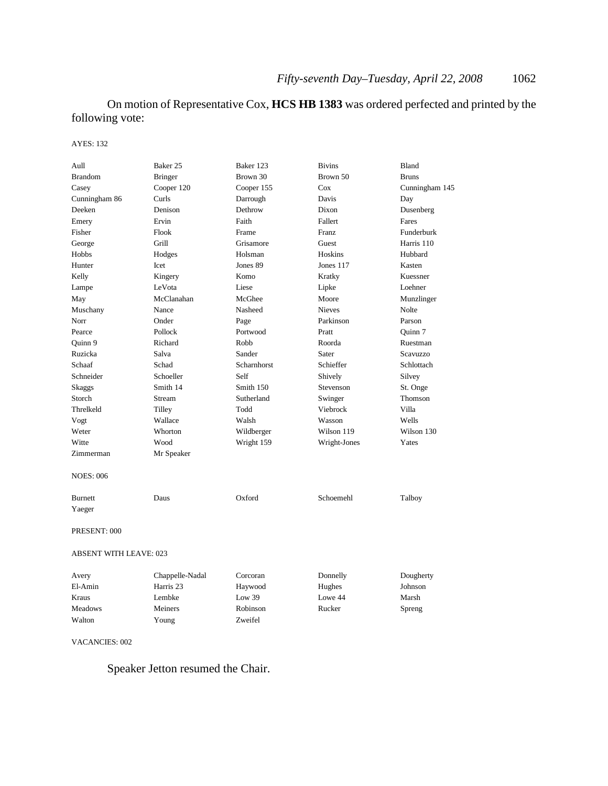On motion of Representative Cox, **HCS HB 1383** was ordered perfected and printed by the following vote:

#### AYES: 132

| Aull                          | Baker 25        | Baker 123   | <b>Bivins</b> | Bland          |
|-------------------------------|-----------------|-------------|---------------|----------------|
| <b>Brandom</b>                | Bringer         | Brown 30    | Brown 50      | <b>Bruns</b>   |
| Casey                         | Cooper 120      | Cooper 155  | Cox           | Cunningham 145 |
| Cunningham 86                 | Curls           | Darrough    | Davis         | Day            |
| Deeken                        | Denison         | Dethrow     | Dixon         | Dusenberg      |
| Emery                         | Ervin           | Faith       | Fallert       | Fares          |
| Fisher                        | Flook           | Frame       | Franz         | Funderburk     |
| George                        | Grill           | Grisamore   | Guest         | Harris 110     |
| Hobbs                         | Hodges          | Holsman     | Hoskins       | Hubbard        |
| Hunter                        | Icet            | Jones 89    | Jones 117     | Kasten         |
| Kelly                         | Kingery         | Komo        | Kratky        | Kuessner       |
| Lampe                         | LeVota          | Liese       | Lipke         | Loehner        |
| May                           | McClanahan      | McGhee      | Moore         | Munzlinger     |
| Muschany                      | Nance           | Nasheed     | <b>Nieves</b> | Nolte          |
| Norr                          | Onder           | Page        | Parkinson     | Parson         |
| Pearce                        | Pollock         | Portwood    | Pratt         | Quinn 7        |
| Quinn 9                       | Richard         | Robb        | Roorda        | Ruestman       |
| Ruzicka                       | Salva           | Sander      | Sater         | Scavuzzo       |
| Schaaf                        | Schad           | Scharnhorst | Schieffer     | Schlottach     |
| Schneider                     | Schoeller       | Self        | Shively       | Silvey         |
| Skaggs                        | Smith 14        | Smith 150   | Stevenson     | St. Onge       |
| Storch                        | Stream          | Sutherland  | Swinger       | Thomson        |
| Threlkeld                     | Tilley          | Todd        | Viebrock      | Villa          |
| Vogt                          | Wallace         | Walsh       | Wasson        | Wells          |
| Weter                         | Whorton         | Wildberger  | Wilson 119    | Wilson 130     |
| Witte                         | Wood            | Wright 159  | Wright-Jones  | Yates          |
| Zimmerman                     | Mr Speaker      |             |               |                |
|                               |                 |             |               |                |
| NOES: 006                     |                 |             |               |                |
| <b>Burnett</b>                | Daus            | Oxford      | Schoemehl     | Talboy         |
| Yaeger                        |                 |             |               |                |
| PRESENT: 000                  |                 |             |               |                |
| <b>ABSENT WITH LEAVE: 023</b> |                 |             |               |                |
| Avery                         | Chappelle-Nadal | Corcoran    | Donnelly      | Dougherty      |
| El-Amin                       | Harris 23       | Haywood     | Hughes        | Johnson        |
| Kraus                         | Lembke          | Low 39      | Lowe 44       | Marsh          |
| <b>Meadows</b>                | Meiners         | Robinson    | Rucker        | Spreng         |
| Walton                        | Young           | Zweifel     |               |                |
|                               |                 |             |               |                |

### VACANCIES: 002

Speaker Jetton resumed the Chair.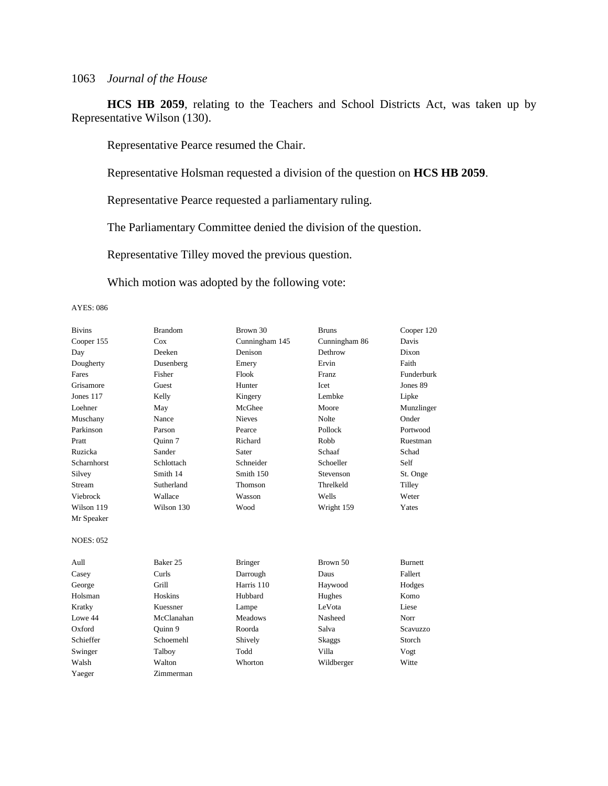**HCS HB 2059**, relating to the Teachers and School Districts Act, was taken up by Representative Wilson (130).

Representative Pearce resumed the Chair.

Representative Holsman requested a division of the question on **HCS HB 2059**.

Representative Pearce requested a parliamentary ruling.

The Parliamentary Committee denied the division of the question.

Representative Tilley moved the previous question.

Which motion was adopted by the following vote:

| <b>Bivins</b>    | <b>Brandom</b>      | Brown 30       | <b>Bruns</b>  | Cooper 120     |
|------------------|---------------------|----------------|---------------|----------------|
| Cooper 155       | Cox                 | Cunningham 145 | Cunningham 86 | Davis          |
| Day              | Deeken              | Denison        | Dethrow       | Dixon          |
| Dougherty        | Dusenberg           | Emery          | Ervin         | Faith          |
| Fares            | Fisher              | Flook          | <b>Franz</b>  | Funderburk     |
| Grisamore        | Guest               | Hunter         | Icet          | Jones 89       |
| Jones 117        | Kelly               | Kingery        | Lembke        | Lipke          |
| Loehner          | May                 | McGhee         | Moore         | Munzlinger     |
| Muschany         | Nance               | <b>Nieves</b>  | Nolte         | Onder          |
| Parkinson        | Parson              | Pearce         | Pollock       | Portwood       |
| Pratt            | Ouinn 7             | Richard        | Robb          | Ruestman       |
| Ruzicka          | Sander              | Sater          | Schaaf        | Schad          |
| Scharnhorst      | Schlottach          | Schneider      | Schoeller     | Self           |
| Silvey           | Smith 14            | Smith 150      | Stevenson     | St. Onge       |
| Stream           | Sutherland          | Thomson        | Threlkeld     | Tilley         |
| Viebrock         | Wallace             | Wasson         | Wells         | Weter          |
| Wilson 119       | Wilson 130          | Wood           | Wright 159    | Yates          |
| Mr Speaker       |                     |                |               |                |
|                  |                     |                |               |                |
| <b>NOES: 052</b> |                     |                |               |                |
|                  |                     |                |               |                |
| Aull             | Baker <sub>25</sub> | <b>Bringer</b> | Brown 50      | <b>Burnett</b> |
| Casey            | Curls               | Darrough       | Daus          | Fallert        |
| George           | Grill               | Harris 110     | Haywood       | Hodges         |
| Holsman          | Hoskins             | Hubbard        | Hughes        | Komo           |
| Kratky           | Kuessner            | Lampe          | LeVota        | Liese          |
| Lowe 44          | McClanahan          | <b>Meadows</b> | Nasheed       | Norr           |
| Oxford           | Ouinn 9             | Roorda         | Salva         | Scavuzzo       |
| Schieffer        | Schoemehl           | Shively        | Skaggs        | Storch         |
| Swinger          | Talboy              | Todd           | Villa         | Vogt           |
| Walsh            | Walton              | Whorton        | Wildberger    | Witte          |
| Yaeger           | Zimmerman           |                |               |                |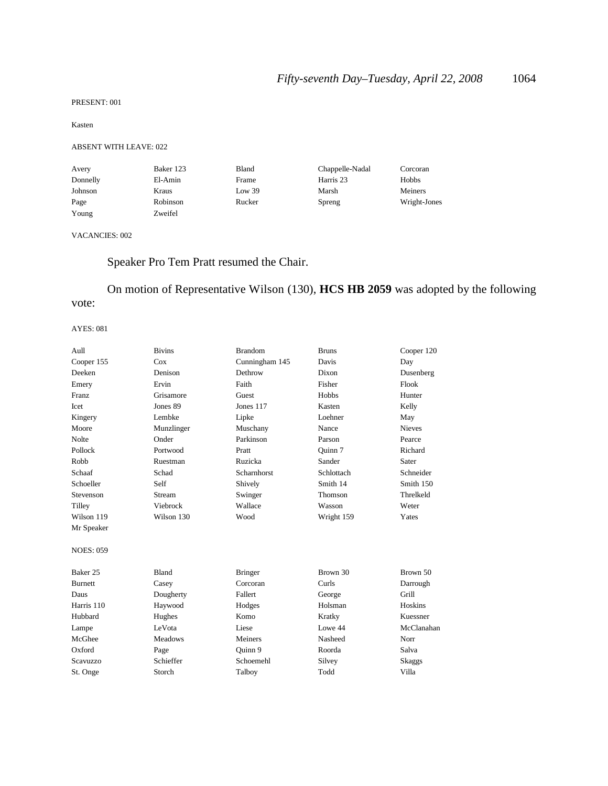#### PRESENT: 001

#### Kasten

#### ABSENT WITH LEAVE: 022

| Avery    | Baker 123 | Bland  | Chappelle-Nadal | Corcoran     |
|----------|-----------|--------|-----------------|--------------|
| Donnelly | El-Amin   | Frame  | Harris 23       | Hobbs        |
| Johnson  | Kraus     | Low 39 | Marsh           | Meiners      |
| Page     | Robinson  | Rucker | Spreng          | Wright-Jones |
| Young    | Zweifel   |        |                 |              |

### VACANCIES: 002

## Speaker Pro Tem Pratt resumed the Chair.

## On motion of Representative Wilson (130), **HCS HB 2059** was adopted by the following vote:

| Aull                | <b>Bivins</b>  | <b>Brandom</b> | <b>Bruns</b> | Cooper 120    |
|---------------------|----------------|----------------|--------------|---------------|
| Cooper 155          | Cox            | Cunningham 145 | Davis        | Day           |
| Deeken              | Denison        | Dethrow        | Dixon        | Dusenberg     |
| Emery               | Ervin          | Faith          | Fisher       | Flook         |
| <b>Franz</b>        | Grisamore      | Guest          | Hobbs        | Hunter        |
| Icet                | Jones 89       | Jones 117      | Kasten       | Kelly         |
| Kingery             | Lembke         | Lipke          | Loehner      | May           |
| Moore               | Munzlinger     | Muschany       | Nance        | <b>Nieves</b> |
| Nolte               | Onder          | Parkinson      | Parson       | Pearce        |
| Pollock             | Portwood       | Pratt          | Ouinn 7      | Richard       |
| Robb                | Ruestman       | Ruzicka        | Sander       | Sater         |
| Schaaf              | Schad          | Scharnhorst    | Schlottach   | Schneider     |
| Schoeller           | Self           | Shively        | Smith 14     | Smith 150     |
| Stevenson           | Stream         | Swinger        | Thomson      | Threlkeld     |
| Tilley              | Viebrock       | Wallace        | Wasson       | Weter         |
| Wilson 119          | Wilson 130     | Wood           | Wright 159   | Yates         |
| Mr Speaker          |                |                |              |               |
| <b>NOES: 059</b>    |                |                |              |               |
| Baker <sub>25</sub> | <b>Bland</b>   | <b>Bringer</b> | Brown 30     | Brown 50      |
| <b>Burnett</b>      | Casey          | Corcoran       | Curls        | Darrough      |
| Daus                | Dougherty      | Fallert        | George       | Grill         |
| Harris 110          | Haywood        | Hodges         | Holsman      | Hoskins       |
| Hubbard             | Hughes         | Komo           | Kratky       | Kuessner      |
| Lampe               | LeVota         | Liese          | Lowe 44      | McClanahan    |
| McGhee              | <b>Meadows</b> | Meiners        | Nasheed      | Norr          |
| Oxford              | Page           | Quinn 9        | Roorda       | Salva         |
| Scavuzzo            | Schieffer      | Schoemehl      | Silvey       | Skaggs        |
| St. Onge            | Storch         | Talboy         | Todd         | Villa         |
|                     |                |                |              |               |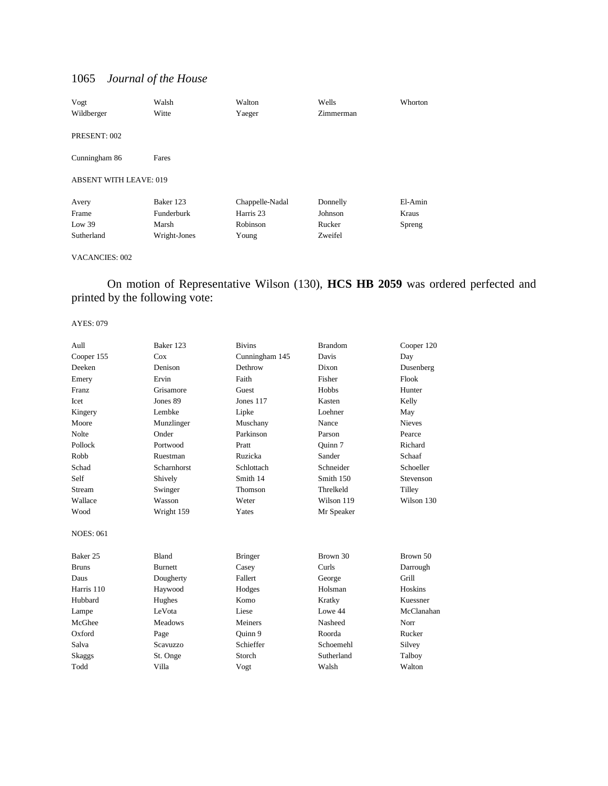| Vogt                          | Walsh        | Walton          | Wells     | Whorton |
|-------------------------------|--------------|-----------------|-----------|---------|
| Wildberger                    | Witte        | Yaeger          | Zimmerman |         |
|                               |              |                 |           |         |
| PRESENT: 002                  |              |                 |           |         |
|                               |              |                 |           |         |
| Cunningham 86                 | Fares        |                 |           |         |
|                               |              |                 |           |         |
| <b>ABSENT WITH LEAVE: 019</b> |              |                 |           |         |
|                               |              |                 |           |         |
| Avery                         | Baker 123    | Chappelle-Nadal | Donnelly  | El-Amin |
| Frame                         | Funderburk   | Harris 23       | Johnson   | Kraus   |
| Low 39                        | Marsh        | Robinson        | Rucker    | Spreng  |
| Sutherland                    | Wright-Jones | Young           | Zweifel   |         |

#### VACANCIES: 002

### On motion of Representative Wilson (130), **HCS HB 2059** was ordered perfected and printed by the following vote:

| Aull             | Baker 123      | <b>Bivins</b>  | <b>Brandom</b> | Cooper 120    |
|------------------|----------------|----------------|----------------|---------------|
| Cooper 155       | Cox            | Cunningham 145 | Davis          | Day           |
| Deeken           | Denison        | Dethrow        | Dixon          | Dusenberg     |
| Emery            | Ervin          | Faith          | Fisher         | Flook         |
| Franz            | Grisamore      | Guest          | Hobbs          | Hunter        |
| <b>Icet</b>      | Jones 89       | Jones 117      | Kasten         | Kelly         |
| Kingery          | Lembke         | Lipke          | Loehner        | May           |
| Moore            | Munzlinger     | Muschany       | Nance          | <b>Nieves</b> |
| <b>Nolte</b>     | Onder          | Parkinson      | Parson         | Pearce        |
| Pollock          | Portwood       | Pratt          | Ouinn 7        | Richard       |
| Robb             | Ruestman       | Ruzicka        | Sander         | Schaaf        |
| Schad            | Scharnhorst    | Schlottach     | Schneider      | Schoeller     |
| Self             | Shively        | Smith 14       | Smith 150      | Stevenson     |
| <b>Stream</b>    | Swinger        | Thomson        | Threlkeld      | Tilley        |
| Wallace          | Wasson         | Weter          | Wilson 119     | Wilson 130    |
| Wood             | Wright 159     | Yates          | Mr Speaker     |               |
| <b>NOES: 061</b> |                |                |                |               |
| Baker 25         | <b>Bland</b>   | <b>Bringer</b> | Brown 30       | Brown 50      |
| <b>Bruns</b>     | <b>Burnett</b> | Casey          | Curls          | Darrough      |
| Daus             | Dougherty      | Fallert        | George         | Grill         |
| Harris 110       | Haywood        | Hodges         | Holsman        | Hoskins       |
| Hubbard          | Hughes         | Komo           | Kratky         | Kuessner      |
| Lampe            | LeVota         | Liese          | Lowe 44        | McClanahan    |
| McGhee           | <b>Meadows</b> | Meiners        | Nasheed        | Norr          |
| Oxford           | Page           | Quinn 9        | Roorda         | Rucker        |
| Salva            | Scavuzzo       | Schieffer      | Schoemehl      | Silvey        |
| Skaggs           | St. Onge       | Storch         | Sutherland     | Talboy        |
| Todd             | Villa          | Vogt           | Walsh          | Walton        |
|                  |                |                |                |               |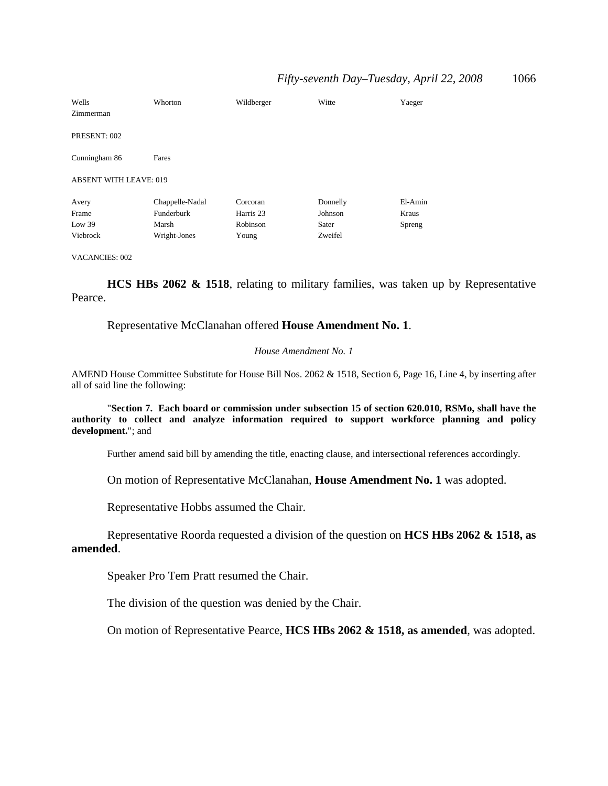| Wells<br>Zimmerman            | Whorton         | Wildberger | Witte    | Yaeger  |
|-------------------------------|-----------------|------------|----------|---------|
| PRESENT: 002                  |                 |            |          |         |
| Cunningham 86                 | Fares           |            |          |         |
| <b>ABSENT WITH LEAVE: 019</b> |                 |            |          |         |
| Avery                         | Chappelle-Nadal | Corcoran   | Donnelly | El-Amin |
| Frame                         | Funderburk      | Harris 23  | Johnson  | Kraus   |
| Low 39                        | Marsh           | Robinson   | Sater    | Spreng  |
| Viebrock                      | Wright-Jones    | Young      | Zweifel  |         |

VACANCIES: 002

**HCS HBs 2062 & 1518**, relating to military families, was taken up by Representative Pearce.

Representative McClanahan offered **House Amendment No. 1**.

#### *House Amendment No. 1*

AMEND House Committee Substitute for House Bill Nos. 2062 & 1518, Section 6, Page 16, Line 4, by inserting after all of said line the following:

"**Section 7. Each board or commission under subsection 15 of section 620.010, RSMo, shall have the authority to collect and analyze information required to support workforce planning and policy development.**"; and

Further amend said bill by amending the title, enacting clause, and intersectional references accordingly.

On motion of Representative McClanahan, **House Amendment No. 1** was adopted.

Representative Hobbs assumed the Chair.

Representative Roorda requested a division of the question on **HCS HBs 2062 & 1518, as amended**.

Speaker Pro Tem Pratt resumed the Chair.

The division of the question was denied by the Chair.

On motion of Representative Pearce, **HCS HBs 2062 & 1518, as amended**, was adopted.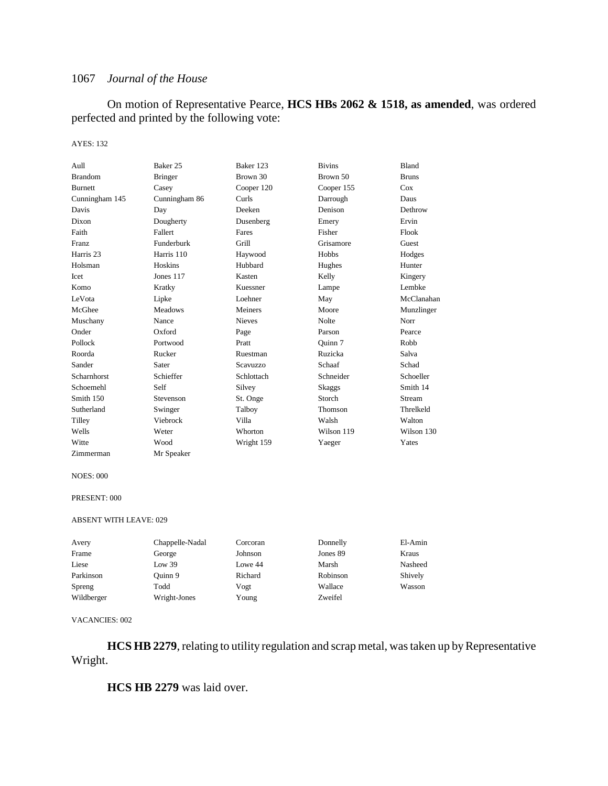On motion of Representative Pearce, **HCS HBs 2062 & 1518, as amended**, was ordered perfected and printed by the following vote:

#### AYES: 132

| Aull                 | Baker 25       | Baker 123     | <b>Bivins</b> | Bland        |
|----------------------|----------------|---------------|---------------|--------------|
| <b>Brandom</b>       | <b>Bringer</b> | Brown 30      | Brown 50      | <b>Bruns</b> |
| <b>Burnett</b>       | Casey          | Cooper 120    | Cooper 155    | Cox          |
| Cunningham 145       | Cunningham 86  | Curls         | Darrough      | Daus         |
| Davis                | Day            | Deeken        | Denison       | Dethrow      |
| Dixon                | Dougherty      | Dusenberg     | Emery         | Ervin        |
| Faith                | Fallert        | Fares         | Fisher        | Flook        |
| Franz                | Funderburk     | Grill         | Grisamore     | Guest        |
| Harris <sub>23</sub> | Harris 110     | Haywood       | Hobbs         | Hodges       |
| Holsman              | Hoskins        | Hubbard       | Hughes        | Hunter       |
| Icet                 | Jones 117      | Kasten        | Kelly         | Kingery      |
| Komo                 | Kratky         | Kuessner      | Lampe         | Lembke       |
| LeVota               | Lipke          | Loehner       | May           | McClanahan   |
| McGhee               | <b>Meadows</b> | Meiners       | Moore         | Munzlinger   |
| Muschany             | Nance          | <b>Nieves</b> | <b>Nolte</b>  | Norr         |
| Onder                | Oxford         | Page          | Parson        | Pearce       |
| Pollock              | Portwood       | Pratt         | Ouinn 7       | Robb         |
| Roorda               | Rucker         | Ruestman      | Ruzicka       | Salva        |
| Sander               | Sater          | Scavuzzo      | Schaaf        | Schad        |
| <b>Scharnhorst</b>   | Schieffer      | Schlottach    | Schneider     | Schoeller    |
| Schoemehl            | Self           | Silvey        | <b>Skaggs</b> | Smith 14     |
| Smith 150            | Stevenson      | St. Onge      | Storch        | Stream       |
| Sutherland           | Swinger        | Talboy        | Thomson       | Threlkeld    |
| Tilley               | Viebrock       | Villa         | Walsh         | Walton       |
| Wells                | Weter          | Whorton       | Wilson 119    | Wilson 130   |
| Witte                | Wood           | Wright 159    | Yaeger        | Yates        |
| Zimmerman            | Mr Speaker     |               |               |              |

#### NOES: 000

#### PRESENT: 000

#### ABSENT WITH LEAVE: 029

| Avery      | Chappelle-Nadal | Corcoran | Donnelly | El-Amin |
|------------|-----------------|----------|----------|---------|
| Frame      | George          | Johnson  | Jones 89 | Kraus   |
| Liese      | Low 39          | Lowe 44  | Marsh    | Nasheed |
| Parkinson  | Ouinn 9         | Richard  | Robinson | Shively |
| Spreng     | Todd            | Vogt     | Wallace  | Wasson  |
| Wildberger | Wright-Jones    | Young    | Zweifel  |         |

#### VACANCIES: 002

**HCS HB 2279**, relating to utility regulation and scrap metal, was taken up by Representative Wright.

**HCS HB 2279** was laid over.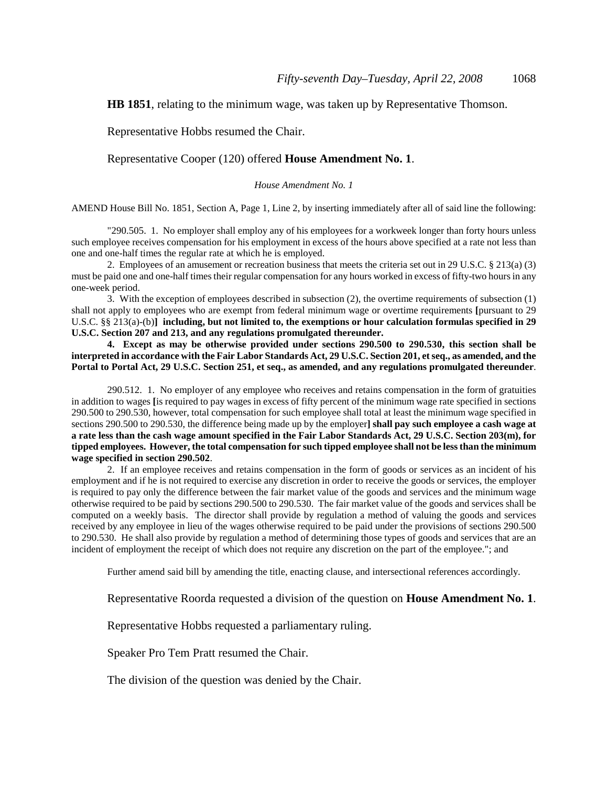**HB 1851**, relating to the minimum wage, was taken up by Representative Thomson.

Representative Hobbs resumed the Chair.

Representative Cooper (120) offered **House Amendment No. 1**.

*House Amendment No. 1*

AMEND House Bill No. 1851, Section A, Page 1, Line 2, by inserting immediately after all of said line the following:

"290.505. 1. No employer shall employ any of his employees for a workweek longer than forty hours unless such employee receives compensation for his employment in excess of the hours above specified at a rate not less than one and one-half times the regular rate at which he is employed.

2. Employees of an amusement or recreation business that meets the criteria set out in 29 U.S.C. § 213(a) (3) must be paid one and one-half times their regular compensation for any hours worked in excess of fifty-two hours in any one-week period.

3. With the exception of employees described in subsection (2), the overtime requirements of subsection (1) shall not apply to employees who are exempt from federal minimum wage or overtime requirements **[**pursuant to 29 U.S.C. §§ 213(a)-(b)**] including, but not limited to, the exemptions or hour calculation formulas specified in 29 U.S.C. Section 207 and 213, and any regulations promulgated thereunder.**

**4. Except as may be otherwise provided under sections 290.500 to 290.530, this section shall be interpreted in accordance with the Fair Labor Standards Act, 29 U.S.C. Section 201, et seq., as amended, and the Portal to Portal Act, 29 U.S.C. Section 251, et seq., as amended, and any regulations promulgated thereunder**.

290.512. 1. No employer of any employee who receives and retains compensation in the form of gratuities in addition to wages **[**is required to pay wages in excess of fifty percent of the minimum wage rate specified in sections 290.500 to 290.530, however, total compensation for such employee shall total at least the minimum wage specified in sections 290.500 to 290.530, the difference being made up by the employer**] shall pay such employee a cash wage at a rate less than the cash wage amount specified in the Fair Labor Standards Act, 29 U.S.C. Section 203(m), for tipped employees. However, the total compensation for such tipped employee shall not be less than the minimum wage specified in section 290.502**.

2. If an employee receives and retains compensation in the form of goods or services as an incident of his employment and if he is not required to exercise any discretion in order to receive the goods or services, the employer is required to pay only the difference between the fair market value of the goods and services and the minimum wage otherwise required to be paid by sections 290.500 to 290.530. The fair market value of the goods and services shall be computed on a weekly basis. The director shall provide by regulation a method of valuing the goods and services received by any employee in lieu of the wages otherwise required to be paid under the provisions of sections 290.500 to 290.530. He shall also provide by regulation a method of determining those types of goods and services that are an incident of employment the receipt of which does not require any discretion on the part of the employee."; and

Further amend said bill by amending the title, enacting clause, and intersectional references accordingly.

Representative Roorda requested a division of the question on **House Amendment No. 1**.

Representative Hobbs requested a parliamentary ruling.

Speaker Pro Tem Pratt resumed the Chair.

The division of the question was denied by the Chair.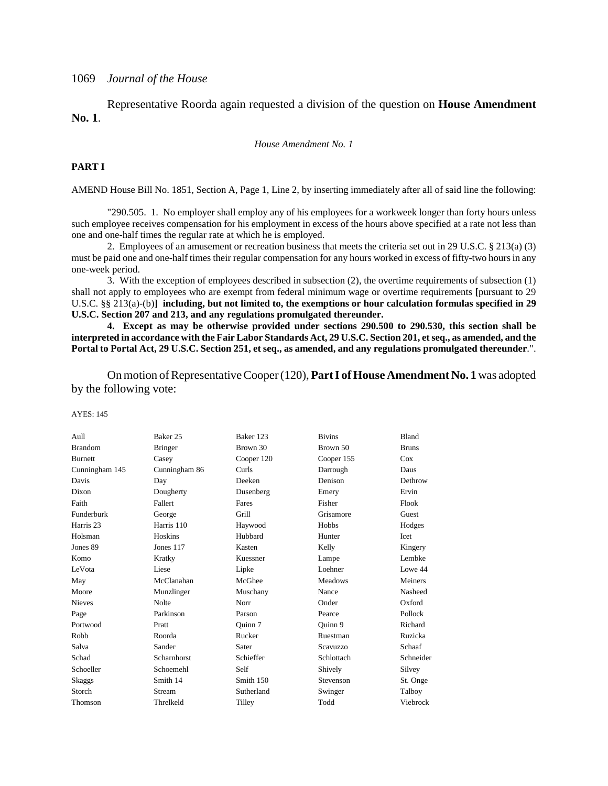Representative Roorda again requested a division of the question on **House Amendment No. 1**.

#### *House Amendment No. 1*

#### **PART I**

AMEND House Bill No. 1851, Section A, Page 1, Line 2, by inserting immediately after all of said line the following:

"290.505. 1. No employer shall employ any of his employees for a workweek longer than forty hours unless such employee receives compensation for his employment in excess of the hours above specified at a rate not less than one and one-half times the regular rate at which he is employed.

2. Employees of an amusement or recreation business that meets the criteria set out in 29 U.S.C. § 213(a) (3) must be paid one and one-half times their regular compensation for any hours worked in excess of fifty-two hours in any one-week period.

3. With the exception of employees described in subsection (2), the overtime requirements of subsection (1) shall not apply to employees who are exempt from federal minimum wage or overtime requirements **[**pursuant to 29 U.S.C. §§ 213(a)-(b)**] including, but not limited to, the exemptions or hour calculation formulas specified in 29 U.S.C. Section 207 and 213, and any regulations promulgated thereunder.**

**4. Except as may be otherwise provided under sections 290.500 to 290.530, this section shall be interpreted in accordance with the Fair Labor Standards Act, 29 U.S.C. Section 201, et seq., as amended, and the Portal to Portal Act, 29 U.S.C. Section 251, et seq., as amended, and any regulations promulgated thereunder**.".

On motion of Representative Cooper (120), **Part I of House Amendment No. 1** was adopted by the following vote:

| Aull           | Baker 25           | Baker 123  | <b>Bivins</b>  | <b>Bland</b> |
|----------------|--------------------|------------|----------------|--------------|
| <b>Brandom</b> | <b>Bringer</b>     | Brown 30   | Brown 50       | <b>Bruns</b> |
| <b>Burnett</b> | Casey              | Cooper 120 | Cooper 155     | Cox          |
| Cunningham 145 | Cunningham 86      | Curls      | Darrough       | Daus         |
| Davis          | Day                | Deeken     | Denison        | Dethrow      |
| Dixon          | Dougherty          | Dusenberg  | Emery          | Ervin        |
| Faith          | Fallert            | Fares      | Fisher         | Flook        |
| Funderburk     | George             | Grill      | Grisamore      | Guest        |
| Harris 23      | Harris 110         | Haywood    | Hobbs          | Hodges       |
| Holsman        | Hoskins            | Hubbard    | Hunter         | Icet         |
| Jones 89       | Jones 117          | Kasten     | Kelly          | Kingery      |
| Komo           | Kratky             | Kuessner   | Lampe          | Lembke       |
| LeVota         | Liese              | Lipke      | Loehner        | Lowe 44      |
| May            | McClanahan         | McGhee     | <b>Meadows</b> | Meiners      |
| Moore          | Munzlinger         | Muschany   | Nance          | Nasheed      |
| <b>Nieves</b>  | <b>Nolte</b>       | Norr       | Onder          | Oxford       |
| Page           | Parkinson          | Parson     | Pearce         | Pollock      |
| Portwood       | Pratt              | Ouinn 7    | Ouinn 9        | Richard      |
| Robb           | Roorda             | Rucker     | Ruestman       | Ruzicka      |
| Salva          | Sander             | Sater      | Scavuzzo       | Schaaf       |
| Schad          | <b>Scharnhorst</b> | Schieffer  | Schlottach     | Schneider    |
| Schoeller      | Schoemehl          | Self       | Shively        | Silvey       |
| Skaggs         | Smith 14           | Smith 150  | Stevenson      | St. Onge     |
| Storch         | Stream             | Sutherland | Swinger        | Talboy       |
| Thomson        | Threlkeld          | Tilley     | Todd           | Viebrock     |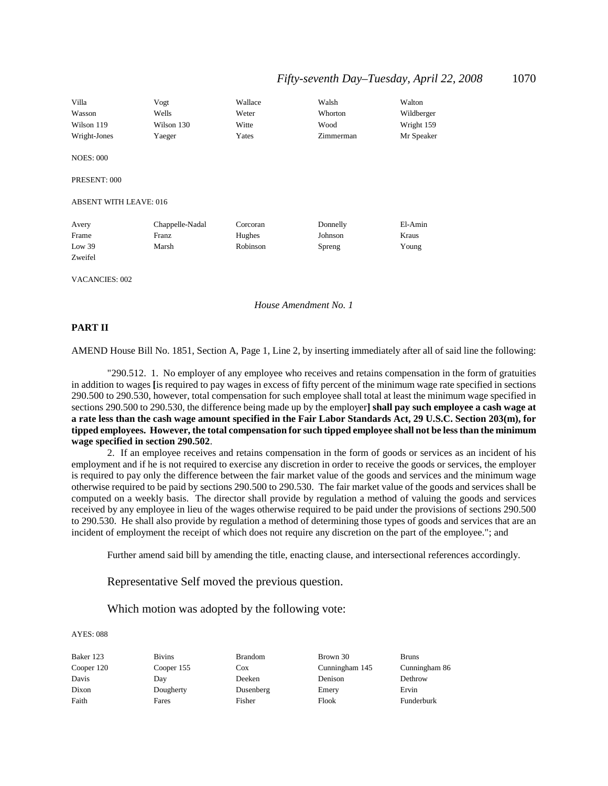| Villa                         | Vogt            | Wallace  | Walsh     | Walton     |
|-------------------------------|-----------------|----------|-----------|------------|
| Wasson                        | Wells           | Weter    | Whorton   | Wildberger |
| Wilson 119                    | Wilson 130      | Witte    | Wood      | Wright 159 |
| Wright-Jones                  | Yaeger          | Yates    | Zimmerman | Mr Speaker |
| <b>NOES: 000</b>              |                 |          |           |            |
| PRESENT: 000                  |                 |          |           |            |
| <b>ABSENT WITH LEAVE: 016</b> |                 |          |           |            |
| Avery                         | Chappelle-Nadal | Corcoran | Donnelly  | El-Amin    |
| Frame                         | Franz           | Hughes   | Johnson   | Kraus      |
| Low $39$                      | Marsh           | Robinson | Spreng    | Young      |
| Zweifel                       |                 |          |           |            |

VACANCIES: 002

#### *House Amendment No. 1*

#### **PART II**

AMEND House Bill No. 1851, Section A, Page 1, Line 2, by inserting immediately after all of said line the following:

"290.512. 1. No employer of any employee who receives and retains compensation in the form of gratuities in addition to wages **[**is required to pay wages in excess of fifty percent of the minimum wage rate specified in sections 290.500 to 290.530, however, total compensation for such employee shall total at least the minimum wage specified in sections 290.500 to 290.530, the difference being made up by the employer**] shall pay such employee a cash wage at a rate less than the cash wage amount specified in the Fair Labor Standards Act, 29 U.S.C. Section 203(m), for tipped employees. However, the total compensation for such tipped employee shall not be less than the minimum wage specified in section 290.502**.

2. If an employee receives and retains compensation in the form of goods or services as an incident of his employment and if he is not required to exercise any discretion in order to receive the goods or services, the employer is required to pay only the difference between the fair market value of the goods and services and the minimum wage otherwise required to be paid by sections 290.500 to 290.530. The fair market value of the goods and services shall be computed on a weekly basis. The director shall provide by regulation a method of valuing the goods and services received by any employee in lieu of the wages otherwise required to be paid under the provisions of sections 290.500 to 290.530. He shall also provide by regulation a method of determining those types of goods and services that are an incident of employment the receipt of which does not require any discretion on the part of the employee."; and

Further amend said bill by amending the title, enacting clause, and intersectional references accordingly.

Representative Self moved the previous question.

Which motion was adopted by the following vote:

#### AYES: 088

Baker 123 Bivins Brandom Brown 30 Bruns Cooper 120 Cooper 155 Cox Cunningham 145 Cunningham 86 Davis Day Deeken Denison Dethrow Dixon Dougherty Dusenberg Emery Ervin Faith Fares Fisher Fisher Flook Funderburk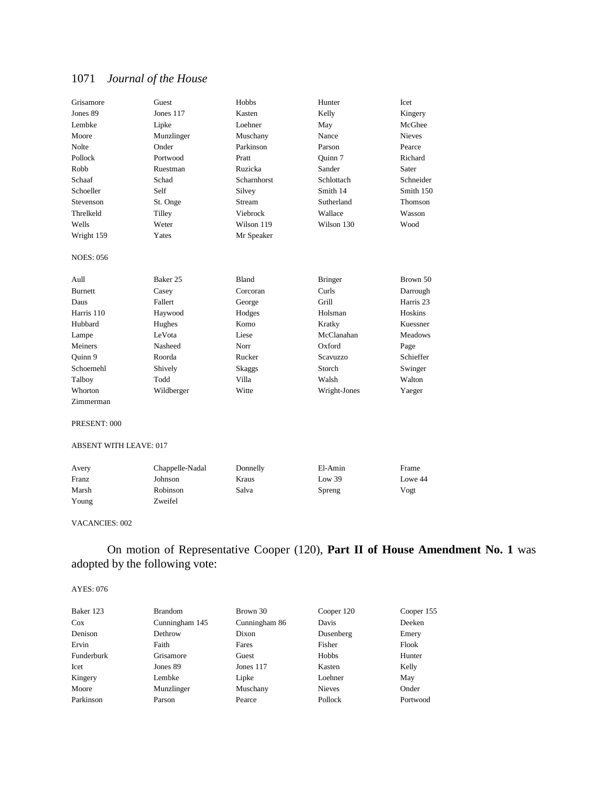| Grisamore        | Guest      | Hobbs        | Hunter          | <b>Icet</b>          |
|------------------|------------|--------------|-----------------|----------------------|
| Jones 89         | Jones 117  | Kasten       | Kelly           | Kingery              |
| Lembke           | Lipke      | Loehner      | May             | McGhee               |
| Moore            | Munzlinger | Muschany     | Nance           | <b>Nieves</b>        |
| Nolte            | Onder      | Parkinson    | Parson          | Pearce               |
| Pollock          | Portwood   | Pratt        | Ouinn 7         | Richard              |
| Robb             | Ruestman   | Ruzicka      | Sander          | Sater                |
| Schaaf           | Schad      | Scharnhorst  | Schlottach      | Schneider            |
| Schoeller        | Self       | Silvey       | Smith 14        | Smith 150            |
| Stevenson        | St. Onge   | Stream       | Sutherland      | Thomson              |
| Threlkeld        | Tilley     | Viebrock     | Wallace         | Wasson               |
| Wells            | Weter      | Wilson 119   | Wilson 130      | Wood                 |
| Wright 159       | Yates      | Mr Speaker   |                 |                      |
| <b>NOES: 056</b> |            |              |                 |                      |
| Aull             | Baker 25   | <b>Bland</b> | <b>Bringer</b>  | Brown 50             |
| <b>Burnett</b>   | Casey      | Corcoran     | Curls           | Darrough             |
| Daus             | Fallert    | George       | Grill           | Harris <sub>23</sub> |
| Harris 110       | Haywood    | Hodges       | Holsman         | <b>Hoskins</b>       |
| Hubbard          | Hughes     | Komo         | Kratky          | Kuessner             |
| Lampe            | LeVota     | Liese        | McClanahan      | <b>Meadows</b>       |
| Meiners          | Nasheed    | Norr         | Oxford          | Page                 |
| Ouinn 9          | Roorda     | Rucker       | <b>Scavuzzo</b> | Schieffer            |
| Schoemehl        | Shively    | Skaggs       | Storch          | Swinger              |
| Talboy           | Todd       | Villa        | Walsh           | Walton               |
| Whorton          | Wildberger | Witte        | Wright-Jones    | Yaeger               |
| Zimmerman        |            |              |                 |                      |
| PRESENT: 000     |            |              |                 |                      |

ABSENT WITH LEAVE: 017

| Avery | Chappelle-Nadal | Donnelly | El-Amin | Frame   |
|-------|-----------------|----------|---------|---------|
| Franz | Johnson         | Kraus    | Low 39  | Lowe 44 |
| Marsh | Robinson        | Salva    | Spreng  | Vogt    |
| Young | Zweifel         |          |         |         |

#### VACANCIES: 002

On motion of Representative Cooper (120), **Part II of House Amendment No. 1** was adopted by the following vote:

| Baker 123<br><b>Brandom</b><br>Brown 30   | Cooper 120    | Cooper 155 |
|-------------------------------------------|---------------|------------|
| $\cos$<br>Cunningham 86<br>Cunningham 145 | Davis         | Deeken     |
| Denison<br>Dethrow<br>Dixon               | Dusenberg     | Emery      |
| Ervin<br>Faith<br>Fares                   | Fisher        | Flook      |
| Funderburk<br>Grisamore<br>Guest          | Hobbs         | Hunter     |
| Icet<br>Jones 89<br>Jones 117             | Kasten        | Kelly      |
| Kingery<br>Lembke<br>Lipke                | Loehner       | May        |
| Moore<br>Muschany<br>Munzlinger           | <b>Nieves</b> | Onder      |
| Parkinson<br>Pearce<br>Parson             | Pollock       | Portwood   |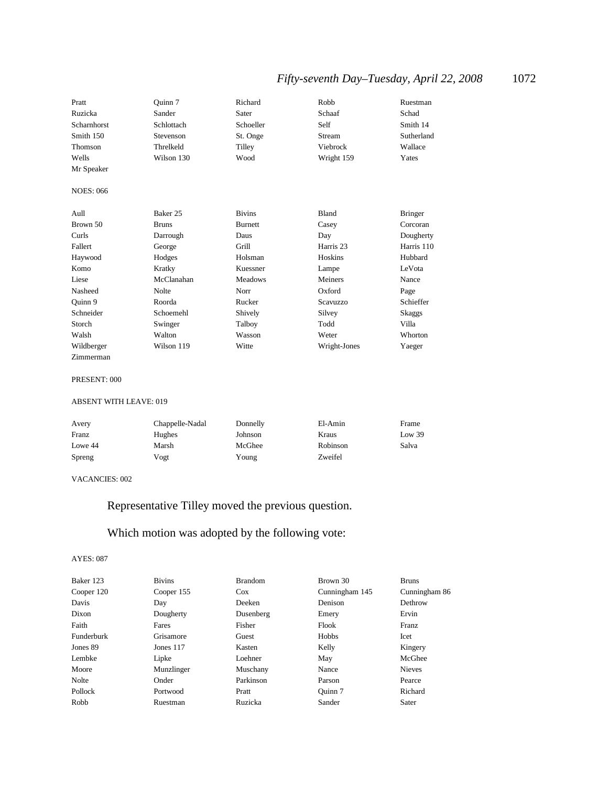## *Fifty-seventh Day–Tuesday, April 22, 2008* 1072

| Pratt<br>Ruzicka<br>Scharnhorst<br>Smith 150<br>Thomson<br>Wells | Ouinn 7<br>Sander<br>Schlottach<br>Stevenson<br>Threlkeld<br>Wilson 130 | Richard<br>Sater<br>Schoeller<br>St. Onge<br>Tilley<br>Wood | Robb<br>Schaaf<br>Self<br>Stream<br>Viebrock<br>Wright 159 | Ruestman<br>Schad<br>Smith 14<br>Sutherland<br>Wallace<br>Yates |
|------------------------------------------------------------------|-------------------------------------------------------------------------|-------------------------------------------------------------|------------------------------------------------------------|-----------------------------------------------------------------|
| Mr Speaker                                                       |                                                                         |                                                             |                                                            |                                                                 |
| <b>NOES: 066</b>                                                 |                                                                         |                                                             |                                                            |                                                                 |
| Aull                                                             | Baker 25                                                                | <b>Bivins</b>                                               | Bland                                                      | <b>Bringer</b>                                                  |
| Brown 50                                                         | <b>Bruns</b>                                                            | <b>Burnett</b>                                              | Casey                                                      | Corcoran                                                        |
| Curls                                                            | Darrough                                                                | Daus                                                        | Day                                                        | Dougherty                                                       |
| Fallert                                                          | George                                                                  | Grill                                                       | Harris 23                                                  | Harris 110                                                      |
| Haywood                                                          | Hodges                                                                  | Holsman                                                     | Hoskins                                                    | Hubbard                                                         |
| Komo                                                             | Kratky                                                                  | Kuessner                                                    | Lampe                                                      | LeVota                                                          |
| Liese                                                            | McClanahan                                                              | Meadows                                                     | Meiners                                                    | Nance                                                           |
| Nasheed                                                          | Nolte                                                                   | Norr                                                        | Oxford                                                     | Page                                                            |
| Quinn 9                                                          | Roorda                                                                  | Rucker                                                      | Scavuzzo                                                   | Schieffer                                                       |
| Schneider                                                        | Schoemehl                                                               | Shively                                                     | Silvey                                                     | Skaggs                                                          |
| Storch                                                           | Swinger                                                                 | Talboy                                                      | Todd                                                       | Villa                                                           |
| Walsh                                                            | Walton                                                                  | Wasson                                                      | Weter                                                      | Whorton                                                         |
| Wildberger                                                       | Wilson 119                                                              | Witte                                                       | Wright-Jones                                               | Yaeger                                                          |

#### PRESENT: 000

Zimmerman

#### ABSENT WITH LEAVE: 019

| Avery   | Chappelle-Nadal | Donnelly | El-Amin  | Frame  |
|---------|-----------------|----------|----------|--------|
| Franz   | <b>Hughes</b>   | Johnson  | Kraus    | Low 39 |
| Lowe 44 | Marsh           | McGhee   | Robinson | Salva  |
| Spreng  | Vogt            | Young    | Zweifel  |        |

#### VACANCIES: 002

## Representative Tilley moved the previous question.

## Which motion was adopted by the following vote:

| Baker 123  | <b>Bivins</b> | <b>Brandom</b> | Brown 30       | <b>Bruns</b>  |
|------------|---------------|----------------|----------------|---------------|
| Cooper 120 | Cooper 155    | $\cos$         | Cunningham 145 | Cunningham 86 |
| Davis      | Day           | Deeken         | Denison        | Dethrow       |
| Dixon      | Dougherty     | Dusenberg      | Emery          | Ervin         |
| Faith      | Fares         | Fisher         | Flook          | Franz         |
| Funderburk | Grisamore     | Guest          | Hobbs          | Icet          |
| Jones 89   | Jones $117$   | Kasten         | Kelly          | Kingery       |
| Lembke     | Lipke         | Loehner        | May            | McGhee        |
| Moore      | Munzlinger    | Muschany       | Nance          | <b>Nieves</b> |
| Nolte      | Onder         | Parkinson      | Parson         | Pearce        |
| Pollock    | Portwood      | Pratt          | Ouinn 7        | Richard       |
| Robb       | Ruestman      | Ruzicka        | Sander         | Sater         |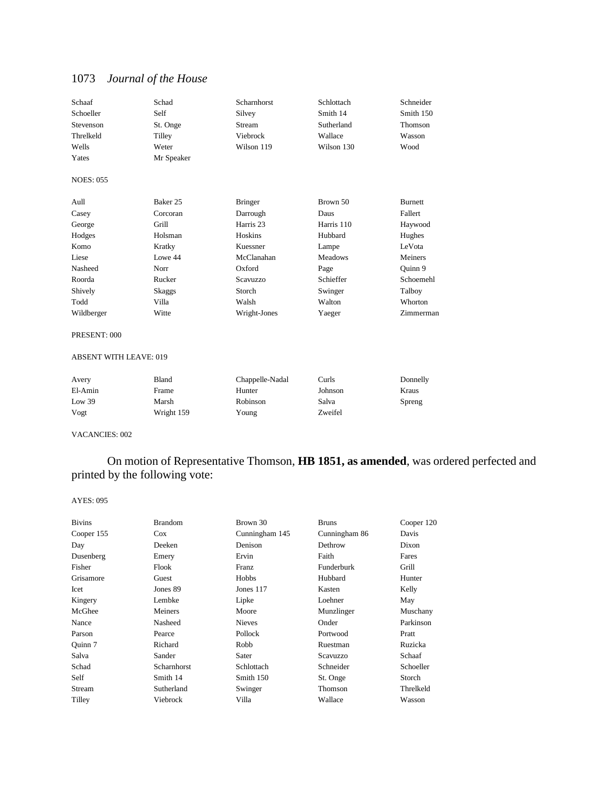| Schaaf           | Schad      | Scharnhorst    | Schlottach     | Schneider      |
|------------------|------------|----------------|----------------|----------------|
| Schoeller        | Self       | Silvey         | Smith 14       | Smith 150      |
| Stevenson        | St. Onge   | Stream         | Sutherland     | Thomson        |
| Threlkeld        | Tilley     | Viebrock       | Wallace        | Wasson         |
| Wells            | Weter      | Wilson 119     | Wilson 130     | Wood           |
| Yates            | Mr Speaker |                |                |                |
| <b>NOES: 055</b> |            |                |                |                |
| Aull             | Baker 25   | <b>Bringer</b> | Brown 50       | <b>Burnett</b> |
| Casey            | Corcoran   | Darrough       | Daus           | Fallert        |
| George           | Grill      | Harris 23      | Harris 110     | Haywood        |
| Hodges           | Holsman    | Hoskins        | Hubbard        | Hughes         |
| Komo             | Kratky     | Kuessner       | Lampe          | LeVota         |
| Liese            | Lowe 44    | McClanahan     | <b>Meadows</b> | Meiners        |
| Nasheed          | Norr       | Oxford         | Page           | Ouinn 9        |
| Roorda           | Rucker     | Scavuzzo       | Schieffer      | Schoemehl      |
| Shively          | Skaggs     | Storch         | Swinger        | Talboy         |
| Todd             | Villa      | Walsh          | Walton         | Whorton        |
| Wildberger       | Witte      | Wright-Jones   | Yaeger         | Zimmerman      |

#### PRESENT: 000

#### ABSENT WITH LEAVE: 019

| Avery   | Bland      | Chappelle-Nadal | Curls   | Donnelly |
|---------|------------|-----------------|---------|----------|
| El-Amin | Frame      | Hunter          | Johnson | Kraus    |
| Low 39  | Marsh      | Robinson        | Salva   | Spreng   |
| Vogt    | Wright 159 | Young           | Zweifel |          |

#### VACANCIES: 002

### On motion of Representative Thomson, **HB 1851, as amended**, was ordered perfected and printed by the following vote:

| <b>Bivins</b> | <b>Brandom</b> | Brown 30       | <b>Bruns</b>  | Cooper 120 |
|---------------|----------------|----------------|---------------|------------|
| Cooper 155    | $\cos$         | Cunningham 145 | Cunningham 86 | Davis      |
| Day           | Deeken         | Denison        | Dethrow       | Dixon      |
| Dusenberg     | Emery          | Ervin          | Faith         | Fares      |
| Fisher        | Flook          | Franz          | Funderburk    | Grill      |
| Grisamore     | Guest          | Hobbs          | Hubbard       | Hunter     |
| Icet          | Jones 89       | Jones $117$    | Kasten        | Kelly      |
| Kingery       | Lembke         | Lipke          | Loehner       | May        |
| McGhee        | Meiners        | Moore          | Munzlinger    | Muschany   |
| Nance         | Nasheed        | <b>Nieves</b>  | Onder         | Parkinson  |
| Parson        | Pearce         | Pollock        | Portwood      | Pratt      |
| Ouinn 7       | Richard        | Robb           | Ruestman      | Ruzicka    |
| Salva         | Sander         | Sater          | Scavuzzo      | Schaaf     |
| Schad         | Scharnhorst    | Schlottach     | Schneider     | Schoeller  |
| Self          | Smith 14       | Smith 150      | St. Onge      | Storch     |
| Stream        | Sutherland     | Swinger        | Thomson       | Threlkeld  |
| Tilley        | Viebrock       | Villa          | Wallace       | Wasson     |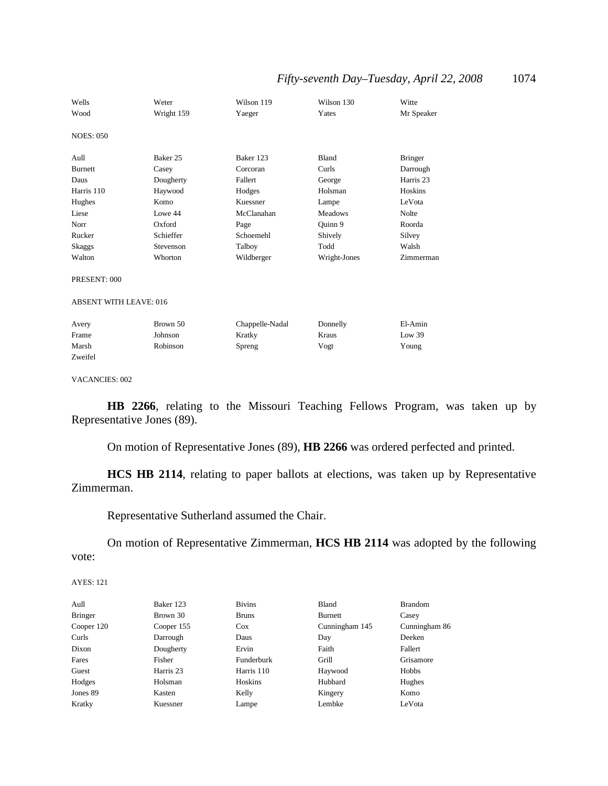| Wells                         | Weter      | Wilson 119      | Wilson 130     | Witte          |
|-------------------------------|------------|-----------------|----------------|----------------|
| Wood                          | Wright 159 | Yaeger          | Yates          | Mr Speaker     |
| <b>NOES: 050</b>              |            |                 |                |                |
| Aull                          | Baker 25   | Baker 123       | <b>Bland</b>   | <b>Bringer</b> |
| <b>Burnett</b>                | Casey      | Corcoran        | Curls          | Darrough       |
| Daus                          | Dougherty  | Fallert         | George         | Harris 23      |
| Harris 110                    | Haywood    | Hodges          | Holsman        | Hoskins        |
| Hughes                        | Komo       | Kuessner        | Lampe          | LeVota         |
| Liese                         | Lowe 44    | McClanahan      | <b>Meadows</b> | Nolte          |
| Norr                          | Oxford     | Page            | Quinn 9        | Roorda         |
| Rucker                        | Schieffer  | Schoemehl       | Shively        | Silvey         |
| Skaggs                        | Stevenson  | Talboy          | Todd           | Walsh          |
| Walton                        | Whorton    | Wildberger      | Wright-Jones   | Zimmerman      |
| PRESENT: 000                  |            |                 |                |                |
| <b>ABSENT WITH LEAVE: 016</b> |            |                 |                |                |
| Avery                         | Brown 50   | Chappelle-Nadal | Donnelly       | El-Amin        |
| Frame                         | Johnson    | Kratky          | Kraus          | Low 39         |
| Marsh                         | Robinson   | Spreng          | Vogt           | Young          |
| Zweifel                       |            |                 |                |                |

VACANCIES: 002

**HB 2266**, relating to the Missouri Teaching Fellows Program, was taken up by Representative Jones (89).

On motion of Representative Jones (89), **HB 2266** was ordered perfected and printed.

**HCS HB 2114**, relating to paper ballots at elections, was taken up by Representative Zimmerman.

Representative Sutherland assumed the Chair.

On motion of Representative Zimmerman, **HCS HB 2114** was adopted by the following vote:

| Aull           | Baker 123  | <b>Bivins</b> | Bland          | <b>Brandom</b> |
|----------------|------------|---------------|----------------|----------------|
| <b>Bringer</b> | Brown 30   | <b>Bruns</b>  | <b>Burnett</b> | Casey          |
| Cooper 120     | Cooper 155 | $\cos$        | Cunningham 145 | Cunningham 86  |
| Curls          | Darrough   | Daus          | Day            | Deeken         |
| Dixon          | Dougherty  | Ervin         | Faith          | Fallert        |
| Fares          | Fisher     | Funderburk    | Grill          | Grisamore      |
| Guest          | Harris 23  | Harris 110    | Haywood        | Hobbs          |
| Hodges         | Holsman    | Hoskins       | Hubbard        | Hughes         |
| Jones 89       | Kasten     | Kelly         | Kingery        | Komo           |
| Kratky         | Kuessner   | Lampe         | Lembke         | LeVota         |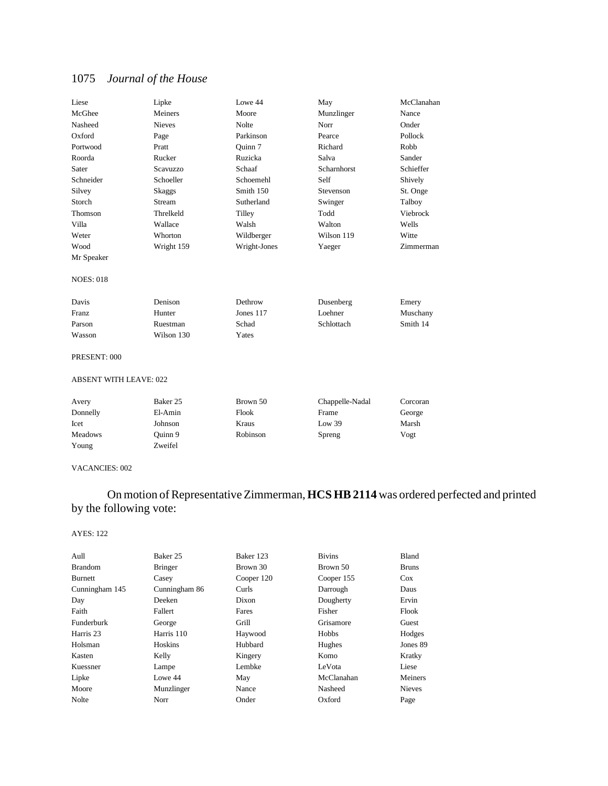| Liese                         | Lipke         | Lowe 44      | May             | McClanahan |
|-------------------------------|---------------|--------------|-----------------|------------|
| McGhee                        | Meiners       | Moore        | Munzlinger      | Nance      |
| Nasheed                       | <b>Nieves</b> | Nolte        | Norr            | Onder      |
| Oxford                        | Page          | Parkinson    | Pearce          | Pollock    |
| Portwood                      | Pratt         | Ouinn 7      | Richard         | Robb       |
| Roorda                        | Rucker        | Ruzicka      | Salva           | Sander     |
| Sater                         | Scavuzzo      | Schaaf       | Scharnhorst     | Schieffer  |
| Schneider                     | Schoeller     | Schoemehl    | Self            | Shively    |
| Silvey                        | <b>Skaggs</b> | Smith 150    | Stevenson       | St. Onge   |
| Storch                        | Stream        | Sutherland   | Swinger         | Talboy     |
| Thomson                       | Threlkeld     | Tilley       | Todd            | Viebrock   |
| Villa                         | Wallace       | Walsh        | Walton          | Wells      |
| Weter                         | Whorton       | Wildberger   | Wilson 119      | Witte      |
| Wood                          | Wright 159    | Wright-Jones | Yaeger          | Zimmerman  |
| Mr Speaker                    |               |              |                 |            |
|                               |               |              |                 |            |
| <b>NOES: 018</b>              |               |              |                 |            |
| Davis                         | Denison       | Dethrow      | Dusenberg       | Emery      |
| <b>Franz</b>                  | Hunter        | Jones 117    | Loehner         | Muschany   |
| Parson                        | Ruestman      | Schad        | Schlottach      | Smith 14   |
| Wasson                        | Wilson 130    | Yates        |                 |            |
| PRESENT: 000                  |               |              |                 |            |
| <b>ABSENT WITH LEAVE: 022</b> |               |              |                 |            |
| Avery                         | Baker 25      | Brown 50     | Chappelle-Nadal | Corcoran   |
| Donnelly                      | El-Amin       | Flook        | Frame           | George     |
| Icet                          | Johnson       | Kraus        | Low 39          | Marsh      |

#### VACANCIES: 002

Young Zweifel

## On motion of Representative Zimmerman, **HCS HB 2114** was ordered perfected and printed by the following vote:

#### AYES: 122

|                                                          | <b>Bruns</b>  |
|----------------------------------------------------------|---------------|
| <b>Brandom</b><br><b>Bringer</b><br>Brown 30<br>Brown 50 |               |
| <b>Burnett</b><br>Cooper 120<br>Cooper 155<br>Casey      | $\cos$        |
| Cunningham 145<br>Cunningham 86<br>Curls<br>Darrough     | Daus          |
| Day<br>Deeken<br>Dougherty<br>Dixon                      | Ervin         |
| Faith<br>Fisher<br>Fallert<br>Fares                      | Flook         |
| Funderburk<br>Grill<br>Grisamore<br>George               | Guest         |
| Harris 23<br>Harris 110<br>Haywood<br>Hobbs              | Hodges        |
| Hoskins<br>Holsman<br>Hubbard<br>Hughes                  | Jones 89      |
| Kasten<br>Kelly<br>Kingery<br>Komo                       | Kratky        |
| Lembke<br>LeVota<br>Kuessner<br>Lampe                    | Liese         |
| Lipke<br>McClanahan<br>Lowe 44<br>May                    | Meiners       |
| Moore<br>Munzlinger<br>Nasheed<br>Nance                  | <b>Nieves</b> |
| Nolte<br>Onder<br>Oxford<br>Norr                         | Page          |

Meadows Quinn 9 Robinson Spreng Vogt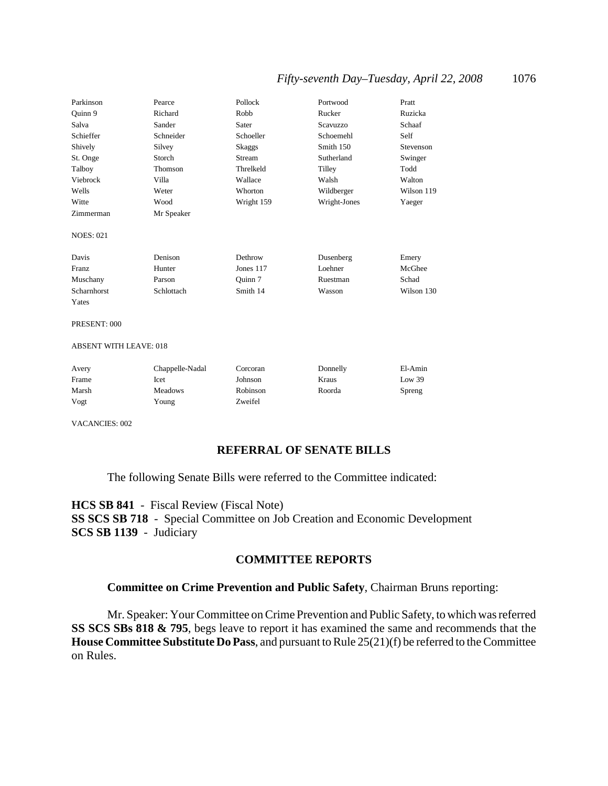| Parkinson        | Pearce     | Pollock    | Portwood     | Pratt      |
|------------------|------------|------------|--------------|------------|
| Quinn 9          | Richard    | Robb       | Rucker       | Ruzicka    |
| Salva            | Sander     | Sater      | Scavuzzo     | Schaaf     |
| Schieffer        | Schneider  | Schoeller  | Schoemehl    | Self       |
| Shively          | Silvey     | Skaggs     | Smith 150    | Stevenson  |
| St. Onge         | Storch     | Stream     | Sutherland   | Swinger    |
| Talboy           | Thomson    | Threlkeld  | Tilley       | Todd       |
| Viebrock         | Villa      | Wallace    | Walsh        | Walton     |
| Wells            | Weter      | Whorton    | Wildberger   | Wilson 119 |
| Witte            | Wood       | Wright 159 | Wright-Jones | Yaeger     |
| Zimmerman        | Mr Speaker |            |              |            |
| <b>NOES: 021</b> |            |            |              |            |
| Davis            | Denison    | Dethrow    | Dusenberg    | Emery      |
| Franz            | Hunter     | Jones 117  | Loehner      | McGhee     |
| Muschany         | Parson     | Quinn 7    | Ruestman     | Schad      |
| Scharnhorst      | Schlottach | Smith 14   | Wasson       | Wilson 130 |
| Yates            |            |            |              |            |
|                  |            |            |              |            |

#### PRESENT: 000

#### ABSENT WITH LEAVE: 018

| Avery | Chappelle-Nadal | Corcoran | Donnelly | El-Amin |
|-------|-----------------|----------|----------|---------|
| Frame | lcet            | Johnson  | Kraus    | Low 39  |
| Marsh | <b>Meadows</b>  | Robinson | Roorda   | Spreng  |
| Vogt  | Young           | Zweifel  |          |         |

VACANCIES: 002

### **REFERRAL OF SENATE BILLS**

The following Senate Bills were referred to the Committee indicated:

**HCS SB 841** - Fiscal Review (Fiscal Note) **SS SCS SB 718** - Special Committee on Job Creation and Economic Development **SCS SB 1139** - Judiciary

### **COMMITTEE REPORTS**

### **Committee on Crime Prevention and Public Safety**, Chairman Bruns reporting:

Mr. Speaker: Your Committee on Crime Prevention and Public Safety, to which was referred **SS SCS SBs 818 & 795**, begs leave to report it has examined the same and recommends that the **House Committee Substitute Do Pass**, and pursuant to Rule 25(21)(f) be referred to the Committee on Rules.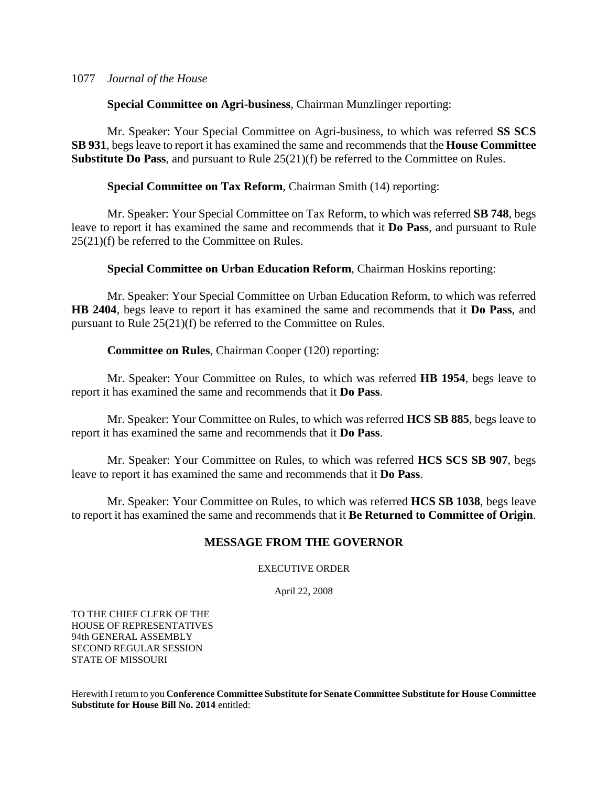**Special Committee on Agri-business**, Chairman Munzlinger reporting:

Mr. Speaker: Your Special Committee on Agri-business, to which was referred **SS SCS SB 931**, begs leave to report it has examined the same and recommends that the **House Committee Substitute Do Pass**, and pursuant to Rule 25(21)(f) be referred to the Committee on Rules.

### **Special Committee on Tax Reform**, Chairman Smith (14) reporting:

Mr. Speaker: Your Special Committee on Tax Reform, to which was referred **SB 748**, begs leave to report it has examined the same and recommends that it **Do Pass**, and pursuant to Rule 25(21)(f) be referred to the Committee on Rules.

**Special Committee on Urban Education Reform**, Chairman Hoskins reporting:

Mr. Speaker: Your Special Committee on Urban Education Reform, to which was referred **HB 2404**, begs leave to report it has examined the same and recommends that it **Do Pass**, and pursuant to Rule 25(21)(f) be referred to the Committee on Rules.

### **Committee on Rules**, Chairman Cooper (120) reporting:

Mr. Speaker: Your Committee on Rules, to which was referred **HB 1954**, begs leave to report it has examined the same and recommends that it **Do Pass**.

Mr. Speaker: Your Committee on Rules, to which was referred **HCS SB 885**, begs leave to report it has examined the same and recommends that it **Do Pass**.

Mr. Speaker: Your Committee on Rules, to which was referred **HCS SCS SB 907**, begs leave to report it has examined the same and recommends that it **Do Pass**.

Mr. Speaker: Your Committee on Rules, to which was referred **HCS SB 1038**, begs leave to report it has examined the same and recommends that it **Be Returned to Committee of Origin**.

### **MESSAGE FROM THE GOVERNOR**

### EXECUTIVE ORDER

April 22, 2008

TO THE CHIEF CLERK OF THE HOUSE OF REPRESENTATIVES 94th GENERAL ASSEMBLY SECOND REGULAR SESSION STATE OF MISSOURI

Herewith I return to you **Conference Committee Substitute for Senate Committee Substitute for House Committee Substitute for House Bill No. 2014** entitled: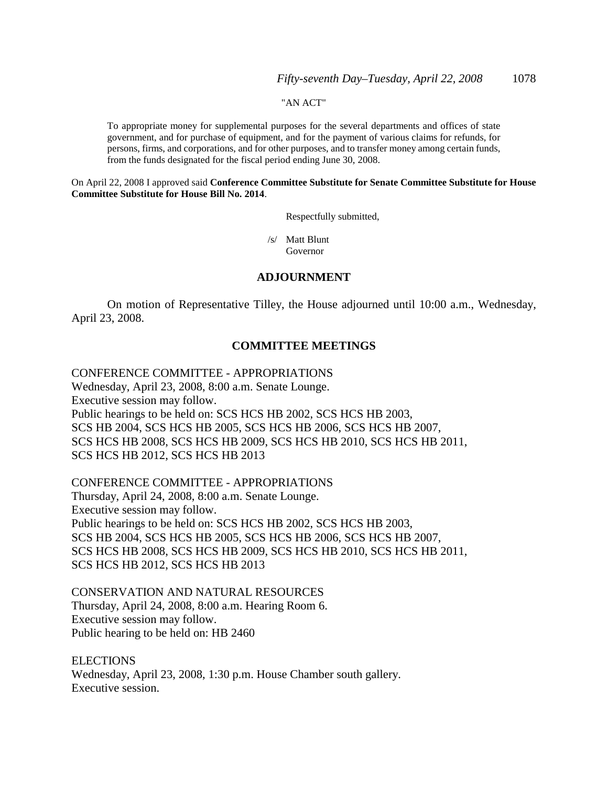#### "AN ACT"

To appropriate money for supplemental purposes for the several departments and offices of state government, and for purchase of equipment, and for the payment of various claims for refunds, for persons, firms, and corporations, and for other purposes, and to transfer money among certain funds, from the funds designated for the fiscal period ending June 30, 2008.

On April 22, 2008 I approved said **Conference Committee Substitute for Senate Committee Substitute for House Committee Substitute for House Bill No. 2014**.

Respectfully submitted,

 /s/ Matt Blunt Governor

### **ADJOURNMENT**

On motion of Representative Tilley, the House adjourned until 10:00 a.m., Wednesday, April 23, 2008.

### **COMMITTEE MEETINGS**

### CONFERENCE COMMITTEE - APPROPRIATIONS

Wednesday, April 23, 2008, 8:00 a.m. Senate Lounge. Executive session may follow. Public hearings to be held on: SCS HCS HB 2002, SCS HCS HB 2003, SCS HB 2004, SCS HCS HB 2005, SCS HCS HB 2006, SCS HCS HB 2007, SCS HCS HB 2008, SCS HCS HB 2009, SCS HCS HB 2010, SCS HCS HB 2011, SCS HCS HB 2012, SCS HCS HB 2013

CONFERENCE COMMITTEE - APPROPRIATIONS Thursday, April 24, 2008, 8:00 a.m. Senate Lounge. Executive session may follow. Public hearings to be held on: SCS HCS HB 2002, SCS HCS HB 2003, SCS HB 2004, SCS HCS HB 2005, SCS HCS HB 2006, SCS HCS HB 2007, SCS HCS HB 2008, SCS HCS HB 2009, SCS HCS HB 2010, SCS HCS HB 2011, SCS HCS HB 2012, SCS HCS HB 2013

CONSERVATION AND NATURAL RESOURCES Thursday, April 24, 2008, 8:00 a.m. Hearing Room 6. Executive session may follow. Public hearing to be held on: HB 2460

**ELECTIONS** Wednesday, April 23, 2008, 1:30 p.m. House Chamber south gallery. Executive session.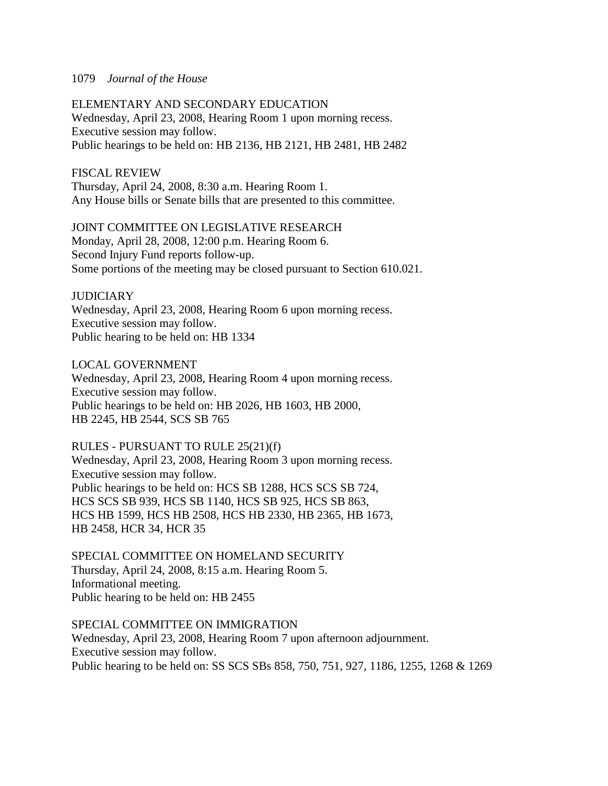### ELEMENTARY AND SECONDARY EDUCATION Wednesday, April 23, 2008, Hearing Room 1 upon morning recess. Executive session may follow.

Public hearings to be held on: HB 2136, HB 2121, HB 2481, HB 2482

### FISCAL REVIEW

Thursday, April 24, 2008, 8:30 a.m. Hearing Room 1. Any House bills or Senate bills that are presented to this committee.

### JOINT COMMITTEE ON LEGISLATIVE RESEARCH

Monday, April 28, 2008, 12:00 p.m. Hearing Room 6. Second Injury Fund reports follow-up. Some portions of the meeting may be closed pursuant to Section 610.021.

### **JUDICIARY**

Wednesday, April 23, 2008, Hearing Room 6 upon morning recess. Executive session may follow. Public hearing to be held on: HB 1334

### LOCAL GOVERNMENT

Wednesday, April 23, 2008, Hearing Room 4 upon morning recess. Executive session may follow. Public hearings to be held on: HB 2026, HB 1603, HB 2000, HB 2245, HB 2544, SCS SB 765

### RULES - PURSUANT TO RULE 25(21)(f)

Wednesday, April 23, 2008, Hearing Room 3 upon morning recess. Executive session may follow. Public hearings to be held on: HCS SB 1288, HCS SCS SB 724, HCS SCS SB 939, HCS SB 1140, HCS SB 925, HCS SB 863, HCS HB 1599, HCS HB 2508, HCS HB 2330, HB 2365, HB 1673, HB 2458, HCR 34, HCR 35

### SPECIAL COMMITTEE ON HOMELAND SECURITY Thursday, April 24, 2008, 8:15 a.m. Hearing Room 5. Informational meeting. Public hearing to be held on: HB 2455

SPECIAL COMMITTEE ON IMMIGRATION Wednesday, April 23, 2008, Hearing Room 7 upon afternoon adjournment. Executive session may follow. Public hearing to be held on: SS SCS SBs 858, 750, 751, 927, 1186, 1255, 1268 & 1269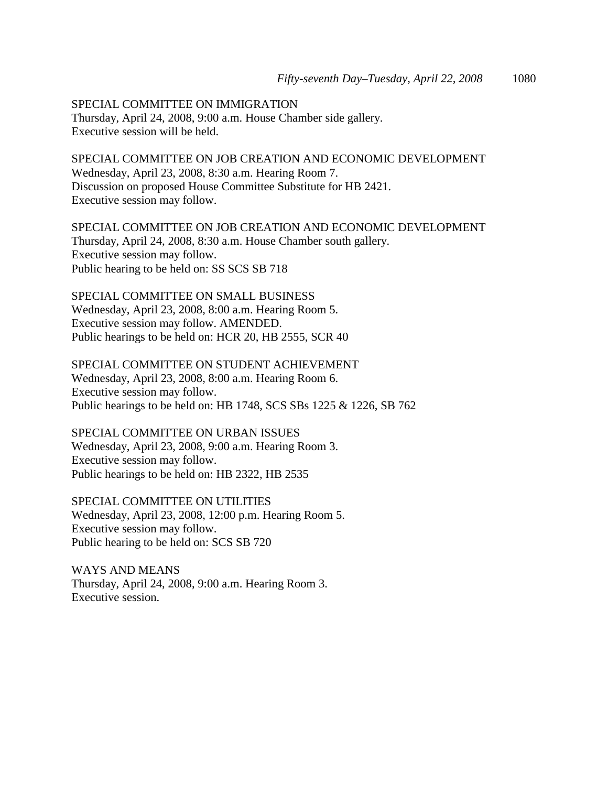SPECIAL COMMITTEE ON IMMIGRATION Thursday, April 24, 2008, 9:00 a.m. House Chamber side gallery. Executive session will be held.

SPECIAL COMMITTEE ON JOB CREATION AND ECONOMIC DEVELOPMENT Wednesday, April 23, 2008, 8:30 a.m. Hearing Room 7. Discussion on proposed House Committee Substitute for HB 2421. Executive session may follow.

SPECIAL COMMITTEE ON JOB CREATION AND ECONOMIC DEVELOPMENT Thursday, April 24, 2008, 8:30 a.m. House Chamber south gallery. Executive session may follow. Public hearing to be held on: SS SCS SB 718

SPECIAL COMMITTEE ON SMALL BUSINESS Wednesday, April 23, 2008, 8:00 a.m. Hearing Room 5. Executive session may follow. AMENDED. Public hearings to be held on: HCR 20, HB 2555, SCR 40

SPECIAL COMMITTEE ON STUDENT ACHIEVEMENT Wednesday, April 23, 2008, 8:00 a.m. Hearing Room 6. Executive session may follow. Public hearings to be held on: HB 1748, SCS SBs 1225 & 1226, SB 762

SPECIAL COMMITTEE ON URBAN ISSUES Wednesday, April 23, 2008, 9:00 a.m. Hearing Room 3. Executive session may follow. Public hearings to be held on: HB 2322, HB 2535

SPECIAL COMMITTEE ON UTILITIES Wednesday, April 23, 2008, 12:00 p.m. Hearing Room 5. Executive session may follow. Public hearing to be held on: SCS SB 720

WAYS AND MEANS Thursday, April 24, 2008, 9:00 a.m. Hearing Room 3. Executive session.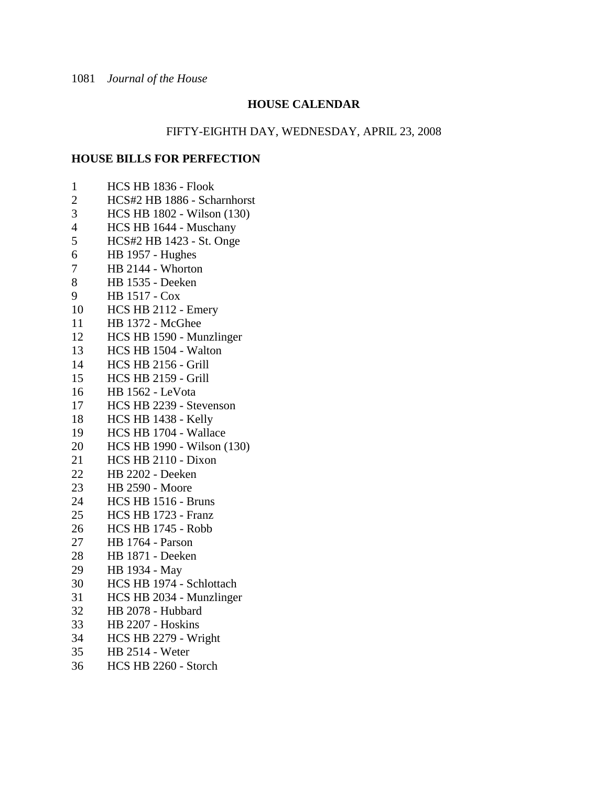### **HOUSE CALENDAR**

### FIFTY-EIGHTH DAY, WEDNESDAY, APRIL 23, 2008

### **HOUSE BILLS FOR PERFECTION**

- 1 HCS HB 1836 Flook
- 2 HCS#2 HB 1886 Scharnhorst
- 3 HCS HB 1802 Wilson (130)
- 4 HCS HB 1644 Muschany<br>5 HCS#2 HB 1423 St. Onge
- 5 HCS#2 HB 1423 St. Onge
- 6 HB 1957 Hughes
- 7 HB 2144 Whorton
- 8 HB 1535 Deeken
- 9 HB 1517 Cox
- 10 HCS HB 2112 Emery
- 11 HB 1372 McGhee
- 12 HCS HB 1590 Munzlinger
- 13 HCS HB 1504 Walton
- 14 HCS HB 2156 Grill
- 15 HCS HB 2159 Grill
- 16 HB 1562 LeVota
- 17 HCS HB 2239 Stevenson
- 18 HCS HB 1438 Kelly
- 19 HCS HB 1704 Wallace
- 20 HCS HB 1990 Wilson (130)
- 21 HCS HB 2110 Dixon
- 22 HB 2202 Deeken
- 23 HB 2590 Moore
- 24 HCS HB 1516 Bruns
- 25 HCS HB 1723 Franz
- 26 HCS HB 1745 Robb
- 27 HB 1764 Parson
- 28 HB 1871 Deeken
- 29 HB 1934 May
- 30 HCS HB 1974 Schlottach
- 31 HCS HB 2034 Munzlinger
- 32 HB 2078 Hubbard
- 33 HB 2207 Hoskins
- 34 HCS HB 2279 Wright
- 35 HB 2514 Weter
- 36 HCS HB 2260 Storch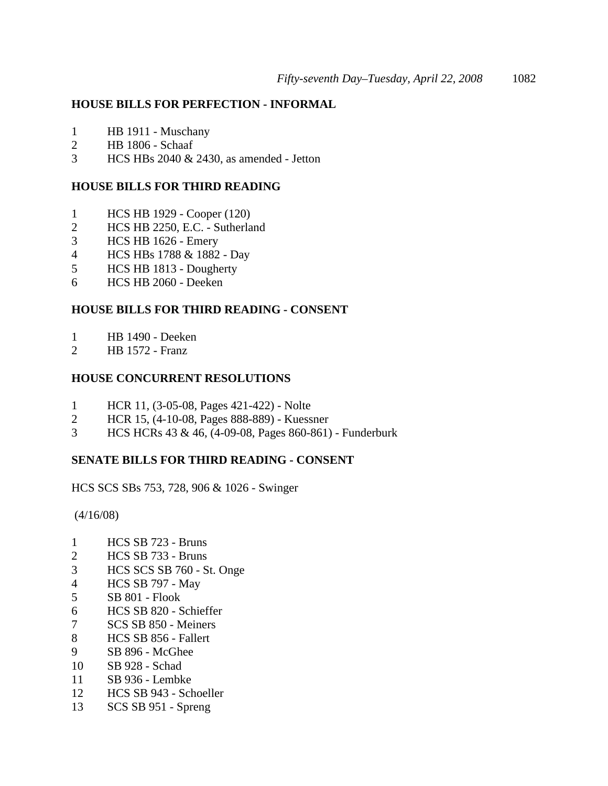### **HOUSE BILLS FOR PERFECTION - INFORMAL**

- 1 HB 1911 Muschany
- 2 HB 1806 Schaaf
- 3 HCS HBs 2040 & 2430, as amended Jetton

### **HOUSE BILLS FOR THIRD READING**

- 1 HCS HB 1929 Cooper (120)
- 2 HCS HB 2250, E.C. Sutherland
- 3 HCS HB 1626 Emery
- 4 HCS HBs 1788 & 1882 Day
- 5 HCS HB 1813 Dougherty
- 6 HCS HB 2060 Deeken

### **HOUSE BILLS FOR THIRD READING - CONSENT**

- 1 HB 1490 Deeken
- 2 HB 1572 Franz

### **HOUSE CONCURRENT RESOLUTIONS**

- 1 HCR 11, (3-05-08, Pages 421-422) Nolte
- 2 HCR 15, (4-10-08, Pages 888-889) Kuessner
- 3 HCS HCRs 43 & 46, (4-09-08, Pages 860-861) Funderburk

## **SENATE BILLS FOR THIRD READING - CONSENT**

HCS SCS SBs 753, 728, 906 & 1026 - Swinger

(4/16/08)

- 1 HCS SB 723 Bruns
- 2 HCS SB 733 Bruns
- 3 HCS SCS SB 760 St. Onge
- 4 HCS SB 797 May
- 5 SB 801 Flook
- 6 HCS SB 820 Schieffer
- 7 SCS SB 850 Meiners
- 8 HCS SB 856 Fallert
- 9 SB 896 McGhee
- 10 SB 928 Schad
- 11 SB 936 Lembke
- 12 HCS SB 943 Schoeller
- 13 SCS SB 951 Spreng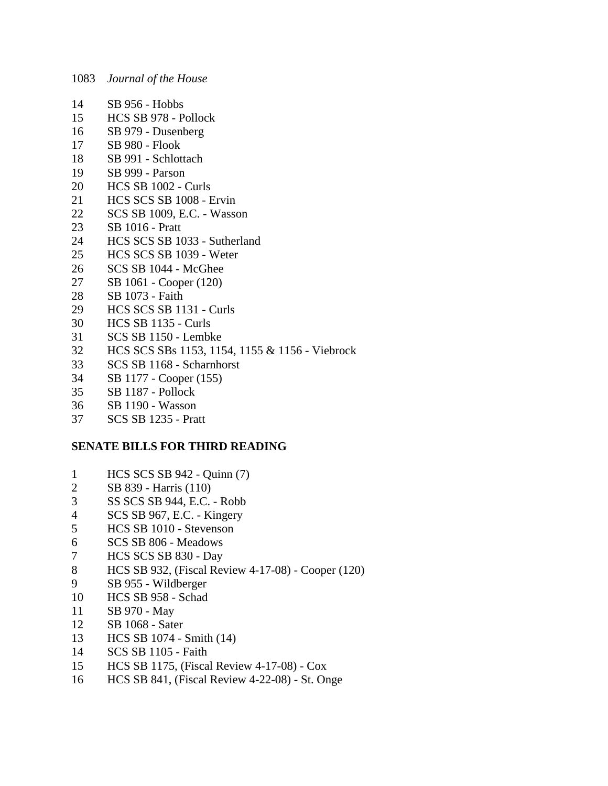- 14 SB 956 Hobbs
- 15 HCS SB 978 Pollock
- 16 SB 979 Dusenberg
- 17 SB 980 Flook
- 18 SB 991 Schlottach
- 19 SB 999 Parson
- 20 HCS SB 1002 Curls
- 21 HCS SCS SB 1008 Ervin
- 22 SCS SB 1009, E.C. Wasson
- 23 SB 1016 Pratt
- 24 HCS SCS SB 1033 Sutherland
- 25 HCS SCS SB 1039 Weter
- 26 SCS SB 1044 McGhee
- 27 SB 1061 Cooper (120)
- 28 SB 1073 Faith
- 29 HCS SCS SB 1131 Curls
- 30 HCS SB 1135 Curls
- 31 SCS SB 1150 Lembke
- 32 HCS SCS SBs 1153, 1154, 1155 & 1156 Viebrock
- 33 SCS SB 1168 Scharnhorst
- 34 SB 1177 Cooper (155)
- 35 SB 1187 Pollock
- 36 SB 1190 Wasson
- 37 SCS SB 1235 Pratt

### **SENATE BILLS FOR THIRD READING**

- 1 HCS SCS SB 942 Quinn (7)
- 2 SB 839 Harris (110)
- 3 SS SCS SB 944, E.C. Robb
- 4 SCS SB 967, E.C. Kingery
- 5 HCS SB 1010 Stevenson
- 6 SCS SB 806 Meadows
- 7 HCS SCS SB 830 Day
- 8 HCS SB 932, (Fiscal Review 4-17-08) Cooper (120)
- 9 SB 955 Wildberger
- 10 HCS SB 958 Schad
- 11 SB 970 May
- 12 SB 1068 Sater
- 13 HCS SB 1074 Smith (14)
- 14 SCS SB 1105 Faith
- 15 HCS SB 1175, (Fiscal Review 4-17-08) Cox
- 16 HCS SB 841, (Fiscal Review 4-22-08) St. Onge